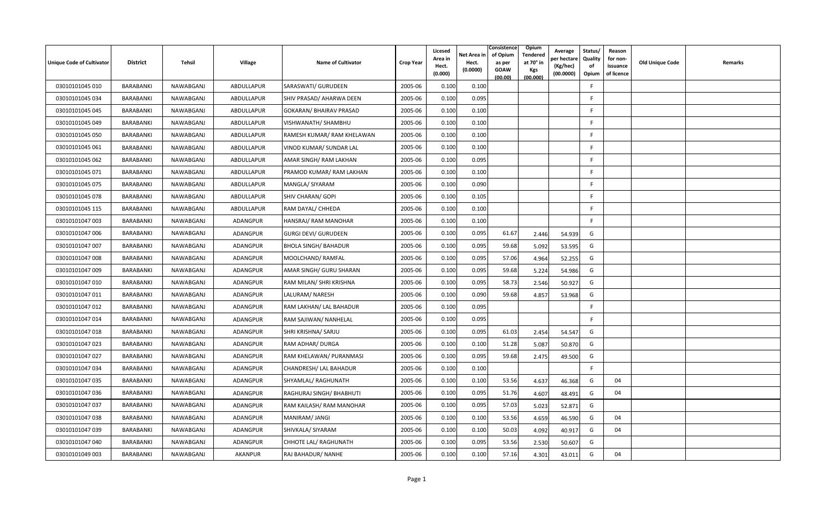| <b>Unique Code of Cultivator</b> | <b>District</b>  | Tehsil    | <b>Village</b>  | <b>Name of Cultivator</b>   | <b>Crop Year</b> | Licesed<br>Area in<br>Hect.<br>(0.000) | Net Area in<br>Hect.<br>(0.0000) | Consistence<br>of Opium<br>as per<br><b>GOAW</b><br>(00.00) | Opium<br>Tendered<br>at 70 $^{\circ}$ in<br><b>Kgs</b><br>(00.000) | Average<br>er hectar<br>(Kg/hec)<br>(00.0000) | Status/<br>Quality<br>of<br>Opium | Reason<br>for non-<br>issuance<br>of licence | <b>Old Unique Code</b> | Remarks |
|----------------------------------|------------------|-----------|-----------------|-----------------------------|------------------|----------------------------------------|----------------------------------|-------------------------------------------------------------|--------------------------------------------------------------------|-----------------------------------------------|-----------------------------------|----------------------------------------------|------------------------|---------|
| 03010101045 010                  | BARABANKI        | NAWABGANJ | ABDULLAPUR      | SARASWATI/ GURUDEEN         | 2005-06          | 0.100                                  | 0.100                            |                                                             |                                                                    |                                               | E                                 |                                              |                        |         |
| 03010101045 034                  | BARABANKI        | NAWABGANJ | ABDULLAPUR      | SHIV PRASAD/ AHARWA DEEN    | 2005-06          | 0.100                                  | 0.095                            |                                                             |                                                                    |                                               | -F                                |                                              |                        |         |
| 03010101045 045                  | BARABANKI        | NAWABGANJ | ABDULLAPUR      | GOKARAN/ BHAIRAV PRASAD     | 2005-06          | 0.100                                  | 0.100                            |                                                             |                                                                    |                                               | F                                 |                                              |                        |         |
| 03010101045 049                  | BARABANKI        | NAWABGANJ | ABDULLAPUR      | VISHWANATH/ SHAMBHU         | 2005-06          | 0.100                                  | 0.100                            |                                                             |                                                                    |                                               | F                                 |                                              |                        |         |
| 03010101045 050                  | BARABANKI        | NAWABGANJ | ABDULLAPUR      | RAMESH KUMAR/ RAM KHELAWAN  | 2005-06          | 0.100                                  | 0.100                            |                                                             |                                                                    |                                               | F.                                |                                              |                        |         |
| 03010101045 061                  | BARABANKI        | NAWABGANJ | ABDULLAPUR      | VINOD KUMAR/ SUNDAR LAL     | 2005-06          | 0.100                                  | 0.100                            |                                                             |                                                                    |                                               | F.                                |                                              |                        |         |
| 03010101045 062                  | BARABANKI        | NAWABGANJ | ABDULLAPUR      | AMAR SINGH/ RAM LAKHAN      | 2005-06          | 0.100                                  | 0.095                            |                                                             |                                                                    |                                               | F.                                |                                              |                        |         |
| 03010101045 071                  | BARABANKI        | NAWABGANJ | ABDULLAPUR      | PRAMOD KUMAR/RAM LAKHAN     | 2005-06          | 0.100                                  | 0.100                            |                                                             |                                                                    |                                               | F.                                |                                              |                        |         |
| 03010101045 075                  | BARABANKI        | NAWABGANJ | ABDULLAPUR      | MANGLA/ SIYARAM             | 2005-06          | 0.100                                  | 0.090                            |                                                             |                                                                    |                                               | F.                                |                                              |                        |         |
| 03010101045 078                  | BARABANKI        | NAWABGANJ | ABDULLAPUR      | SHIV CHARAN/ GOPI           | 2005-06          | 0.100                                  | 0.105                            |                                                             |                                                                    |                                               | F                                 |                                              |                        |         |
| 03010101045 115                  | BARABANKI        | NAWABGANJ | ABDULLAPUR      | RAM DAYAL/ CHHEDA           | 2005-06          | 0.100                                  | 0.100                            |                                                             |                                                                    |                                               | E                                 |                                              |                        |         |
| 03010101047 003                  | BARABANKI        | NAWABGANJ | ADANGPUR        | HANSRAJ/RAM MANOHAR         | 2005-06          | 0.100                                  | 0.100                            |                                                             |                                                                    |                                               | F.                                |                                              |                        |         |
| 03010101047 006                  | <b>BARABANKI</b> | NAWABGANJ | <b>ADANGPUR</b> | <b>GURGI DEVI/ GURUDEEN</b> | 2005-06          | 0.100                                  | 0.095                            | 61.67                                                       | 2.446                                                              | 54.939                                        | G                                 |                                              |                        |         |
| 03010101047 007                  | BARABANKI        | NAWABGANJ | ADANGPUR        | <b>BHOLA SINGH/ BAHADUR</b> | 2005-06          | 0.100                                  | 0.095                            | 59.68                                                       | 5.092                                                              | 53.595                                        | G                                 |                                              |                        |         |
| 03010101047 008                  | <b>BARABANKI</b> | NAWABGANJ | ADANGPUR        | MOOLCHAND/RAMFAL            | 2005-06          | 0.100                                  | 0.095                            | 57.06                                                       | 4.964                                                              | 52.255                                        | G                                 |                                              |                        |         |
| 03010101047 009                  | BARABANKI        | NAWABGANJ | ADANGPUR        | AMAR SINGH/ GURU SHARAN     | 2005-06          | 0.100                                  | 0.095                            | 59.68                                                       | 5.224                                                              | 54.986                                        | G                                 |                                              |                        |         |
| 03010101047 010                  | BARABANKI        | NAWABGANJ | ADANGPUR        | RAM MILAN/ SHRI KRISHNA     | 2005-06          | 0.100                                  | 0.095                            | 58.73                                                       | 2.546                                                              | 50.927                                        | G                                 |                                              |                        |         |
| 03010101047 011                  | BARABANKI        | NAWABGANJ | <b>ADANGPUR</b> | LALURAM/ NARESH             | 2005-06          | 0.100                                  | 0.090                            | 59.68                                                       | 4.857                                                              | 53.968                                        | G                                 |                                              |                        |         |
| 03010101047 012                  | <b>BARABANKI</b> | NAWABGANJ | ADANGPUR        | RAM LAKHAN/ LAL BAHADUR     | 2005-06          | 0.100                                  | 0.095                            |                                                             |                                                                    |                                               | F                                 |                                              |                        |         |
| 03010101047 014                  | BARABANKI        | NAWABGANJ | <b>ADANGPUR</b> | RAM SAJIWAN/ NANHELAL       | 2005-06          | 0.100                                  | 0.095                            |                                                             |                                                                    |                                               | F.                                |                                              |                        |         |
| 03010101047 018                  | BARABANKI        | NAWABGANJ | ADANGPUR        | SHRI KRISHNA/ SARJU         | 2005-06          | 0.100                                  | 0.095                            | 61.03                                                       | 2.454                                                              | 54.547                                        | G                                 |                                              |                        |         |
| 03010101047 023                  | <b>BARABANKI</b> | NAWABGANJ | ADANGPUR        | RAM ADHAR/ DURGA            | 2005-06          | 0.100                                  | 0.100                            | 51.28                                                       | 5.087                                                              | 50.870                                        | G                                 |                                              |                        |         |
| 03010101047 027                  | BARABANKI        | NAWABGANJ | ADANGPUR        | RAM KHELAWAN/ PURANMASI     | 2005-06          | 0.100                                  | 0.095                            | 59.68                                                       | 2.475                                                              | 49.500                                        | G                                 |                                              |                        |         |
| 03010101047 034                  | <b>BARABANKI</b> | NAWABGANJ | ADANGPUR        | CHANDRESH/ LAL BAHADUR      | 2005-06          | 0.100                                  | 0.100                            |                                                             |                                                                    |                                               | F.                                |                                              |                        |         |
| 03010101047 035                  | <b>BARABANKI</b> | NAWABGANJ | ADANGPUR        | SHYAMLAL/ RAGHUNATH         | 2005-06          | 0.100                                  | 0.100                            | 53.56                                                       | 4.637                                                              | 46.368                                        | G                                 | 04                                           |                        |         |
| 03010101047 036                  | BARABANKI        | NAWABGANJ | ADANGPUR        | RAGHURAJ SINGH/ BHABHUTI    | 2005-06          | 0.100                                  | 0.095                            | 51.76                                                       | 4.607                                                              | 48.491                                        | G                                 | 04                                           |                        |         |
| 03010101047 037                  | BARABANKI        | NAWABGANJ | ADANGPUR        | RAM KAILASH/ RAM MANOHAR    | 2005-06          | 0.100                                  | 0.095                            | 57.03                                                       | 5.023                                                              | 52.871                                        | G                                 |                                              |                        |         |
| 03010101047 038                  | BARABANKI        | NAWABGANJ | ADANGPUR        | MANIRAM/ JANGI              | 2005-06          | 0.100                                  | 0.100                            | 53.56                                                       | 4.659                                                              | 46.590                                        | G                                 | 04                                           |                        |         |
| 03010101047 039                  | BARABANKI        | NAWABGANJ | <b>ADANGPUR</b> | SHIVKALA/ SIYARAM           | 2005-06          | 0.100                                  | 0.100                            | 50.03                                                       | 4.092                                                              | 40.917                                        | G                                 | 04                                           |                        |         |
| 03010101047 040                  | <b>BARABANKI</b> | NAWABGANJ | ADANGPUR        | CHHOTE LAL/ RAGHUNATH       | 2005-06          | 0.100                                  | 0.095                            | 53.56                                                       | 2.530                                                              | 50.607                                        | G                                 |                                              |                        |         |
| 03010101049 003                  | BARABANKI        | NAWABGANJ | <b>AKANPUR</b>  | RAJ BAHADUR/ NANHE          | 2005-06          | 0.100                                  | 0.100                            | 57.16                                                       | 4.301                                                              | 43.011                                        | G                                 | 04                                           |                        |         |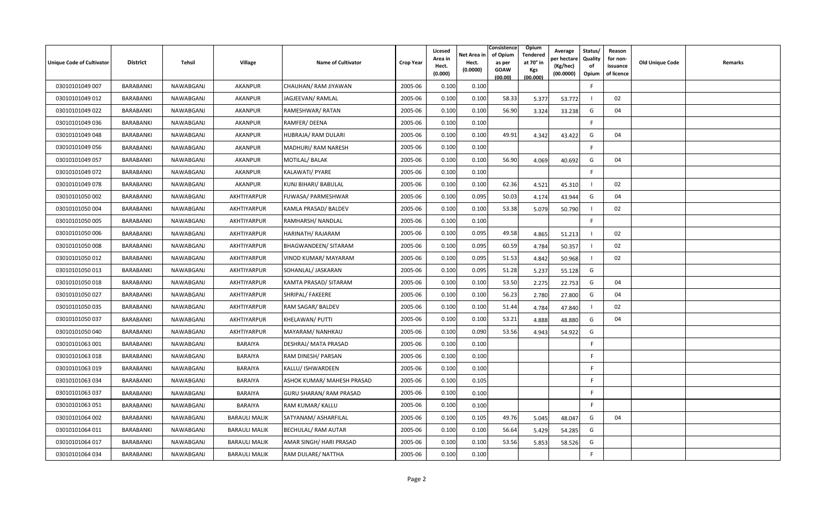| <b>Unique Code of Cultivator</b> | <b>District</b>  | Tehsil    | <b>Village</b>       | <b>Name of Cultivator</b>      | <b>Crop Year</b> | Licesed<br>Area in<br>Hect.<br>(0.000) | Net Area in<br>Hect.<br>(0.0000) | Consistence<br>of Opium<br>as per<br><b>GOAW</b><br>(00.00) | Opium<br>Tendered<br>at 70 $^{\circ}$ in<br><b>Kgs</b><br>(00.000) | Average<br>วer hectarง<br>(Kg/hec)<br>(00.0000) | Status/<br>Quality<br>of<br>Opium | Reason<br>for non-<br>issuance<br>of licence | <b>Old Unique Code</b> | Remarks |
|----------------------------------|------------------|-----------|----------------------|--------------------------------|------------------|----------------------------------------|----------------------------------|-------------------------------------------------------------|--------------------------------------------------------------------|-------------------------------------------------|-----------------------------------|----------------------------------------------|------------------------|---------|
| 03010101049 007                  | BARABANKI        | NAWABGANJ | <b>AKANPUR</b>       | CHAUHAN/ RAM JIYAWAN           | 2005-06          | 0.100                                  | 0.100                            |                                                             |                                                                    |                                                 | E                                 |                                              |                        |         |
| 03010101049 012                  | BARABANKI        | NAWABGANJ | <b>AKANPUR</b>       | JAGJEEVAN/RAMLAL               | 2005-06          | 0.100                                  | 0.100                            | 58.33                                                       | 5.377                                                              | 53.772                                          |                                   | 02                                           |                        |         |
| 03010101049 022                  | BARABANKI        | NAWABGANJ | <b>AKANPUR</b>       | RAMESHWAR/RATAN                | 2005-06          | 0.100                                  | 0.100                            | 56.90                                                       | 3.324                                                              | 33.238                                          | G                                 | 04                                           |                        |         |
| 03010101049 036                  | BARABANKI        | NAWABGANJ | <b>AKANPUR</b>       | RAMFER/DEENA                   | 2005-06          | 0.100                                  | 0.100                            |                                                             |                                                                    |                                                 | F.                                |                                              |                        |         |
| 03010101049 048                  | BARABANKI        | NAWABGANJ | <b>AKANPUR</b>       | HUBRAJA/ RAM DULARI            | 2005-06          | 0.100                                  | 0.100                            | 49.91                                                       | 4.342                                                              | 43.422                                          | G                                 | 04                                           |                        |         |
| 03010101049 056                  | BARABANKI        | NAWABGANJ | <b>AKANPUR</b>       | MADHURI/ RAM NARESH            | 2005-06          | 0.100                                  | 0.100                            |                                                             |                                                                    |                                                 | F.                                |                                              |                        |         |
| 03010101049 057                  | BARABANKI        | NAWABGANJ | <b>AKANPUR</b>       | MOTILAL/BALAK                  | 2005-06          | 0.100                                  | 0.100                            | 56.90                                                       | 4.069                                                              | 40.692                                          | G                                 | 04                                           |                        |         |
| 03010101049 072                  | BARABANKI        | NAWABGANJ | <b>AKANPUR</b>       | KALAWATI/ PYARE                | 2005-06          | 0.100                                  | 0.100                            |                                                             |                                                                    |                                                 | F.                                |                                              |                        |         |
| 03010101049 078                  | BARABANKI        | NAWABGANJ | AKANPUR              | KUNJ BIHARI/ BABULAL           | 2005-06          | 0.100                                  | 0.100                            | 62.36                                                       | 4.521                                                              | 45.310                                          |                                   | 02                                           |                        |         |
| 03010101050 002                  | BARABANKI        | NAWABGANJ | AKHTIYARPUR          | FUWASA/ PARMESHWAR             | 2005-06          | 0.100                                  | 0.095                            | 50.03                                                       | 4.174                                                              | 43.944                                          | G                                 | 04                                           |                        |         |
| 03010101050 004                  | BARABANKI        | NAWABGANJ | AKHTIYARPUR          | KAMLA PRASAD/ BALDEV           | 2005-06          | 0.100                                  | 0.100                            | 53.38                                                       | 5.079                                                              | 50.790                                          |                                   | 02                                           |                        |         |
| 03010101050 005                  | BARABANKI        | NAWABGANJ | AKHTIYARPUR          | RAMHARSH/ NANDLAL              | 2005-06          | 0.100                                  | 0.100                            |                                                             |                                                                    |                                                 | F.                                |                                              |                        |         |
| 03010101050 006                  | BARABANKI        | NAWABGANJ | AKHTIYARPUR          | HARINATH/RAJARAM               | 2005-06          | 0.100                                  | 0.095                            | 49.58                                                       | 4.865                                                              | 51.213                                          |                                   | 02                                           |                        |         |
| 03010101050 008                  | BARABANKI        | NAWABGANJ | AKHTIYARPUR          | BHAGWANDEEN/ SITARAM           | 2005-06          | 0.100                                  | 0.095                            | 60.59                                                       | 4.784                                                              | 50.357                                          |                                   | 02                                           |                        |         |
| 03010101050 012                  | BARABANKI        | NAWABGANJ | AKHTIYARPUR          | VINOD KUMAR/ MAYARAM           | 2005-06          | 0.100                                  | 0.095                            | 51.53                                                       | 4.842                                                              | 50.968                                          |                                   | 02                                           |                        |         |
| 03010101050 013                  | BARABANKI        | NAWABGANJ | AKHTIYARPUR          | SOHANLAL/ JASKARAN             | 2005-06          | 0.100                                  | 0.095                            | 51.28                                                       | 5.237                                                              | 55.128                                          | G                                 |                                              |                        |         |
| 03010101050018                   | BARABANKI        | NAWABGANJ | AKHTIYARPUR          | KAMTA PRASAD/ SITARAM          | 2005-06          | 0.100                                  | 0.100                            | 53.50                                                       | 2.275                                                              | 22.753                                          | G                                 | 04                                           |                        |         |
| 03010101050 027                  | BARABANKI        | NAWABGANJ | AKHTIYARPUR          | SHRIPAL/ FAKEERE               | 2005-06          | 0.100                                  | 0.100                            | 56.23                                                       | 2.780                                                              | 27.800                                          | G                                 | 04                                           |                        |         |
| 03010101050 035                  | BARABANKI        | NAWABGANJ | AKHTIYARPUR          | RAM SAGAR/ BALDEV              | 2005-06          | 0.100                                  | 0.100                            | 51.44                                                       | 4.784                                                              | 47.840                                          |                                   | 02                                           |                        |         |
| 03010101050 037                  | BARABANKI        | NAWABGANJ | AKHTIYARPUR          | KHELAWAN/ PUTTI                | 2005-06          | 0.100                                  | 0.100                            | 53.21                                                       | 4.888                                                              | 48.880                                          | G                                 | 04                                           |                        |         |
| 03010101050040                   | BARABANKI        | NAWABGANJ | AKHTIYARPUR          | MAYARAM/ NANHKAU               | 2005-06          | 0.100                                  | 0.090                            | 53.56                                                       | 4.943                                                              | 54.922                                          | G                                 |                                              |                        |         |
| 03010101063 001                  | BARABANKI        | NAWABGANJ | BARAIYA              | DESHRAJ/ MATA PRASAD           | 2005-06          | 0.100                                  | 0.100                            |                                                             |                                                                    |                                                 | F.                                |                                              |                        |         |
| 03010101063 018                  | BARABANKI        | NAWABGANJ | BARAIYA              | RAM DINESH/ PARSAN             | 2005-06          | 0.100                                  | 0.100                            |                                                             |                                                                    |                                                 | F                                 |                                              |                        |         |
| 03010101063 019                  | BARABANKI        | NAWABGANJ | BARAIYA              | KALLU/ ISHWARDEEN              | 2005-06          | 0.100                                  | 0.100                            |                                                             |                                                                    |                                                 | F.                                |                                              |                        |         |
| 03010101063 034                  | BARABANKI        | NAWABGANJ | BARAIYA              | ASHOK KUMAR/ MAHESH PRASAD     | 2005-06          | 0.100                                  | 0.105                            |                                                             |                                                                    |                                                 | F                                 |                                              |                        |         |
| 03010101063 037                  | BARABANKI        | NAWABGANJ | BARAIYA              | <b>GURU SHARAN/ RAM PRASAD</b> | 2005-06          | 0.100                                  | 0.100                            |                                                             |                                                                    |                                                 | F                                 |                                              |                        |         |
| 03010101063 051                  | <b>BARABANKI</b> | NAWABGANJ | BARAIYA              | RAM KUMAR/ KALLU               | 2005-06          | 0.100                                  | 0.100                            |                                                             |                                                                    |                                                 | F.                                |                                              |                        |         |
| 03010101064 002                  | BARABANKI        | NAWABGANJ | <b>BARAULI MALIK</b> | SATYANAM/ ASHARFILAL           | 2005-06          | 0.100                                  | 0.105                            | 49.76                                                       | 5.045                                                              | 48.047                                          | G                                 | 04                                           |                        |         |
| 03010101064 011                  | BARABANKI        | NAWABGANJ | <b>BARAULI MALIK</b> | BECHULAL/RAM AUTAR             | 2005-06          | 0.100                                  | 0.100                            | 56.64                                                       | 5.429                                                              | 54.285                                          | G                                 |                                              |                        |         |
| 03010101064 017                  | BARABANKI        | NAWABGANJ | <b>BARAULI MALIK</b> | AMAR SINGH/ HARI PRASAD        | 2005-06          | 0.100                                  | 0.100                            | 53.56                                                       | 5.853                                                              | 58.526                                          | G                                 |                                              |                        |         |
| 03010101064 034                  | BARABANKI        | NAWABGANJ | <b>BARAULI MALIK</b> | RAM DULARE/ NATTHA             | 2005-06          | 0.100                                  | 0.100                            |                                                             |                                                                    |                                                 | E                                 |                                              |                        |         |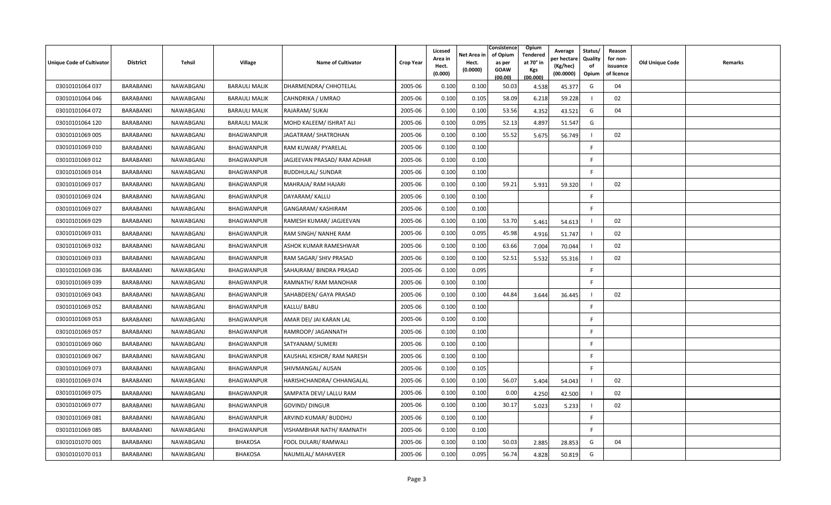| Unique Code of Cultivator | <b>District</b>  | Tehsil    | Village              | <b>Name of Cultivator</b>   | <b>Crop Year</b> | Licesed<br>Area in<br>Hect.<br>(0.000) | Net Area in<br>Hect.<br>(0.0000) | Consistence<br>of Opium<br>as per<br>GOAW<br>(00.00) | Opium<br>Tendered<br>at 70° in<br>Kgs<br>(00.000) | Average<br>oer hectaro<br>(Kg/hec)<br>(00.0000) | Status/<br>Quality<br>of<br>Opium | Reason<br>for non-<br>issuance<br>of licence | Old Unique Code | Remarks |
|---------------------------|------------------|-----------|----------------------|-----------------------------|------------------|----------------------------------------|----------------------------------|------------------------------------------------------|---------------------------------------------------|-------------------------------------------------|-----------------------------------|----------------------------------------------|-----------------|---------|
| 03010101064 037           | <b>BARABANKI</b> | NAWABGANJ | <b>BARAULI MALIK</b> | DHARMENDRA/ CHHOTELAL       | 2005-06          | 0.100                                  | 0.100                            | 50.03                                                | 4.538                                             | 45.377                                          | G                                 | 04                                           |                 |         |
| 03010101064 046           | BARABANKI        | NAWABGANJ | <b>BARAULI MALIK</b> | CAHNDRIKA / UMRAO           | 2005-06          | 0.100                                  | 0.105                            | 58.09                                                | 6.218                                             | 59.228                                          |                                   | 02                                           |                 |         |
| 03010101064 072           | BARABANKI        | NAWABGANJ | <b>BARAULI MALIK</b> | RAJARAM/ SUKAI              | 2005-06          | 0.100                                  | 0.100                            | 53.56                                                | 4.352                                             | 43.521                                          | G                                 | 04                                           |                 |         |
| 03010101064 120           | BARABANKI        | NAWABGANJ | <b>BARAULI MALIK</b> | MOHD KALEEM/ ISHRAT ALI     | 2005-06          | 0.100                                  | 0.095                            | 52.13                                                | 4.897                                             | 51.547                                          | G                                 |                                              |                 |         |
| 03010101069 005           | BARABANKI        | NAWABGANJ | BHAGWANPUR           | JAGATRAM/ SHATROHAN         | 2005-06          | 0.100                                  | 0.100                            | 55.52                                                | 5.675                                             | 56.749                                          |                                   | 02                                           |                 |         |
| 03010101069 010           | BARABANKI        | NAWABGANJ | <b>BHAGWANPUR</b>    | RAM KUWAR/ PYARELAL         | 2005-06          | 0.100                                  | 0.100                            |                                                      |                                                   |                                                 | F.                                |                                              |                 |         |
| 03010101069 012           | BARABANKI        | NAWABGANJ | BHAGWANPUR           | JAGJEEVAN PRASAD/ RAM ADHAR | 2005-06          | 0.100                                  | 0.100                            |                                                      |                                                   |                                                 | F                                 |                                              |                 |         |
| 03010101069 014           | BARABANKI        | NAWABGANJ | BHAGWANPUR           | <b>BUDDHULAL/ SUNDAR</b>    | 2005-06          | 0.100                                  | 0.100                            |                                                      |                                                   |                                                 | F                                 |                                              |                 |         |
| 03010101069 017           | BARABANKI        | NAWABGANJ | BHAGWANPUR           | MAHRAJA/ RAM HAJARI         | 2005-06          | 0.100                                  | 0.100                            | 59.21                                                | 5.931                                             | 59.320                                          |                                   | 02                                           |                 |         |
| 03010101069 024           | <b>BARABANKI</b> | NAWABGANJ | BHAGWANPUR           | DAYARAM/ KALLU              | 2005-06          | 0.100                                  | 0.100                            |                                                      |                                                   |                                                 | F.                                |                                              |                 |         |
| 03010101069 027           | BARABANKI        | NAWABGANJ | BHAGWANPUR           | GANGARAM/ KASHIRAM          | 2005-06          | 0.100                                  | 0.100                            |                                                      |                                                   |                                                 | F.                                |                                              |                 |         |
| 03010101069 029           | BARABANKI        | NAWABGANJ | BHAGWANPUR           | RAMESH KUMAR/ JAGJEEVAN     | 2005-06          | 0.100                                  | 0.100                            | 53.70                                                | 5.461                                             | 54.613                                          |                                   | 02                                           |                 |         |
| 03010101069 031           | BARABANKI        | NAWABGANJ | BHAGWANPUR           | RAM SINGH/ NANHE RAM        | 2005-06          | 0.100                                  | 0.095                            | 45.98                                                | 4.916                                             | 51.747                                          |                                   | 02                                           |                 |         |
| 03010101069 032           | BARABANKI        | NAWABGANJ | BHAGWANPUR           | ASHOK KUMAR RAMESHWAR       | 2005-06          | 0.100                                  | 0.100                            | 63.66                                                | 7.004                                             | 70.044                                          |                                   | 02                                           |                 |         |
| 03010101069 033           | <b>BARABANKI</b> | NAWABGANJ | BHAGWANPUR           | RAM SAGAR/ SHIV PRASAD      | 2005-06          | 0.100                                  | 0.100                            | 52.51                                                | 5.532                                             | 55.316                                          |                                   | 02                                           |                 |         |
| 03010101069 036           | BARABANKI        | NAWABGANJ | BHAGWANPUR           | SAHAJRAM/ BINDRA PRASAD     | 2005-06          | 0.100                                  | 0.095                            |                                                      |                                                   |                                                 | F.                                |                                              |                 |         |
| 03010101069 039           | BARABANKI        | NAWABGANJ | BHAGWANPUR           | RAMNATH/ RAM MANOHAR        | 2005-06          | 0.100                                  | 0.100                            |                                                      |                                                   |                                                 | -F                                |                                              |                 |         |
| 03010101069 043           | BARABANKI        | NAWABGANJ | BHAGWANPUR           | SAHABDEEN/ GAYA PRASAD      | 2005-06          | 0.100                                  | 0.100                            | 44.84                                                | 3.644                                             | 36.445                                          |                                   | 02                                           |                 |         |
| 03010101069 052           | BARABANKI        | NAWABGANJ | BHAGWANPUR           | KALLU/ BABU                 | 2005-06          | 0.100                                  | 0.100                            |                                                      |                                                   |                                                 | F                                 |                                              |                 |         |
| 03010101069 053           | <b>BARABANKI</b> | NAWABGANJ | BHAGWANPUR           | AMAR DEI/ JAI KARAN LAL     | 2005-06          | 0.100                                  | 0.100                            |                                                      |                                                   |                                                 | F.                                |                                              |                 |         |
| 03010101069 057           | <b>BARABANKI</b> | NAWABGANJ | BHAGWANPUR           | RAMROOP/ JAGANNATH          | 2005-06          | 0.100                                  | 0.100                            |                                                      |                                                   |                                                 | E                                 |                                              |                 |         |
| 03010101069 060           | BARABANKI        | NAWABGANJ | BHAGWANPUR           | SATYANAM/ SUMERI            | 2005-06          | 0.100                                  | 0.100                            |                                                      |                                                   |                                                 | F                                 |                                              |                 |         |
| 03010101069 067           | BARABANKI        | NAWABGANJ | <b>BHAGWANPUR</b>    | KAUSHAL KISHOR/RAM NARESH   | 2005-06          | 0.100                                  | 0.100                            |                                                      |                                                   |                                                 | F                                 |                                              |                 |         |
| 03010101069 073           | BARABANKI        | NAWABGANJ | BHAGWANPUR           | SHIVMANGAL/ AUSAN           | 2005-06          | 0.100                                  | 0.105                            |                                                      |                                                   |                                                 | F.                                |                                              |                 |         |
| 03010101069 074           | <b>BARABANKI</b> | NAWABGANJ | BHAGWANPUR           | HARISHCHANDRA/ CHHANGALAL   | 2005-06          | 0.100                                  | 0.100                            | 56.07                                                | 5.404                                             | 54.043                                          |                                   | 02                                           |                 |         |
| 03010101069 075           | BARABANKI        | NAWABGANJ | BHAGWANPUR           | SAMPATA DEVI/ LALLU RAM     | 2005-06          | 0.100                                  | 0.100                            | 0.00                                                 | 4.250                                             | 42.500                                          |                                   | 02                                           |                 |         |
| 03010101069 077           | BARABANKI        | NAWABGANJ | BHAGWANPUR           | <b>GOVIND/ DINGUR</b>       | 2005-06          | 0.100                                  | 0.100                            | 30.17                                                | 5.023                                             | 5.233                                           |                                   | 02                                           |                 |         |
| 03010101069081            | BARABANKI        | NAWABGANJ | BHAGWANPUR           | ARVIND KUMAR/ BUDDHU        | 2005-06          | 0.100                                  | 0.100                            |                                                      |                                                   |                                                 | F.                                |                                              |                 |         |
| 03010101069 085           | BARABANKI        | NAWABGANJ | BHAGWANPUR           | VISHAMBHAR NATH/ RAMNATH    | 2005-06          | 0.100                                  | 0.100                            |                                                      |                                                   |                                                 | F.                                |                                              |                 |         |
| 03010101070 001           | BARABANKI        | NAWABGANJ | <b>BHAKOSA</b>       | FOOL DULARI/ RAMWALI        | 2005-06          | 0.100                                  | 0.100                            | 50.03                                                | 2.885                                             | 28.853                                          | G                                 | 04                                           |                 |         |
| 03010101070013            | BARABANKI        | NAWABGANJ | <b>BHAKOSA</b>       | NAUMILAL/ MAHAVEER          | 2005-06          | 0.100                                  | 0.095                            | 56.74                                                | 4.828                                             | 50.819                                          | G                                 |                                              |                 |         |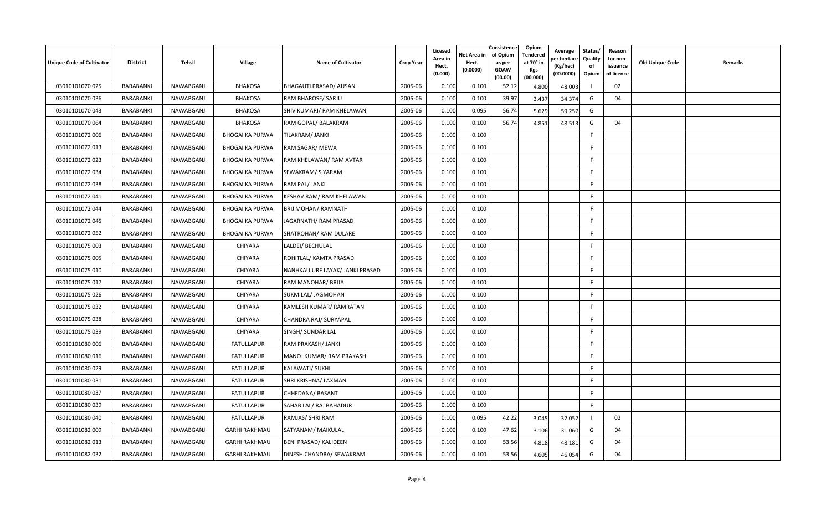| <b>Unique Code of Cultivator</b> | <b>District</b> | Tehsil    | <b>Village</b>         | <b>Name of Cultivator</b>       | <b>Crop Year</b> | Licesed<br>Area in<br>Hect.<br>(0.000) | Net Area in<br>Hect.<br>(0.0000) | Consistence<br>of Opium<br>as per<br><b>GOAW</b><br>(00.00) | Opium<br>Tendered<br>at 70 $^{\circ}$ in<br><b>Kgs</b><br>(00.000) | Average<br>วer hectarง<br>(Kg/hec)<br>(00.0000) | Status/<br>Quality<br>of<br>Opium | Reason<br>for non-<br>issuance<br>of licence | <b>Old Unique Code</b> | Remarks |
|----------------------------------|-----------------|-----------|------------------------|---------------------------------|------------------|----------------------------------------|----------------------------------|-------------------------------------------------------------|--------------------------------------------------------------------|-------------------------------------------------|-----------------------------------|----------------------------------------------|------------------------|---------|
| 03010101070 025                  | BARABANKI       | NAWABGANJ | <b>BHAKOSA</b>         | BHAGAUTI PRASAD/ AUSAN          | 2005-06          | 0.100                                  | 0.100                            | 52.12                                                       | 4.800                                                              | 48.003                                          |                                   | 02                                           |                        |         |
| 03010101070036                   | BARABANKI       | NAWABGANJ | <b>BHAKOSA</b>         | RAM BHAROSE/ SARJU              | 2005-06          | 0.100                                  | 0.100                            | 39.97                                                       | 3.437                                                              | 34.374                                          | G                                 | 04                                           |                        |         |
| 03010101070 043                  | BARABANKI       | NAWABGANJ | <b>BHAKOSA</b>         | SHIV KUMARI/ RAM KHELAWAN       | 2005-06          | 0.100                                  | 0.095                            | 56.74                                                       | 5.629                                                              | 59.257                                          | G                                 |                                              |                        |         |
| 03010101070064                   | BARABANKI       | NAWABGANJ | <b>BHAKOSA</b>         | RAM GOPAL/ BALAKRAM             | 2005-06          | 0.100                                  | 0.100                            | 56.74                                                       | 4.851                                                              | 48.513                                          | G                                 | 04                                           |                        |         |
| 03010101072 006                  | BARABANKI       | NAWABGANJ | <b>BHOGAI KA PURWA</b> | TILAKRAM/ JANKI                 | 2005-06          | 0.100                                  | 0.100                            |                                                             |                                                                    |                                                 | F.                                |                                              |                        |         |
| 03010101072 013                  | BARABANKI       | NAWABGANJ | <b>BHOGAI KA PURWA</b> | RAM SAGAR/ MEWA                 | 2005-06          | 0.100                                  | 0.100                            |                                                             |                                                                    |                                                 | F                                 |                                              |                        |         |
| 03010101072 023                  | BARABANKI       | NAWABGANJ | <b>BHOGAI KA PURWA</b> | RAM KHELAWAN/ RAM AVTAR         | 2005-06          | 0.100                                  | 0.100                            |                                                             |                                                                    |                                                 | E                                 |                                              |                        |         |
| 03010101072 034                  | BARABANKI       | NAWABGANJ | <b>BHOGAI KA PURWA</b> | SEWAKRAM/ SIYARAM               | 2005-06          | 0.100                                  | 0.100                            |                                                             |                                                                    |                                                 | F                                 |                                              |                        |         |
| 03010101072 038                  | BARABANKI       | NAWABGANJ | <b>BHOGAI KA PURWA</b> | RAM PAL/ JANKI                  | 2005-06          | 0.100                                  | 0.100                            |                                                             |                                                                    |                                                 | F                                 |                                              |                        |         |
| 03010101072 041                  | BARABANKI       | NAWABGANJ | <b>BHOGAI KA PURWA</b> | KESHAV RAM/ RAM KHELAWAN        | 2005-06          | 0.100                                  | 0.100                            |                                                             |                                                                    |                                                 | F.                                |                                              |                        |         |
| 03010101072 044                  | BARABANKI       | NAWABGANJ | <b>BHOGAI KA PURWA</b> | BRIJ MOHAN/ RAMNATH             | 2005-06          | 0.100                                  | 0.100                            |                                                             |                                                                    |                                                 | F.                                |                                              |                        |         |
| 03010101072 045                  | BARABANKI       | NAWABGANJ | <b>BHOGAI KA PURWA</b> | JAGARNATH/ RAM PRASAD           | 2005-06          | 0.100                                  | 0.100                            |                                                             |                                                                    |                                                 | F.                                |                                              |                        |         |
| 03010101072 052                  | BARABANKI       | NAWABGANJ | <b>BHOGAI KA PURWA</b> | SHATROHAN/ RAM DULARE           | 2005-06          | 0.100                                  | 0.100                            |                                                             |                                                                    |                                                 | -F                                |                                              |                        |         |
| 03010101075 003                  | BARABANKI       | NAWABGANJ | CHIYARA                | LALDEI/ BECHULAL                | 2005-06          | 0.100                                  | 0.100                            |                                                             |                                                                    |                                                 | F                                 |                                              |                        |         |
| 03010101075 005                  | BARABANKI       | NAWABGANJ | CHIYARA                | ROHITLAL/ KAMTA PRASAD          | 2005-06          | 0.100                                  | 0.100                            |                                                             |                                                                    |                                                 | F.                                |                                              |                        |         |
| 03010101075 010                  | BARABANKI       | NAWABGANJ | CHIYARA                | NANHKAU URF LAYAK/ JANKI PRASAD | 2005-06          | 0.100                                  | 0.100                            |                                                             |                                                                    |                                                 | E                                 |                                              |                        |         |
| 03010101075 017                  | BARABANKI       | NAWABGANJ | CHIYARA                | RAM MANOHAR/ BRIJA              | 2005-06          | 0.100                                  | 0.100                            |                                                             |                                                                    |                                                 | F                                 |                                              |                        |         |
| 03010101075 026                  | BARABANKI       | NAWABGANJ | CHIYARA                | SUKMILAL/ JAGMOHAN              | 2005-06          | 0.100                                  | 0.100                            |                                                             |                                                                    |                                                 | E                                 |                                              |                        |         |
| 03010101075 032                  | BARABANKI       | NAWABGANJ | CHIYARA                | KAMLESH KUMAR/ RAMRATAN         | 2005-06          | 0.100                                  | 0.100                            |                                                             |                                                                    |                                                 | F                                 |                                              |                        |         |
| 03010101075 038                  | BARABANKI       | NAWABGANJ | CHIYARA                | CHANDRA RAJ/ SURYAPAL           | 2005-06          | 0.100                                  | 0.100                            |                                                             |                                                                    |                                                 | F.                                |                                              |                        |         |
| 03010101075 039                  | BARABANKI       | NAWABGANJ | CHIYARA                | SINGH/ SUNDAR LAL               | 2005-06          | 0.100                                  | 0.100                            |                                                             |                                                                    |                                                 | F.                                |                                              |                        |         |
| 03010101080 006                  | BARABANKI       | NAWABGANJ | <b>FATULLAPUR</b>      | RAM PRAKASH/ JANKI              | 2005-06          | 0.100                                  | 0.100                            |                                                             |                                                                    |                                                 | F.                                |                                              |                        |         |
| 03010101080016                   | BARABANKI       | NAWABGANJ | <b>FATULLAPUR</b>      | MANOJ KUMAR/RAM PRAKASH         | 2005-06          | 0.100                                  | 0.100                            |                                                             |                                                                    |                                                 | F                                 |                                              |                        |         |
| 03010101080 029                  | BARABANKI       | NAWABGANJ | <b>FATULLAPUR</b>      | <b>KALAWATI/ SUKHI</b>          | 2005-06          | 0.100                                  | 0.100                            |                                                             |                                                                    |                                                 | F                                 |                                              |                        |         |
| 03010101080 031                  | BARABANKI       | NAWABGANJ | <b>FATULLAPUR</b>      | SHRI KRISHNA/ LAXMAN            | 2005-06          | 0.100                                  | 0.100                            |                                                             |                                                                    |                                                 | F.                                |                                              |                        |         |
| 03010101080 037                  | BARABANKI       | NAWABGANJ | <b>FATULLAPUR</b>      | CHHEDANA/ BASANT                | 2005-06          | 0.100                                  | 0.100                            |                                                             |                                                                    |                                                 | F.                                |                                              |                        |         |
| 03010101080039                   | BARABANKI       | NAWABGANJ | <b>FATULLAPUR</b>      | SAHAB LAL/ RAJ BAHADUR          | 2005-06          | 0.100                                  | 0.100                            |                                                             |                                                                    |                                                 | F.                                |                                              |                        |         |
| 03010101080 040                  | BARABANKI       | NAWABGANJ | <b>FATULLAPUR</b>      | RAMJAS/ SHRI RAM                | 2005-06          | 0.100                                  | 0.095                            | 42.22                                                       | 3.045                                                              | 32.052                                          |                                   | 02                                           |                        |         |
| 03010101082 009                  | BARABANKI       | NAWABGANJ | <b>GARHI RAKHMAU</b>   | SATYANAM/ MAIKULAL              | 2005-06          | 0.100                                  | 0.100                            | 47.62                                                       | 3.106                                                              | 31.060                                          | G                                 | 04                                           |                        |         |
| 03010101082 013                  | BARABANKI       | NAWABGANJ | <b>GARHI RAKHMAU</b>   | BENI PRASAD/ KALIDEEN           | 2005-06          | 0.100                                  | 0.100                            | 53.56                                                       | 4.818                                                              | 48.181                                          | G                                 | 04                                           |                        |         |
| 03010101082 032                  | BARABANKI       | NAWABGANJ | <b>GARHI RAKHMAU</b>   | DINESH CHANDRA/ SEWAKRAM        | 2005-06          | 0.100                                  | 0.100                            | 53.56                                                       | 4.605                                                              | 46.054                                          | G                                 | 04                                           |                        |         |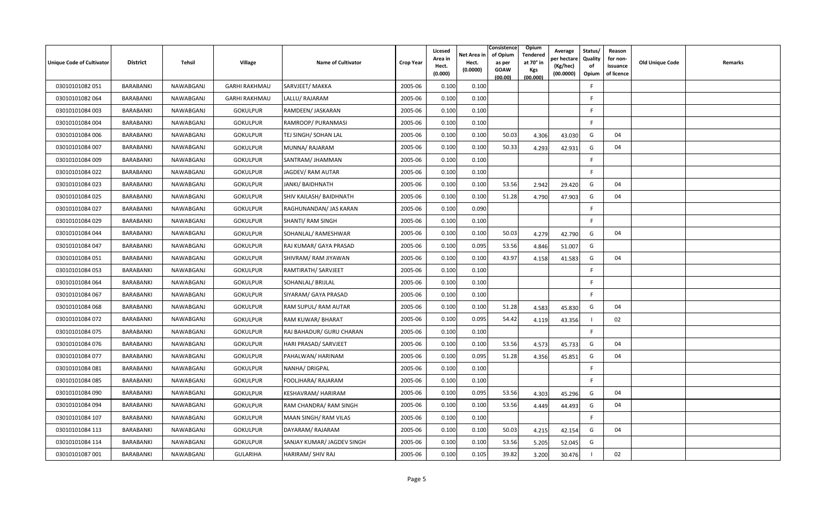| Unique Code of Cultivator | <b>District</b>  | Tehsil    | Village              | <b>Name of Cultivator</b>  | <b>Crop Year</b> | Licesed<br>Area in<br>Hect.<br>(0.000) | Net Area in<br>Hect.<br>(0.0000) | Consistence<br>of Opium<br>as per<br><b>GOAW</b><br>(00.00) | Opium<br>Tendered<br>at 70° in<br>Kgs<br>(00.000) | Average<br>oer hectare<br>(Kg/hec)<br>(00.0000) | Status/<br>Quality<br>of<br>Opium | Reason<br>for non-<br>issuance<br>of licence | <b>Old Unique Code</b> | Remarks |
|---------------------------|------------------|-----------|----------------------|----------------------------|------------------|----------------------------------------|----------------------------------|-------------------------------------------------------------|---------------------------------------------------|-------------------------------------------------|-----------------------------------|----------------------------------------------|------------------------|---------|
| 03010101082 051           | <b>BARABANKI</b> | NAWABGANJ | <b>GARHI RAKHMAU</b> | SARVJEET/ MAKKA            | 2005-06          | 0.100                                  | 0.100                            |                                                             |                                                   |                                                 | F.                                |                                              |                        |         |
| 03010101082064            | BARABANKI        | NAWABGANJ | <b>GARHI RAKHMAU</b> | LALLU/RAJARAM              | 2005-06          | 0.100                                  | 0.100                            |                                                             |                                                   |                                                 | F                                 |                                              |                        |         |
| 03010101084 003           | BARABANKI        | NAWABGANJ | <b>GOKULPUR</b>      | RAMDEEN/ JASKARAN          | 2005-06          | 0.100                                  | 0.100                            |                                                             |                                                   |                                                 | F.                                |                                              |                        |         |
| 03010101084 004           | BARABANKI        | NAWABGANJ | <b>GOKULPUR</b>      | RAMROOP/ PURANMASI         | 2005-06          | 0.100                                  | 0.100                            |                                                             |                                                   |                                                 | E                                 |                                              |                        |         |
| 03010101084 006           | BARABANKI        | NAWABGANJ | <b>GOKULPUR</b>      | TEJ SINGH/ SOHAN LAL       | 2005-06          | 0.100                                  | 0.100                            | 50.03                                                       | 4.306                                             | 43.030                                          | G                                 | 04                                           |                        |         |
| 03010101084 007           | BARABANKI        | NAWABGANJ | <b>GOKULPUR</b>      | MUNNA/ RAJARAM             | 2005-06          | 0.100                                  | 0.100                            | 50.33                                                       | 4.293                                             | 42.931                                          | G                                 | 04                                           |                        |         |
| 03010101084 009           | BARABANKI        | NAWABGANJ | <b>GOKULPUR</b>      | SANTRAM/ JHAMMAN           | 2005-06          | 0.100                                  | 0.100                            |                                                             |                                                   |                                                 | F                                 |                                              |                        |         |
| 03010101084 022           | <b>BARABANKI</b> | NAWABGANJ | <b>GOKULPUR</b>      | JAGDEV/ RAM AUTAR          | 2005-06          | 0.100                                  | 0.100                            |                                                             |                                                   |                                                 | F.                                |                                              |                        |         |
| 03010101084 023           | <b>BARABANKI</b> | NAWABGANJ | <b>GOKULPUR</b>      | JANKI/ BAIDHNATH           | 2005-06          | 0.100                                  | 0.100                            | 53.56                                                       | 2.942                                             | 29.420                                          | G                                 | 04                                           |                        |         |
| 03010101084 025           | BARABANKI        | NAWABGANJ | <b>GOKULPUR</b>      | SHIV KAILASH/ BAIDHNATH    | 2005-06          | 0.100                                  | 0.100                            | 51.28                                                       | 4.790                                             | 47.903                                          | G                                 | 04                                           |                        |         |
| 03010101084 027           | BARABANKI        | NAWABGANJ | <b>GOKULPUR</b>      | RAGHUNANDAN/ JAS KARAN     | 2005-06          | 0.100                                  | 0.090                            |                                                             |                                                   |                                                 | F.                                |                                              |                        |         |
| 03010101084 029           | BARABANKI        | NAWABGANJ | <b>GOKULPUR</b>      | <b>SHANTI/ RAM SINGH</b>   | 2005-06          | 0.100                                  | 0.100                            |                                                             |                                                   |                                                 | E                                 |                                              |                        |         |
| 03010101084 044           | BARABANKI        | NAWABGANJ | <b>GOKULPUR</b>      | SOHANLAL/RAMESHWAR         | 2005-06          | 0.100                                  | 0.100                            | 50.03                                                       | 4.279                                             | 42.790                                          | G                                 | 04                                           |                        |         |
| 03010101084 047           | <b>BARABANKI</b> | NAWABGANJ | <b>GOKULPUR</b>      | RAJ KUMAR/ GAYA PRASAD     | 2005-06          | 0.100                                  | 0.095                            | 53.56                                                       | 4.846                                             | 51.007                                          | G                                 |                                              |                        |         |
| 03010101084 051           | BARABANKI        | NAWABGANJ | <b>GOKULPUR</b>      | SHIVRAM/ RAM JIYAWAN       | 2005-06          | 0.100                                  | 0.100                            | 43.97                                                       | 4.158                                             | 41.583                                          | G                                 | 04                                           |                        |         |
| 03010101084 053           | <b>BARABANKI</b> | NAWABGANJ | <b>GOKULPUR</b>      | RAMTIRATH/ SARVJEET        | 2005-06          | 0.100                                  | 0.100                            |                                                             |                                                   |                                                 | F.                                |                                              |                        |         |
| 03010101084 064           | BARABANKI        | NAWABGANJ | <b>GOKULPUR</b>      | SOHANLAL/ BRIJLAL          | 2005-06          | 0.100                                  | 0.100                            |                                                             |                                                   |                                                 | E                                 |                                              |                        |         |
| 03010101084 067           | BARABANKI        | NAWABGANJ | <b>GOKULPUR</b>      | SIYARAM/ GAYA PRASAD       | 2005-06          | 0.100                                  | 0.100                            |                                                             |                                                   |                                                 | E                                 |                                              |                        |         |
| 03010101084 068           | BARABANKI        | NAWABGANJ | <b>GOKULPUR</b>      | RAM SUPUL/ RAM AUTAR       | 2005-06          | 0.100                                  | 0.100                            | 51.28                                                       | 4.583                                             | 45.830                                          | G                                 | 04                                           |                        |         |
| 03010101084 072           | BARABANKI        | NAWABGANJ | <b>GOKULPUR</b>      | RAM KUWAR/ BHARAT          | 2005-06          | 0.100                                  | 0.095                            | 54.42                                                       | 4.119                                             | 43.356                                          |                                   | 02                                           |                        |         |
| 03010101084 075           | BARABANKI        | NAWABGANJ | <b>GOKULPUR</b>      | RAJ BAHADUR/ GURU CHARAN   | 2005-06          | 0.100                                  | 0.100                            |                                                             |                                                   |                                                 | F.                                |                                              |                        |         |
| 03010101084 076           | BARABANKI        | NAWABGANJ | <b>GOKULPUR</b>      | HARI PRASAD/ SARVJEET      | 2005-06          | 0.100                                  | 0.100                            | 53.56                                                       | 4.573                                             | 45.733                                          | G                                 | 04                                           |                        |         |
| 03010101084 077           | BARABANKI        | NAWABGANJ | <b>GOKULPUR</b>      | PAHALWAN/ HARINAM          | 2005-06          | 0.100                                  | 0.095                            | 51.28                                                       | 4.356                                             | 45.851                                          | G                                 | 04                                           |                        |         |
| 03010101084 081           | BARABANKI        | NAWABGANJ | <b>GOKULPUR</b>      | NANHA/ DRIGPAL             | 2005-06          | 0.100                                  | 0.100                            |                                                             |                                                   |                                                 | F                                 |                                              |                        |         |
| 03010101084 085           | BARABANKI        | NAWABGANJ | <b>GOKULPUR</b>      | FOOLJHARA/ RAJARAM         | 2005-06          | 0.100                                  | 0.100                            |                                                             |                                                   |                                                 | F.                                |                                              |                        |         |
| 03010101084 090           | BARABANKI        | NAWABGANJ | <b>GOKULPUR</b>      | KESHAVRAM/HARIRAM          | 2005-06          | 0.100                                  | 0.095                            | 53.56                                                       | 4.303                                             | 45.296                                          | G                                 | 04                                           |                        |         |
| 03010101084 094           | BARABANKI        | NAWABGANJ | <b>GOKULPUR</b>      | RAM CHANDRA/ RAM SINGH     | 2005-06          | 0.100                                  | 0.100                            | 53.56                                                       | 4.449                                             | 44.493                                          | G                                 | 04                                           |                        |         |
| 03010101084 107           | BARABANKI        | NAWABGANJ | <b>GOKULPUR</b>      | MAAN SINGH/ RAM VILAS      | 2005-06          | 0.100                                  | 0.100                            |                                                             |                                                   |                                                 | -F                                |                                              |                        |         |
| 03010101084 113           | BARABANKI        | NAWABGANJ | <b>GOKULPUR</b>      | DAYARAM/RAJARAM            | 2005-06          | 0.100                                  | 0.100                            | 50.03                                                       | 4.215                                             | 42.154                                          | G                                 | 04                                           |                        |         |
| 03010101084 114           | BARABANKI        | NAWABGANJ | <b>GOKULPUR</b>      | SANJAY KUMAR/ JAGDEV SINGH | 2005-06          | 0.100                                  | 0.100                            | 53.56                                                       | 5.205                                             | 52.045                                          | G                                 |                                              |                        |         |
| 03010101087 001           | BARABANKI        | NAWABGANJ | <b>GULARIHA</b>      | HARIRAM/ SHIV RAJ          | 2005-06          | 0.100                                  | 0.105                            | 39.82                                                       | 3.200                                             | 30.476                                          |                                   | 02                                           |                        |         |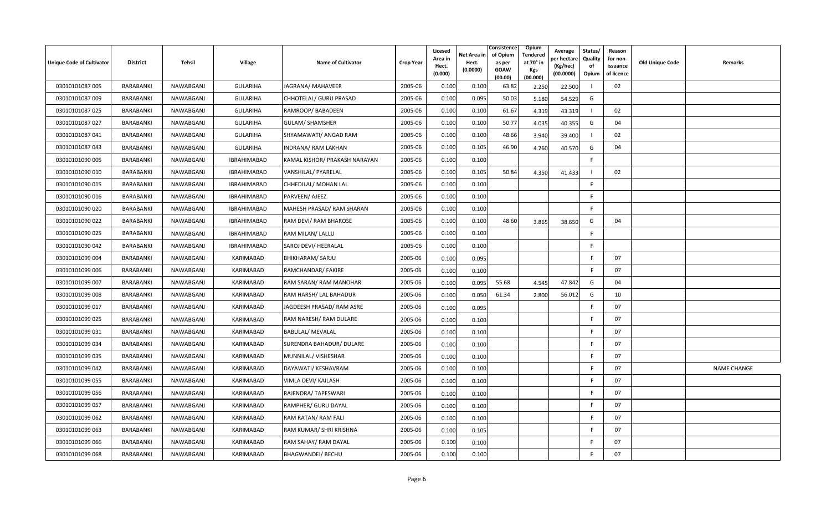| <b>Unique Code of Cultivator</b> | <b>District</b>  | Tehsil    | <b>Village</b>     | <b>Name of Cultivator</b>       | <b>Crop Year</b> | Licesed<br>Area in<br>Hect.<br>(0.000) | Net Area in<br>Hect.<br>(0.0000) | Consistence<br>of Opium<br>as per<br><b>GOAW</b><br>(00.00) | Opium<br>Tendered<br>at 70 $^{\circ}$ in<br><b>Kgs</b><br>(00.000) | Average<br>วer hectarง<br>(Kg/hec)<br>(00.0000) | Status/<br>Quality<br>of<br>Opium | Reason<br>for non-<br>issuance<br>of licence | <b>Old Unique Code</b> | Remarks            |
|----------------------------------|------------------|-----------|--------------------|---------------------------------|------------------|----------------------------------------|----------------------------------|-------------------------------------------------------------|--------------------------------------------------------------------|-------------------------------------------------|-----------------------------------|----------------------------------------------|------------------------|--------------------|
| 03010101087 005                  | BARABANKI        | NAWABGANJ | <b>GULARIHA</b>    | JAGRANA/ MAHAVEER               | 2005-06          | 0.100                                  | 0.100                            | 63.82                                                       | 2.250                                                              | 22.500                                          |                                   | 02                                           |                        |                    |
| 03010101087 009                  | BARABANKI        | NAWABGANJ | <b>GULARIHA</b>    | CHHOTELAL/ GURU PRASAD          | 2005-06          | 0.100                                  | 0.095                            | 50.03                                                       | 5.180                                                              | 54.529                                          | G                                 |                                              |                        |                    |
| 03010101087 025                  | BARABANKI        | NAWABGANJ | <b>GULARIHA</b>    | RAMROOP/BABADEEN                | 2005-06          | 0.100                                  | 0.100                            | 61.67                                                       | 4.319                                                              | 43.319                                          |                                   | 02                                           |                        |                    |
| 03010101087 027                  | BARABANKI        | NAWABGANJ | <b>GULARIHA</b>    | <b>GULAM/ SHAMSHER</b>          | 2005-06          | 0.100                                  | 0.100                            | 50.77                                                       | 4.035                                                              | 40.355                                          | G                                 | 04                                           |                        |                    |
| 03010101087 041                  | <b>BARABANKI</b> | NAWABGANJ | <b>GULARIHA</b>    | SHYAMAWATI/ ANGAD RAM           | 2005-06          | 0.100                                  | 0.100                            | 48.66                                                       | 3.940                                                              | 39.400                                          |                                   | 02                                           |                        |                    |
| 03010101087 043                  | BARABANKI        | NAWABGANJ | <b>GULARIHA</b>    | INDRANA/ RAM LAKHAN             | 2005-06          | 0.100                                  | 0.105                            | 46.90                                                       | 4.260                                                              | 40.570                                          | G                                 | 04                                           |                        |                    |
| 03010101090 005                  | BARABANKI        | NAWABGANJ | <b>IBRAHIMABAD</b> | KAMAL KISHOR/ PRAKASH NARAYAN   | 2005-06          | 0.100                                  | 0.100                            |                                                             |                                                                    |                                                 | F.                                |                                              |                        |                    |
| 03010101090 010                  | <b>BARABANKI</b> | NAWABGANJ | <b>IBRAHIMABAD</b> | VANSHILAL/ PYARELAL             | 2005-06          | 0.100                                  | 0.105                            | 50.84                                                       | 4.350                                                              | 41.433                                          |                                   | 02                                           |                        |                    |
| 03010101090 015                  | BARABANKI        | NAWABGANJ | <b>IBRAHIMABAD</b> | CHHEDILAL/ MOHAN LAL            | 2005-06          | 0.100                                  | 0.100                            |                                                             |                                                                    |                                                 | F.                                |                                              |                        |                    |
| 03010101090 016                  | BARABANKI        | NAWABGANJ | <b>IBRAHIMABAD</b> | PARVEEN/ AJEEZ                  | 2005-06          | 0.100                                  | 0.100                            |                                                             |                                                                    |                                                 | F.                                |                                              |                        |                    |
| 03010101090 020                  | BARABANKI        | NAWABGANJ | <b>IBRAHIMABAD</b> | MAHESH PRASAD/ RAM SHARAN       | 2005-06          | 0.100                                  | 0.100                            |                                                             |                                                                    |                                                 | F.                                |                                              |                        |                    |
| 03010101090 022                  | BARABANKI        | NAWABGANJ | <b>IBRAHIMABAD</b> | RAM DEVI/ RAM BHAROSE           | 2005-06          | 0.100                                  | 0.100                            | 48.60                                                       | 3.865                                                              | 38.650                                          | G                                 | 04                                           |                        |                    |
| 03010101090 025                  | <b>BARABANKI</b> | NAWABGANJ | IBRAHIMABAD        | RAM MILAN/ LALLU                | 2005-06          | 0.100                                  | 0.100                            |                                                             |                                                                    |                                                 | F.                                |                                              |                        |                    |
| 03010101090 042                  | BARABANKI        | NAWABGANJ | <b>IBRAHIMABAD</b> | SAROJ DEVI/ HEERALAL            | 2005-06          | 0.100                                  | 0.100                            |                                                             |                                                                    |                                                 | F                                 |                                              |                        |                    |
| 03010101099 004                  | BARABANKI        | NAWABGANJ | KARIMABAD          | <b>BHIKHARAM/ SARJU</b>         | 2005-06          | 0.100                                  | 0.095                            |                                                             |                                                                    |                                                 | F.                                | 07                                           |                        |                    |
| 03010101099 006                  | BARABANKI        | NAWABGANJ | KARIMABAD          | RAMCHANDAR/ FAKIRE              | 2005-06          | 0.100                                  | 0.100                            |                                                             |                                                                    |                                                 | F.                                | 07                                           |                        |                    |
| 03010101099 007                  | BARABANKI        | NAWABGANJ | KARIMABAD          | RAM SARAN/ RAM MANOHAR          | 2005-06          | 0.100                                  | 0.095                            | 55.68                                                       | 4.545                                                              | 47.842                                          | G                                 | 04                                           |                        |                    |
| 03010101099 008                  | BARABANKI        | NAWABGANJ | KARIMABAD          | RAM HARSH/ LAL BAHADUR          | 2005-06          | 0.100                                  | 0.050                            | 61.34                                                       | 2.800                                                              | 56.012                                          | G                                 | 10                                           |                        |                    |
| 03010101099 017                  | BARABANKI        | NAWABGANJ | KARIMABAD          | JAGDEESH PRASAD/ RAM ASRE       | 2005-06          | 0.100                                  | 0.095                            |                                                             |                                                                    |                                                 | F                                 | 07                                           |                        |                    |
| 03010101099 025                  | BARABANKI        | NAWABGANJ | <b>KARIMABAD</b>   | RAM NARESH/RAM DULARE           | 2005-06          | 0.100                                  | 0.100                            |                                                             |                                                                    |                                                 | F                                 | 07                                           |                        |                    |
| 03010101099 031                  | BARABANKI        | NAWABGANJ | KARIMABAD          | <b>BABULAL/ MEVALAL</b>         | 2005-06          | 0.100                                  | 0.100                            |                                                             |                                                                    |                                                 | F                                 | 07                                           |                        |                    |
| 03010101099 034                  | <b>BARABANKI</b> | NAWABGANJ | <b>KARIMABAD</b>   | <b>SURENDRA BAHADUR/ DULARE</b> | 2005-06          | 0.100                                  | 0.100                            |                                                             |                                                                    |                                                 | F                                 | 07                                           |                        |                    |
| 03010101099 035                  | BARABANKI        | NAWABGANJ | KARIMABAD          | MUNNILAL/ VISHESHAR             | 2005-06          | 0.100                                  | 0.100                            |                                                             |                                                                    |                                                 | F.                                | 07                                           |                        |                    |
| 03010101099 042                  | BARABANKI        | NAWABGANJ | KARIMABAD          | DAYAWATI/ KESHAVRAM             | 2005-06          | 0.100                                  | 0.100                            |                                                             |                                                                    |                                                 | F                                 | 07                                           |                        | <b>NAME CHANGE</b> |
| 03010101099 055                  | BARABANKI        | NAWABGANJ | KARIMABAD          | VIMLA DEVI/ KAILASH             | 2005-06          | 0.100                                  | 0.100                            |                                                             |                                                                    |                                                 | F.                                | 07                                           |                        |                    |
| 03010101099 056                  | BARABANKI        | NAWABGANJ | KARIMABAD          | RAJENDRA/ TAPESWARI             | 2005-06          | 0.100                                  | 0.100                            |                                                             |                                                                    |                                                 | F                                 | 07                                           |                        |                    |
| 03010101099 057                  | BARABANKI        | NAWABGANJ | KARIMABAD          | RAMPHER/ GURU DAYAL             | 2005-06          | 0.100                                  | 0.100                            |                                                             |                                                                    |                                                 | F                                 | 07                                           |                        |                    |
| 03010101099 062                  | BARABANKI        | NAWABGANJ | KARIMABAD          | RAM RATAN/ RAM FALI             | 2005-06          | 0.100                                  | 0.100                            |                                                             |                                                                    |                                                 | F                                 | 07                                           |                        |                    |
| 03010101099 063                  | BARABANKI        | NAWABGANJ | KARIMABAD          | RAM KUMAR/ SHRI KRISHNA         | 2005-06          | 0.100                                  | 0.105                            |                                                             |                                                                    |                                                 | F                                 | 07                                           |                        |                    |
| 03010101099 066                  | BARABANKI        | NAWABGANJ | KARIMABAD          | RAM SAHAY/ RAM DAYAL            | 2005-06          | 0.100                                  | 0.100                            |                                                             |                                                                    |                                                 | F                                 | 07                                           |                        |                    |
| 03010101099 068                  | BARABANKI        | NAWABGANJ | KARIMABAD          | <b>BHAGWANDEI/ BECHU</b>        | 2005-06          | 0.100                                  | 0.100                            |                                                             |                                                                    |                                                 |                                   | 07                                           |                        |                    |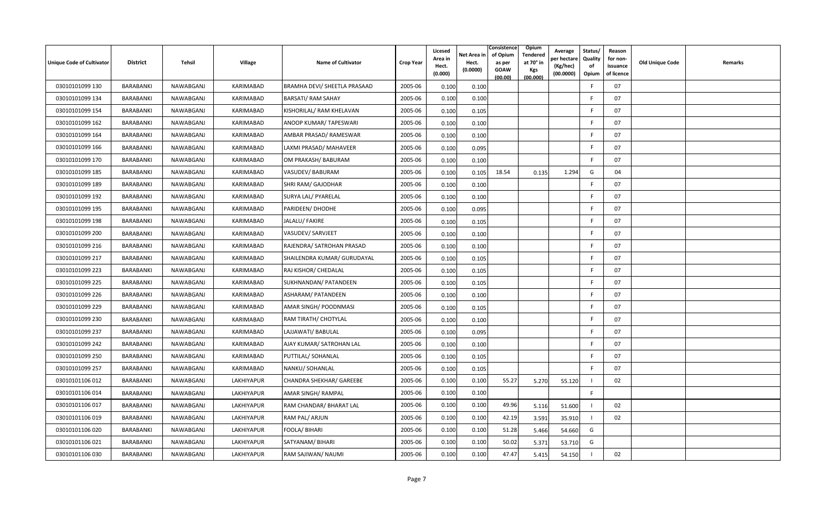| Unique Code of Cultivator | <b>District</b> | Tehsil    | Village          | <b>Name of Cultivator</b>    | <b>Crop Year</b> | Licesed<br>Area in<br>Hect.<br>(0.000) | Net Area in<br>Hect.<br>(0.0000) | Consistence<br>of Opium<br>as per<br><b>GOAW</b><br>(00.00) | Opium<br><b>Tendered</b><br>at 70° in<br>Kgs<br>(00.000) | Average<br>oer hectare<br>(Kg/hec)<br>(00.0000) | Status/<br>Quality<br>of<br>Opium | Reason<br>for non-<br>issuance<br>of licence | Old Unique Code | Remarks |
|---------------------------|-----------------|-----------|------------------|------------------------------|------------------|----------------------------------------|----------------------------------|-------------------------------------------------------------|----------------------------------------------------------|-------------------------------------------------|-----------------------------------|----------------------------------------------|-----------------|---------|
| 03010101099 130           | BARABANKI       | NAWABGANJ | KARIMABAD        | BRAMHA DEVI/ SHEETLA PRASAAD | 2005-06          | 0.100                                  | 0.100                            |                                                             |                                                          |                                                 | E                                 | 07                                           |                 |         |
| 03010101099 134           | BARABANKI       | NAWABGANJ | <b>KARIMABAD</b> | <b>BARSATI/ RAM SAHAY</b>    | 2005-06          | 0.100                                  | 0.100                            |                                                             |                                                          |                                                 | F                                 | 07                                           |                 |         |
| 03010101099 154           | BARABANKI       | NAWABGANJ | KARIMABAD        | KISHORILAL/ RAM KHELAVAN     | 2005-06          | 0.100                                  | 0.105                            |                                                             |                                                          |                                                 | E                                 | 07                                           |                 |         |
| 03010101099 162           | BARABANKI       | NAWABGANJ | KARIMABAD        | ANOOP KUMAR/ TAPESWARI       | 2005-06          | 0.100                                  | 0.100                            |                                                             |                                                          |                                                 | F                                 | 07                                           |                 |         |
| 03010101099 164           | BARABANKI       | NAWABGANJ | KARIMABAD        | AMBAR PRASAD/ RAMESWAR       | 2005-06          | 0.100                                  | 0.100                            |                                                             |                                                          |                                                 | -F                                | 07                                           |                 |         |
| 03010101099 166           | BARABANKI       | NAWABGANJ | KARIMABAD        | LAXMI PRASAD/ MAHAVEER       | 2005-06          | 0.100                                  | 0.095                            |                                                             |                                                          |                                                 | E                                 | 07                                           |                 |         |
| 03010101099 170           | BARABANKI       | NAWABGANJ | <b>KARIMABAD</b> | OM PRAKASH/ BABURAM          | 2005-06          | 0.100                                  | 0.100                            |                                                             |                                                          |                                                 | F.                                | 07                                           |                 |         |
| 03010101099 185           | BARABANKI       | NAWABGANJ | KARIMABAD        | VASUDEV/ BABURAM             | 2005-06          | 0.100                                  | 0.105                            | 18.54                                                       | 0.135                                                    | 1.294                                           | G                                 | 04                                           |                 |         |
| 03010101099 189           | BARABANKI       | NAWABGANJ | KARIMABAD        | SHRI RAM/ GAJODHAR           | 2005-06          | 0.100                                  | 0.100                            |                                                             |                                                          |                                                 | E                                 | 07                                           |                 |         |
| 03010101099 192           | BARABANKI       | NAWABGANJ | KARIMABAD        | SURYA LAL/ PYARELAL          | 2005-06          | 0.100                                  | 0.100                            |                                                             |                                                          |                                                 | F                                 | 07                                           |                 |         |
| 03010101099 195           | BARABANKI       | NAWABGANJ | KARIMABAD        | PARIDEEN/ DHODHE             | 2005-06          | 0.100                                  | 0.095                            |                                                             |                                                          |                                                 | -F                                | 07                                           |                 |         |
| 03010101099 198           | BARABANKI       | NAWABGANJ | KARIMABAD        | JALALU/ FAKIRE               | 2005-06          | 0.100                                  | 0.105                            |                                                             |                                                          |                                                 | -F                                | 07                                           |                 |         |
| 03010101099 200           | BARABANKI       | NAWABGANJ | KARIMABAD        | VASUDEV/ SARVJEET            | 2005-06          | 0.100                                  | 0.100                            |                                                             |                                                          |                                                 | F                                 | 07                                           |                 |         |
| 03010101099 216           | BARABANKI       | NAWABGANJ | KARIMABAD        | RAJENDRA/ SATROHAN PRASAD    | 2005-06          | 0.100                                  | 0.100                            |                                                             |                                                          |                                                 | E                                 | 07                                           |                 |         |
| 03010101099 217           | BARABANKI       | NAWABGANJ | <b>KARIMABAD</b> | SHAILENDRA KUMAR/ GURUDAYAL  | 2005-06          | 0.100                                  | 0.105                            |                                                             |                                                          |                                                 | E                                 | 07                                           |                 |         |
| 03010101099 223           | BARABANKI       | NAWABGANJ | KARIMABAD        | RAJ KISHOR/ CHEDALAL         | 2005-06          | 0.100                                  | 0.105                            |                                                             |                                                          |                                                 | E                                 | 07                                           |                 |         |
| 03010101099 225           | BARABANKI       | NAWABGANJ | KARIMABAD        | SUKHNANDAN/ PATANDEEN        | 2005-06          | 0.100                                  | 0.105                            |                                                             |                                                          |                                                 | F                                 | 07                                           |                 |         |
| 03010101099 226           | BARABANKI       | NAWABGANJ | KARIMABAD        | ASHARAM/ PATANDEEN           | 2005-06          | 0.100                                  | 0.100                            |                                                             |                                                          |                                                 | F                                 | 07                                           |                 |         |
| 03010101099 229           | BARABANKI       | NAWABGANJ | KARIMABAD        | AMAR SINGH/ POODNMASI        | 2005-06          | 0.100                                  | 0.105                            |                                                             |                                                          |                                                 | E                                 | 07                                           |                 |         |
| 03010101099 230           | BARABANKI       | NAWABGANJ | KARIMABAD        | RAM TIRATH/ CHOTYLAL         | 2005-06          | 0.100                                  | 0.100                            |                                                             |                                                          |                                                 | -F                                | 07                                           |                 |         |
| 03010101099 237           | BARABANKI       | NAWABGANJ | KARIMABAD        | LAJJAWATI/ BABULAL           | 2005-06          | 0.100                                  | 0.095                            |                                                             |                                                          |                                                 | -F                                | 07                                           |                 |         |
| 03010101099 242           | BARABANKI       | NAWABGANJ | KARIMABAD        | AJAY KUMAR/ SATROHAN LAL     | 2005-06          | 0.100                                  | 0.100                            |                                                             |                                                          |                                                 | F                                 | 07                                           |                 |         |
| 03010101099 250           | BARABANKI       | NAWABGANJ | KARIMABAD        | PUTTILAL/ SOHANLAL           | 2005-06          | 0.100                                  | 0.105                            |                                                             |                                                          |                                                 | E                                 | 07                                           |                 |         |
| 03010101099 257           | BARABANKI       | NAWABGANJ | KARIMABAD        | NANKU/ SOHANLAL              | 2005-06          | 0.100                                  | 0.105                            |                                                             |                                                          |                                                 | E                                 | 07                                           |                 |         |
| 03010101106 012           | BARABANKI       | NAWABGANJ | LAKHIYAPUR       | CHANDRA SHEKHAR/ GAREEBE     | 2005-06          | 0.100                                  | 0.100                            | 55.27                                                       | 5.270                                                    | 55.120                                          | - 1                               | 02                                           |                 |         |
| 03010101106014            | BARABANKI       | NAWABGANJ | LAKHIYAPUR       | <b>AMAR SINGH/ RAMPAL</b>    | 2005-06          | 0.100                                  | 0.100                            |                                                             |                                                          |                                                 | F.                                |                                              |                 |         |
| 03010101106 017           | BARABANKI       | NAWABGANJ | LAKHIYAPUR       | RAM CHANDAR/ BHARAT LAL      | 2005-06          | 0.100                                  | 0.100                            | 49.96                                                       | 5.116                                                    | 51.600                                          |                                   | 02                                           |                 |         |
| 03010101106 019           | BARABANKI       | NAWABGANJ | LAKHIYAPUR       | RAM PAL/ ARJUN               | 2005-06          | 0.100                                  | 0.100                            | 42.19                                                       | 3.591                                                    | 35.910                                          | $\overline{\phantom{a}}$          | 02                                           |                 |         |
| 03010101106 020           | BARABANKI       | NAWABGANJ | LAKHIYAPUR       | FOOLA/ BIHARI                | 2005-06          | 0.100                                  | 0.100                            | 51.28                                                       | 5.466                                                    | 54.660                                          | G                                 |                                              |                 |         |
| 03010101106021            | BARABANKI       | NAWABGANJ | LAKHIYAPUR       | SATYANAM/ BIHARI             | 2005-06          | 0.100                                  | 0.100                            | 50.02                                                       | 5.371                                                    | 53.710                                          | G                                 |                                              |                 |         |
| 03010101106 030           | BARABANKI       | NAWABGANJ | LAKHIYAPUR       | RAM SAJIWAN/ NAUMI           | 2005-06          | 0.100                                  | 0.100                            | 47.47                                                       | 5.415                                                    | 54.150                                          |                                   | 02                                           |                 |         |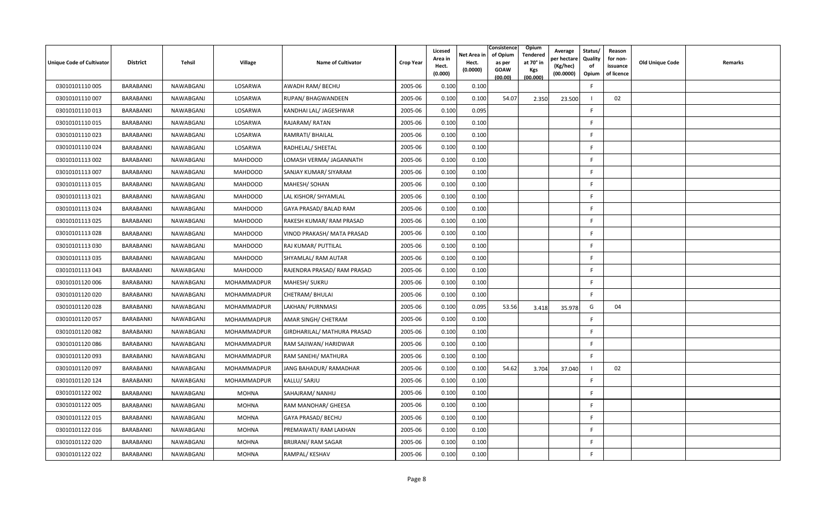| <b>Unique Code of Cultivator</b> | <b>District</b>  | Tehsil    | <b>Village</b> | <b>Name of Cultivator</b>   | <b>Crop Year</b> | Licesed<br>Area in<br>Hect.<br>(0.000) | Net Area in<br>Hect.<br>(0.0000) | Consistence<br>of Opium<br>as per<br><b>GOAW</b><br>(00.00) | Opium<br>Tendered<br>at 70 $^{\circ}$ in<br><b>Kgs</b><br>(00.000) | Average<br>er hectar<br>(Kg/hec)<br>(00.0000) | Status/<br>Quality<br>of<br>Opium | Reason<br>for non-<br>issuance<br>of licence | <b>Old Unique Code</b> | Remarks |
|----------------------------------|------------------|-----------|----------------|-----------------------------|------------------|----------------------------------------|----------------------------------|-------------------------------------------------------------|--------------------------------------------------------------------|-----------------------------------------------|-----------------------------------|----------------------------------------------|------------------------|---------|
| 03010101110005                   | BARABANKI        | NAWABGANJ | LOSARWA        | AWADH RAM/ BECHU            | 2005-06          | 0.100                                  | 0.100                            |                                                             |                                                                    |                                               | $\mathsf{F}$                      |                                              |                        |         |
| 03010101110007                   | BARABANKI        | NAWABGANJ | LOSARWA        | RUPAN/BHAGWANDEEN           | 2005-06          | 0.100                                  | 0.100                            | 54.07                                                       | 2.350                                                              | 23.500                                        |                                   | 02                                           |                        |         |
| 03010101110013                   | BARABANKI        | NAWABGANJ | LOSARWA        | KANDHAI LAL/ JAGESHWAR      | 2005-06          | 0.100                                  | 0.095                            |                                                             |                                                                    |                                               | F.                                |                                              |                        |         |
| 03010101110015                   | BARABANKI        | NAWABGANJ | LOSARWA        | RAJARAM/RATAN               | 2005-06          | 0.100                                  | 0.100                            |                                                             |                                                                    |                                               | F                                 |                                              |                        |         |
| 03010101110023                   | BARABANKI        | NAWABGANJ | LOSARWA        | RAMRATI/ BHAILAL            | 2005-06          | 0.100                                  | 0.100                            |                                                             |                                                                    |                                               | F.                                |                                              |                        |         |
| 03010101110024                   | BARABANKI        | NAWABGANJ | LOSARWA        | RADHELAL/ SHEETAL           | 2005-06          | 0.100                                  | 0.100                            |                                                             |                                                                    |                                               | F.                                |                                              |                        |         |
| 03010101113 002                  | BARABANKI        | NAWABGANJ | <b>MAHDOOD</b> | LOMASH VERMA/ JAGANNATH     | 2005-06          | 0.100                                  | 0.100                            |                                                             |                                                                    |                                               | F.                                |                                              |                        |         |
| 03010101113 007                  | BARABANKI        | NAWABGANJ | <b>MAHDOOD</b> | SANJAY KUMAR/ SIYARAM       | 2005-06          | 0.100                                  | 0.100                            |                                                             |                                                                    |                                               | $\mathsf{F}$                      |                                              |                        |         |
| 03010101113 015                  | BARABANKI        | NAWABGANJ | <b>MAHDOOD</b> | MAHESH/ SOHAN               | 2005-06          | 0.100                                  | 0.100                            |                                                             |                                                                    |                                               | F                                 |                                              |                        |         |
| 03010101113021                   | BARABANKI        | NAWABGANJ | <b>MAHDOOD</b> | LAL KISHOR/ SHYAMLAL        | 2005-06          | 0.100                                  | 0.100                            |                                                             |                                                                    |                                               | F.                                |                                              |                        |         |
| 03010101113024                   | BARABANKI        | NAWABGANJ | <b>MAHDOOD</b> | GAYA PRASAD/ BALAD RAM      | 2005-06          | 0.100                                  | 0.100                            |                                                             |                                                                    |                                               | F.                                |                                              |                        |         |
| 03010101113025                   | BARABANKI        | NAWABGANJ | <b>MAHDOOD</b> | RAKESH KUMAR/ RAM PRASAD    | 2005-06          | 0.100                                  | 0.100                            |                                                             |                                                                    |                                               | F.                                |                                              |                        |         |
| 03010101113028                   | BARABANKI        | NAWABGANJ | <b>MAHDOOD</b> | VINOD PRAKASH/ MATA PRASAD  | 2005-06          | 0.100                                  | 0.100                            |                                                             |                                                                    |                                               | F.                                |                                              |                        |         |
| 03010101113030                   | BARABANKI        | NAWABGANJ | <b>MAHDOOD</b> | RAJ KUMAR/ PUTTILAL         | 2005-06          | 0.100                                  | 0.100                            |                                                             |                                                                    |                                               | F                                 |                                              |                        |         |
| 03010101113 035                  | BARABANKI        | NAWABGANJ | <b>MAHDOOD</b> | SHYAMLAL/ RAM AUTAR         | 2005-06          | 0.100                                  | 0.100                            |                                                             |                                                                    |                                               | F.                                |                                              |                        |         |
| 03010101113 043                  | BARABANKI        | NAWABGANJ | <b>MAHDOOD</b> | RAJENDRA PRASAD/ RAM PRASAD | 2005-06          | 0.100                                  | 0.100                            |                                                             |                                                                    |                                               | F                                 |                                              |                        |         |
| 03010101120 006                  | BARABANKI        | NAWABGANJ | MOHAMMADPUR    | MAHESH/ SUKRU               | 2005-06          | 0.100                                  | 0.100                            |                                                             |                                                                    |                                               | F                                 |                                              |                        |         |
| 03010101120020                   | BARABANKI        | NAWABGANJ | MOHAMMADPUR    | CHETRAM/ BHULAI             | 2005-06          | 0.100                                  | 0.100                            |                                                             |                                                                    |                                               | F.                                |                                              |                        |         |
| 03010101120028                   | BARABANKI        | NAWABGANJ | MOHAMMADPUR    | LAKHAN/ PURNMASI            | 2005-06          | 0.100                                  | 0.095                            | 53.56                                                       | 3.418                                                              | 35.978                                        | G                                 | 04                                           |                        |         |
| 03010101120057                   | <b>BARABANKI</b> | NAWABGANJ | MOHAMMADPUR    | AMAR SINGH/ CHETRAM         | 2005-06          | 0.100                                  | 0.100                            |                                                             |                                                                    |                                               | F.                                |                                              |                        |         |
| 03010101120082                   | BARABANKI        | NAWABGANJ | MOHAMMADPUR    | GIRDHARILAL/ MATHURA PRASAD | 2005-06          | 0.100                                  | 0.100                            |                                                             |                                                                    |                                               | F.                                |                                              |                        |         |
| 03010101120086                   | BARABANKI        | NAWABGANJ | MOHAMMADPUR    | RAM SAJIWAN/ HARIDWAR       | 2005-06          | 0.100                                  | 0.100                            |                                                             |                                                                    |                                               | F.                                |                                              |                        |         |
| 03010101120093                   | BARABANKI        | NAWABGANJ | MOHAMMADPUR    | RAM SANEHI/ MATHURA         | 2005-06          | 0.100                                  | 0.100                            |                                                             |                                                                    |                                               | F.                                |                                              |                        |         |
| 03010101120097                   | BARABANKI        | NAWABGANJ | MOHAMMADPUR    | JANG BAHADUR/ RAMADHAR      | 2005-06          | 0.100                                  | 0.100                            | 54.62                                                       | 3.704                                                              | 37.040                                        |                                   | 02                                           |                        |         |
| 03010101120 124                  | <b>BARABANKI</b> | NAWABGANJ | MOHAMMADPUR    | KALLU/ SARJU                | 2005-06          | 0.100                                  | 0.100                            |                                                             |                                                                    |                                               | F.                                |                                              |                        |         |
| 03010101122 002                  | BARABANKI        | NAWABGANJ | MOHNA          | SAHAJRAM/ NANHU             | 2005-06          | 0.100                                  | 0.100                            |                                                             |                                                                    |                                               | F.                                |                                              |                        |         |
| 03010101122 005                  | BARABANKI        | NAWABGANJ | <b>MOHNA</b>   | RAM MANOHAR/ GHEESA         | 2005-06          | 0.100                                  | 0.100                            |                                                             |                                                                    |                                               | F                                 |                                              |                        |         |
| 03010101122 015                  | BARABANKI        | NAWABGANJ | <b>MOHNA</b>   | GAYA PRASAD/ BECHU          | 2005-06          | 0.100                                  | 0.100                            |                                                             |                                                                    |                                               | F                                 |                                              |                        |         |
| 03010101122016                   | BARABANKI        | NAWABGANJ | <b>MOHNA</b>   | PREMAWATI/ RAM LAKHAN       | 2005-06          | 0.100                                  | 0.100                            |                                                             |                                                                    |                                               | F.                                |                                              |                        |         |
| 03010101122 020                  | BARABANKI        | NAWABGANJ | <b>MOHNA</b>   | <b>BRIJRANI/ RAM SAGAR</b>  | 2005-06          | 0.100                                  | 0.100                            |                                                             |                                                                    |                                               | F.                                |                                              |                        |         |
| 03010101122 022                  | BARABANKI        | NAWABGANJ | <b>MOHNA</b>   | RAMPAL/ KESHAV              | 2005-06          | 0.100                                  | 0.100                            |                                                             |                                                                    |                                               | F                                 |                                              |                        |         |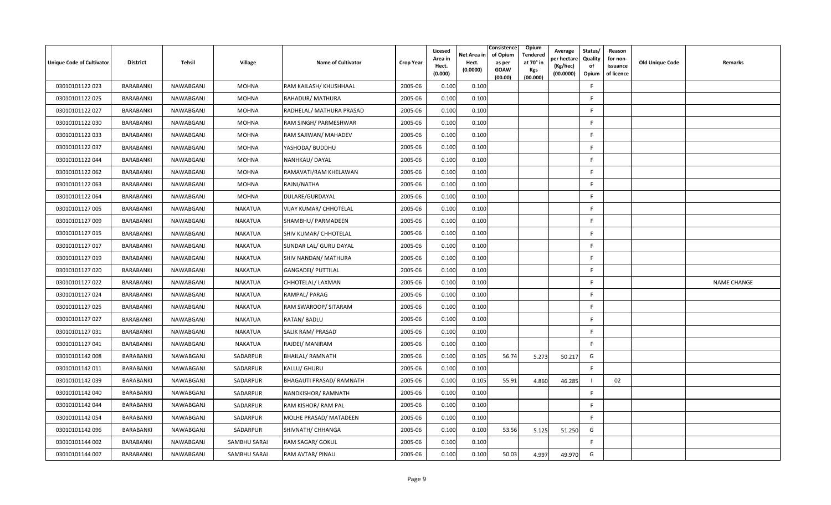| Unique Code of Cultivator | <b>District</b>  | Tehsil    | Village        | <b>Name of Cultivator</b> | <b>Crop Year</b> | Licesed<br>Area in<br>Hect.<br>(0.000) | Net Area in<br>Hect.<br>(0.0000) | Consistence<br>of Opium<br>as per<br><b>GOAW</b><br>(00.00) | Opium<br><b>Tendered</b><br>at 70° in<br>Kgs<br>(00.000) | Average<br>oer hectare<br>(Kg/hec)<br>(00.0000) | Status/<br>Quality<br>of<br>Opium | Reason<br>for non-<br>issuance<br>of licence | Old Unique Code | Remarks            |
|---------------------------|------------------|-----------|----------------|---------------------------|------------------|----------------------------------------|----------------------------------|-------------------------------------------------------------|----------------------------------------------------------|-------------------------------------------------|-----------------------------------|----------------------------------------------|-----------------|--------------------|
| 03010101122 023           | BARABANKI        | NAWABGANJ | <b>MOHNA</b>   | RAM KAILASH/ KHUSHHAAL    | 2005-06          | 0.100                                  | 0.100                            |                                                             |                                                          |                                                 | E                                 |                                              |                 |                    |
| 03010101122 025           | BARABANKI        | NAWABGANJ | MOHNA          | <b>BAHADUR/ MATHURA</b>   | 2005-06          | 0.100                                  | 0.100                            |                                                             |                                                          |                                                 | F                                 |                                              |                 |                    |
| 03010101122 027           | BARABANKI        | NAWABGANJ | <b>MOHNA</b>   | RADHELAL/ MATHURA PRASAD  | 2005-06          | 0.100                                  | 0.100                            |                                                             |                                                          |                                                 | F.                                |                                              |                 |                    |
| 03010101122 030           | BARABANKI        | NAWABGANJ | <b>MOHNA</b>   | RAM SINGH/ PARMESHWAR     | 2005-06          | 0.100                                  | 0.100                            |                                                             |                                                          |                                                 | F                                 |                                              |                 |                    |
| 03010101122 033           | BARABANKI        | NAWABGANJ | <b>MOHNA</b>   | RAM SAJIWAN/ MAHADEV      | 2005-06          | 0.100                                  | 0.100                            |                                                             |                                                          |                                                 | E                                 |                                              |                 |                    |
| 03010101122 037           | BARABANKI        | NAWABGANJ | MOHNA          | YASHODA/ BUDDHU           | 2005-06          | 0.100                                  | 0.100                            |                                                             |                                                          |                                                 | F                                 |                                              |                 |                    |
| 03010101122044            | BARABANKI        | NAWABGANJ | <b>MOHNA</b>   | NANHKAU/DAYAL             | 2005-06          | 0.100                                  | 0.100                            |                                                             |                                                          |                                                 | -F                                |                                              |                 |                    |
| 03010101122 062           | BARABANKI        | NAWABGANJ | <b>MOHNA</b>   | RAMAVATI/RAM KHELAWAN     | 2005-06          | 0.100                                  | 0.100                            |                                                             |                                                          |                                                 | F.                                |                                              |                 |                    |
| 03010101122 063           | BARABANKI        | NAWABGANJ | <b>MOHNA</b>   | RAJNI/NATHA               | 2005-06          | 0.100                                  | 0.100                            |                                                             |                                                          |                                                 | F                                 |                                              |                 |                    |
| 03010101122064            | BARABANKI        | NAWABGANJ | <b>MOHNA</b>   | DULARE/GURDAYAL           | 2005-06          | 0.100                                  | 0.100                            |                                                             |                                                          |                                                 | E                                 |                                              |                 |                    |
| 03010101127 005           | BARABANKI        | NAWABGANJ | <b>NAKATUA</b> | VIJAY KUMAR/ CHHOTELAL    | 2005-06          | 0.100                                  | 0.100                            |                                                             |                                                          |                                                 | F.                                |                                              |                 |                    |
| 03010101127 009           | BARABANKI        | NAWABGANJ | <b>NAKATUA</b> | SHAMBHU/ PARMADEEN        | 2005-06          | 0.100                                  | 0.100                            |                                                             |                                                          |                                                 | -F                                |                                              |                 |                    |
| 03010101127 015           | BARABANKI        | NAWABGANJ | <b>NAKATUA</b> | SHIV KUMAR/ CHHOTELAL     | 2005-06          | 0.100                                  | 0.100                            |                                                             |                                                          |                                                 | F.                                |                                              |                 |                    |
| 03010101127 017           | BARABANKI        | NAWABGANJ | <b>NAKATUA</b> | SUNDAR LAL/ GURU DAYAL    | 2005-06          | 0.100                                  | 0.100                            |                                                             |                                                          |                                                 | F                                 |                                              |                 |                    |
| 03010101127 019           | BARABANKI        | NAWABGANJ | <b>NAKATUA</b> | SHIV NANDAN/ MATHURA      | 2005-06          | 0.100                                  | 0.100                            |                                                             |                                                          |                                                 | -F                                |                                              |                 |                    |
| 03010101127 020           | BARABANKI        | NAWABGANJ | <b>NAKATUA</b> | <b>GANGADEI/ PUTTILAL</b> | 2005-06          | 0.100                                  | 0.100                            |                                                             |                                                          |                                                 | F.                                |                                              |                 |                    |
| 03010101127 022           | BARABANKI        | NAWABGANJ | <b>NAKATUA</b> | CHHOTELAL/ LAXMAN         | 2005-06          | 0.100                                  | 0.100                            |                                                             |                                                          |                                                 | E                                 |                                              |                 | <b>NAME CHANGE</b> |
| 03010101127024            | BARABANKI        | NAWABGANJ | <b>NAKATUA</b> | RAMPAL/PARAG              | 2005-06          | 0.100                                  | 0.100                            |                                                             |                                                          |                                                 | F.                                |                                              |                 |                    |
| 03010101127 025           | BARABANKI        | NAWABGANJ | <b>NAKATUA</b> | RAM SWAROOP/ SITARAM      | 2005-06          | 0.100                                  | 0.100                            |                                                             |                                                          |                                                 | F                                 |                                              |                 |                    |
| 03010101127 027           | BARABANKI        | NAWABGANJ | <b>NAKATUA</b> | RATAN/ BADLU              | 2005-06          | 0.100                                  | 0.100                            |                                                             |                                                          |                                                 | E                                 |                                              |                 |                    |
| 03010101127 031           | BARABANKI        | NAWABGANJ | <b>NAKATUA</b> | SALIK RAM/ PRASAD         | 2005-06          | 0.100                                  | 0.100                            |                                                             |                                                          |                                                 | F                                 |                                              |                 |                    |
| 03010101127 041           | BARABANKI        | NAWABGANJ | <b>NAKATUA</b> | RAJDEI/ MANIRAM           | 2005-06          | 0.100                                  | 0.100                            |                                                             |                                                          |                                                 | F.                                |                                              |                 |                    |
| 03010101142 008           | BARABANKI        | NAWABGANJ | SADARPUR       | <b>BHAILAL/ RAMNATH</b>   | 2005-06          | 0.100                                  | 0.105                            | 56.74                                                       | 5.273                                                    | 50.217                                          | G                                 |                                              |                 |                    |
| 03010101142 011           | BARABANKI        | NAWABGANJ | SADARPUR       | KALLU/ GHURU              | 2005-06          | 0.100                                  | 0.100                            |                                                             |                                                          |                                                 | F                                 |                                              |                 |                    |
| 03010101142 039           | <b>BARABANKI</b> | NAWABGANJ | SADARPUR       | BHAGAUTI PRASAD/ RAMNATH  | 2005-06          | 0.100                                  | 0.105                            | 55.91                                                       | 4.860                                                    | 46.285                                          |                                   | 02                                           |                 |                    |
| 03010101142 040           | BARABANKI        | NAWABGANJ | SADARPUR       | NANDKISHOR/RAMNATH        | 2005-06          | 0.100                                  | 0.100                            |                                                             |                                                          |                                                 | F                                 |                                              |                 |                    |
| 03010101142044            | BARABANKI        | NAWABGANJ | SADARPUR       | RAM KISHOR/RAM PAL        | 2005-06          | 0.100                                  | 0.100                            |                                                             |                                                          |                                                 | E                                 |                                              |                 |                    |
| 03010101142 054           | BARABANKI        | NAWABGANJ | SADARPUR       | MOLHE PRASAD/ MATADEEN    | 2005-06          | 0.100                                  | 0.100                            |                                                             |                                                          |                                                 | F.                                |                                              |                 |                    |
| 03010101142 096           | BARABANKI        | NAWABGANJ | SADARPUR       | SHIVNATH/ CHHANGA         | 2005-06          | 0.100                                  | 0.100                            | 53.56                                                       | 5.125                                                    | 51.250                                          | G                                 |                                              |                 |                    |
| 03010101144 002           | BARABANKI        | NAWABGANJ | SAMBHU SARAI   | RAM SAGAR/ GOKUL          | 2005-06          | 0.100                                  | 0.100                            |                                                             |                                                          |                                                 | E                                 |                                              |                 |                    |
| 03010101144 007           | BARABANKI        | NAWABGANJ | SAMBHU SARAI   | RAM AVTAR/ PINAU          | 2005-06          | 0.100                                  | 0.100                            | 50.03                                                       | 4.997                                                    | 49.970                                          | G                                 |                                              |                 |                    |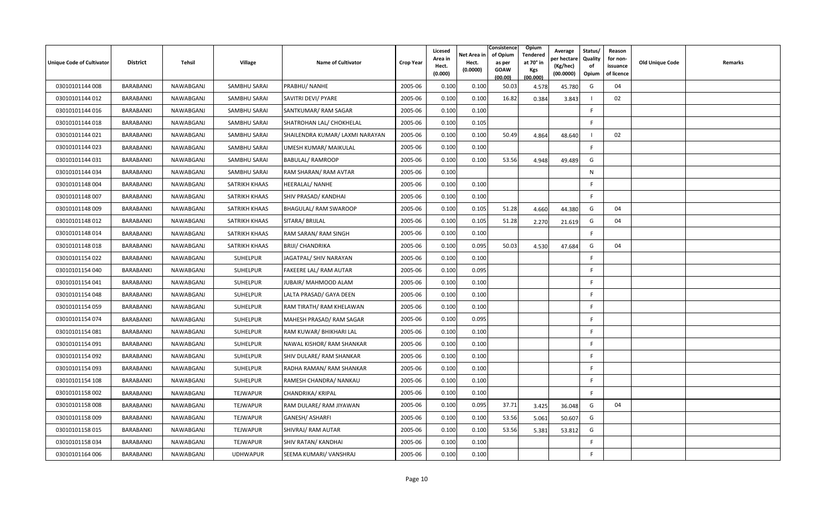| Unique Code of Cultivator | <b>District</b>  | Tehsil    | <b>Village</b>  | <b>Name of Cultivator</b>       | <b>Crop Year</b> | Licesed<br>Area in<br>Hect.<br>(0.000) | Net Area in<br>Hect.<br>(0.0000) | Consistence<br>of Opium<br>as per<br><b>GOAW</b><br>(00.00) | Opium<br>Tendered<br>at 70° in<br>Kgs<br>(00.000) | Average<br>er hectar<br>(Kg/hec)<br>(00.0000) | Status/<br>Quality<br>of<br>Opium | Reason<br>for non-<br>issuance<br>of licence | Old Unique Code | Remarks |
|---------------------------|------------------|-----------|-----------------|---------------------------------|------------------|----------------------------------------|----------------------------------|-------------------------------------------------------------|---------------------------------------------------|-----------------------------------------------|-----------------------------------|----------------------------------------------|-----------------|---------|
| 03010101144 008           | BARABANKI        | NAWABGANJ | SAMBHU SARAI    | PRABHU/ NANHE                   | 2005-06          | 0.100                                  | 0.100                            | 50.03                                                       | 4.578                                             | 45.780                                        | G                                 | 04                                           |                 |         |
| 03010101144 012           | <b>BARABANKI</b> | NAWABGANJ | SAMBHU SARAI    | SAVITRI DEVI/ PYARE             | 2005-06          | 0.100                                  | 0.100                            | 16.82                                                       | 0.384                                             | 3.843                                         |                                   | 02                                           |                 |         |
| 03010101144 016           | BARABANKI        | NAWABGANJ | SAMBHU SARAI    | SANTKUMAR/RAM SAGAR             | 2005-06          | 0.100                                  | 0.100                            |                                                             |                                                   |                                               | -F                                |                                              |                 |         |
| 03010101144 018           | BARABANKI        | NAWABGANJ | SAMBHU SARAI    | SHATROHAN LAL/ CHOKHELAL        | 2005-06          | 0.100                                  | 0.105                            |                                                             |                                                   |                                               | E                                 |                                              |                 |         |
| 03010101144 021           | <b>BARABANKI</b> | NAWABGANJ | SAMBHU SARAI    | SHAILENDRA KUMAR/ LAXMI NARAYAN | 2005-06          | 0.100                                  | 0.100                            | 50.49                                                       | 4.864                                             | 48.640                                        |                                   | 02                                           |                 |         |
| 03010101144 023           | BARABANKI        | NAWABGANJ | SAMBHU SARAI    | UMESH KUMAR/ MAIKULAL           | 2005-06          | 0.100                                  | 0.100                            |                                                             |                                                   |                                               | F.                                |                                              |                 |         |
| 03010101144 031           | <b>BARABANKI</b> | NAWABGANJ | SAMBHU SARAI    | <b>BABULAL/ RAMROOP</b>         | 2005-06          | 0.100                                  | 0.100                            | 53.56                                                       | 4.948                                             | 49.489                                        | G                                 |                                              |                 |         |
| 03010101144 034           | BARABANKI        | NAWABGANJ | SAMBHU SARAI    | RAM SHARAN/ RAM AVTAR           | 2005-06          | 0.100                                  |                                  |                                                             |                                                   |                                               | N                                 |                                              |                 |         |
| 03010101148004            | <b>BARABANKI</b> | NAWABGANJ | SATRIKH KHAAS   | <b>HEERALAL/ NANHE</b>          | 2005-06          | 0.100                                  | 0.100                            |                                                             |                                                   |                                               | F.                                |                                              |                 |         |
| 03010101148 007           | BARABANKI        | NAWABGANJ | SATRIKH KHAAS   | SHIV PRASAD/ KANDHAI            | 2005-06          | 0.100                                  | 0.100                            |                                                             |                                                   |                                               | E                                 |                                              |                 |         |
| 03010101148 009           | BARABANKI        | NAWABGANJ | SATRIKH KHAAS   | <b>BHAGULAL/ RAM SWAROOP</b>    | 2005-06          | 0.100                                  | 0.105                            | 51.28                                                       | 4.660                                             | 44.380                                        | G                                 | 04                                           |                 |         |
| 03010101148 012           | <b>BARABANKI</b> | NAWABGANJ | SATRIKH KHAAS   | SITARA/ BRIJLAL                 | 2005-06          | 0.100                                  | 0.105                            | 51.28                                                       | 2.270                                             | 21.619                                        | G                                 | 04                                           |                 |         |
| 03010101148 014           | BARABANKI        | NAWABGANJ | SATRIKH KHAAS   | RAM SARAN/ RAM SINGH            | 2005-06          | 0.100                                  | 0.100                            |                                                             |                                                   |                                               | F.                                |                                              |                 |         |
| 03010101148018            | <b>BARABANKI</b> | NAWABGANJ | SATRIKH KHAAS   | <b>BRIJI/ CHANDRIKA</b>         | 2005-06          | 0.100                                  | 0.095                            | 50.03                                                       | 4.530                                             | 47.684                                        | G                                 | 04                                           |                 |         |
| 03010101154 022           | <b>BARABANKI</b> | NAWABGANJ | <b>SUHELPUR</b> | JAGATPAL/ SHIV NARAYAN          | 2005-06          | 0.100                                  | 0.100                            |                                                             |                                                   |                                               | F.                                |                                              |                 |         |
| 03010101154 040           | BARABANKI        | NAWABGANJ | SUHELPUR        | FAKEERE LAL/ RAM AUTAR          | 2005-06          | 0.100                                  | 0.095                            |                                                             |                                                   |                                               | F                                 |                                              |                 |         |
| 03010101154 041           | BARABANKI        | NAWABGANJ | SUHELPUR        | JUBAIR/ MAHMOOD ALAM            | 2005-06          | 0.100                                  | 0.100                            |                                                             |                                                   |                                               |                                   |                                              |                 |         |
| 03010101154 048           | BARABANKI        | NAWABGANJ | SUHELPUR        | LALTA PRASAD/ GAYA DEEN         | 2005-06          | 0.100                                  | 0.100                            |                                                             |                                                   |                                               | -F                                |                                              |                 |         |
| 03010101154 059           | BARABANKI        | NAWABGANJ | SUHELPUR        | RAM TIRATH/ RAM KHELAWAN        | 2005-06          | 0.100                                  | 0.100                            |                                                             |                                                   |                                               | -F                                |                                              |                 |         |
| 03010101154 074           | <b>BARABANKI</b> | NAWABGANJ | <b>SUHELPUR</b> | MAHESH PRASAD/RAM SAGAR         | 2005-06          | 0.100                                  | 0.095                            |                                                             |                                                   |                                               | E                                 |                                              |                 |         |
| 03010101154 081           | BARABANKI        | NAWABGANJ | SUHELPUR        | RAM KUWAR/ BHIKHARI LAL         | 2005-06          | 0.100                                  | 0.100                            |                                                             |                                                   |                                               | F                                 |                                              |                 |         |
| 03010101154 091           | <b>BARABANKI</b> | NAWABGANJ | SUHELPUR        | NAWAL KISHOR/ RAM SHANKAR       | 2005-06          | 0.100                                  | 0.100                            |                                                             |                                                   |                                               | <b>F</b>                          |                                              |                 |         |
| 03010101154 092           | BARABANKI        | NAWABGANJ | <b>SUHELPUR</b> | SHIV DULARE/ RAM SHANKAR        | 2005-06          | 0.100                                  | 0.100                            |                                                             |                                                   |                                               | -F                                |                                              |                 |         |
| 03010101154 093           | <b>BARABANKI</b> | NAWABGANJ | SUHELPUR        | RADHA RAMAN/RAM SHANKAR         | 2005-06          | 0.100                                  | 0.100                            |                                                             |                                                   |                                               | E                                 |                                              |                 |         |
| 03010101154 108           | <b>BARABANKI</b> | NAWABGANJ | SUHELPUR        | RAMESH CHANDRA/ NANKAU          | 2005-06          | 0.100                                  | 0.100                            |                                                             |                                                   |                                               | F                                 |                                              |                 |         |
| 03010101158 002           | BARABANKI        | NAWABGANJ | <b>TEJWAPUR</b> | <b>CHANDRIKA/ KRIPAL</b>        | 2005-06          | 0.100                                  | 0.100                            |                                                             |                                                   |                                               | F                                 |                                              |                 |         |
| 03010101158008            | BARABANKI        | NAWABGANJ | <b>TEJWAPUR</b> | RAM DULARE/ RAM JIYAWAN         | 2005-06          | 0.100                                  | 0.095                            | 37.71                                                       | 3.425                                             | 36.048                                        | G                                 | 04                                           |                 |         |
| 03010101158009            | BARABANKI        | NAWABGANJ | <b>TEJWAPUR</b> | GANESH/ ASHARFI                 | 2005-06          | 0.100                                  | 0.100                            | 53.56                                                       | 5.061                                             | 50.607                                        | G                                 |                                              |                 |         |
| 03010101158 015           | BARABANKI        | NAWABGANJ | <b>TEJWAPUR</b> | SHIVRAJ/ RAM AUTAR              | 2005-06          | 0.100                                  | 0.100                            | 53.56                                                       | 5.381                                             | 53.812                                        | G                                 |                                              |                 |         |
| 03010101158 034           | BARABANKI        | NAWABGANJ | <b>TEJWAPUR</b> | SHIV RATAN/ KANDHAI             | 2005-06          | 0.100                                  | 0.100                            |                                                             |                                                   |                                               | F                                 |                                              |                 |         |
| 03010101164 006           | BARABANKI        | NAWABGANJ | <b>UDHWAPUR</b> | SEEMA KUMARI/ VANSHRAJ          | 2005-06          | 0.100                                  | 0.100                            |                                                             |                                                   |                                               |                                   |                                              |                 |         |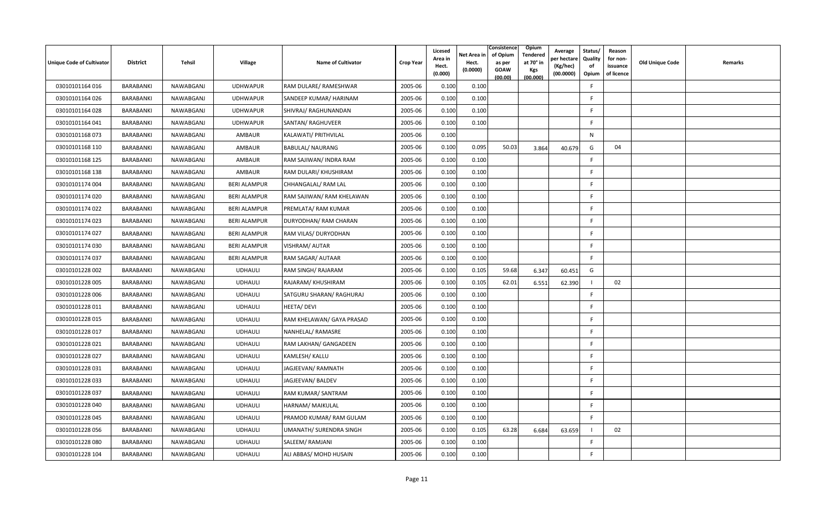| <b>Unique Code of Cultivator</b> | <b>District</b>  | Tehsil    | <b>Village</b>      | <b>Name of Cultivator</b> | <b>Crop Year</b> | Licesed<br>Area in<br>Hect.<br>(0.000) | Net Area in<br>Hect.<br>(0.0000) | Consistence<br>of Opium<br>as per<br><b>GOAW</b><br>(00.00) | Opium<br>Tendered<br>at 70° in<br><b>Kgs</b><br>(00.000) | Average<br>er hectare)<br>(Kg/hec)<br>(00.0000) | Status/<br>Quality<br>of<br>Opium | Reason<br>for non-<br>issuance<br>of licence | <b>Old Unique Code</b> | Remarks |
|----------------------------------|------------------|-----------|---------------------|---------------------------|------------------|----------------------------------------|----------------------------------|-------------------------------------------------------------|----------------------------------------------------------|-------------------------------------------------|-----------------------------------|----------------------------------------------|------------------------|---------|
| 03010101164 016                  | BARABANKI        | NAWABGANJ | <b>UDHWAPUR</b>     | RAM DULARE/ RAMESHWAR     | 2005-06          | 0.100                                  | 0.100                            |                                                             |                                                          |                                                 | F                                 |                                              |                        |         |
| 03010101164 026                  | BARABANKI        | NAWABGANJ | <b>UDHWAPUR</b>     | SANDEEP KUMAR/ HARINAM    | 2005-06          | 0.100                                  | 0.100                            |                                                             |                                                          |                                                 | E                                 |                                              |                        |         |
| 03010101164 028                  | BARABANKI        | NAWABGANJ | <b>UDHWAPUR</b>     | SHIVRAJ/ RAGHUNANDAN      | 2005-06          | 0.100                                  | 0.100                            |                                                             |                                                          |                                                 | <b>F</b>                          |                                              |                        |         |
| 03010101164 041                  | BARABANKI        | NAWABGANJ | <b>UDHWAPUR</b>     | SANTAN/ RAGHUVEER         | 2005-06          | 0.100                                  | 0.100                            |                                                             |                                                          |                                                 | -F                                |                                              |                        |         |
| 03010101168073                   | BARABANKI        | NAWABGANJ | AMBAUR              | KALAWATI/ PRITHVILAL      | 2005-06          | 0.100                                  |                                  |                                                             |                                                          |                                                 | N                                 |                                              |                        |         |
| 03010101168 110                  | BARABANKI        | NAWABGANJ | AMBAUR              | <b>BABULAL/ NAURANG</b>   | 2005-06          | 0.100                                  | 0.095                            | 50.03                                                       | 3.864                                                    | 40.679                                          | G                                 | 04                                           |                        |         |
| 03010101168 125                  | BARABANKI        | NAWABGANJ | AMBAUR              | RAM SAJIWAN/ INDRA RAM    | 2005-06          | 0.100                                  | 0.100                            |                                                             |                                                          |                                                 | F.                                |                                              |                        |         |
| 03010101168 138                  | BARABANKI        | NAWABGANJ | AMBAUR              | RAM DULARI/ KHUSHIRAM     | 2005-06          | 0.100                                  | 0.100                            |                                                             |                                                          |                                                 | F.                                |                                              |                        |         |
| 03010101174 004                  | BARABANKI        | NAWABGANJ | <b>BERI ALAMPUR</b> | CHHANGALAL/RAM LAL        | 2005-06          | 0.100                                  | 0.100                            |                                                             |                                                          |                                                 | -F                                |                                              |                        |         |
| 03010101174 020                  | BARABANKI        | NAWABGANJ | <b>BERI ALAMPUR</b> | RAM SAJIWAN/ RAM KHELAWAN | 2005-06          | 0.100                                  | 0.100                            |                                                             |                                                          |                                                 | F.                                |                                              |                        |         |
| 03010101174 022                  | BARABANKI        | NAWABGANJ | <b>BERI ALAMPUR</b> | PREMLATA/ RAM KUMAR       | 2005-06          | 0.100                                  | 0.100                            |                                                             |                                                          |                                                 | F.                                |                                              |                        |         |
| 03010101174 023                  | BARABANKI        | NAWABGANJ | <b>BERI ALAMPUR</b> | DURYODHAN/ RAM CHARAN     | 2005-06          | 0.100                                  | 0.100                            |                                                             |                                                          |                                                 | E                                 |                                              |                        |         |
| 03010101174 027                  | BARABANKI        | NAWABGANJ | <b>BERI ALAMPUR</b> | RAM VILAS/ DURYODHAN      | 2005-06          | 0.100                                  | 0.100                            |                                                             |                                                          |                                                 | F.                                |                                              |                        |         |
| 03010101174 030                  | BARABANKI        | NAWABGANJ | <b>BERI ALAMPUR</b> | VISHRAM/ AUTAR            | 2005-06          | 0.100                                  | 0.100                            |                                                             |                                                          |                                                 | -F                                |                                              |                        |         |
| 03010101174 037                  | BARABANKI        | NAWABGANJ | <b>BERI ALAMPUR</b> | RAM SAGAR/ AUTAAR         | 2005-06          | 0.100                                  | 0.100                            |                                                             |                                                          |                                                 | F.                                |                                              |                        |         |
| 03010101228 002                  | BARABANKI        | NAWABGANJ | <b>UDHAULI</b>      | RAM SINGH/ RAJARAM        | 2005-06          | 0.100                                  | 0.105                            | 59.68                                                       | 6.347                                                    | 60.451                                          | G                                 |                                              |                        |         |
| 03010101228 005                  | BARABANKI        | NAWABGANJ | <b>UDHAULI</b>      | RAJARAM/KHUSHIRAM         | 2005-06          | 0.100                                  | 0.105                            | 62.01                                                       | 6.551                                                    | 62.390                                          |                                   | 02                                           |                        |         |
| 03010101228 006                  | BARABANKI        | NAWABGANJ | <b>UDHAULI</b>      | SATGURU SHARAN/ RAGHURAJ  | 2005-06          | 0.100                                  | 0.100                            |                                                             |                                                          |                                                 | F.                                |                                              |                        |         |
| 03010101228 011                  | BARABANKI        | NAWABGANJ | <b>UDHAULI</b>      | <b>HEETA/DEVI</b>         | 2005-06          | 0.100                                  | 0.100                            |                                                             |                                                          |                                                 | -F                                |                                              |                        |         |
| 03010101228 015                  | <b>BARABANKI</b> | NAWABGANJ | <b>UDHAULI</b>      | RAM KHELAWAN/ GAYA PRASAD | 2005-06          | 0.100                                  | 0.100                            |                                                             |                                                          |                                                 | E                                 |                                              |                        |         |
| 03010101228 017                  | BARABANKI        | NAWABGANJ | <b>UDHAULI</b>      | NANHELAL/RAMASRE          | 2005-06          | 0.100                                  | 0.100                            |                                                             |                                                          |                                                 | F                                 |                                              |                        |         |
| 03010101228021                   | BARABANKI        | NAWABGANJ | <b>UDHAULI</b>      | RAM LAKHAN/ GANGADEEN     | 2005-06          | 0.100                                  | 0.100                            |                                                             |                                                          |                                                 | -F                                |                                              |                        |         |
| 03010101228 027                  | BARABANKI        | NAWABGANJ | <b>UDHAULI</b>      | KAMLESH/ KALLU            | 2005-06          | 0.100                                  | 0.100                            |                                                             |                                                          |                                                 | E                                 |                                              |                        |         |
| 03010101228 031                  | BARABANKI        | NAWABGANJ | <b>UDHAULI</b>      | JAGJEEVAN/RAMNATH         | 2005-06          | 0.100                                  | 0.100                            |                                                             |                                                          |                                                 | -F                                |                                              |                        |         |
| 03010101228 033                  | BARABANKI        | NAWABGANJ | <b>UDHAULI</b>      | JAGJEEVAN/ BALDEV         | 2005-06          | 0.100                                  | 0.100                            |                                                             |                                                          |                                                 | E                                 |                                              |                        |         |
| 03010101228 037                  | BARABANKI        | NAWABGANJ | <b>UDHAULI</b>      | RAM KUMAR/ SANTRAM        | 2005-06          | 0.100                                  | 0.100                            |                                                             |                                                          |                                                 | F                                 |                                              |                        |         |
| 03010101228 040                  | BARABANKI        | NAWABGANJ | <b>UDHAULI</b>      | HARNAM/ MAIKULAL          | 2005-06          | 0.100                                  | 0.100                            |                                                             |                                                          |                                                 | F.                                |                                              |                        |         |
| 03010101228 045                  | BARABANKI        | NAWABGANJ | <b>UDHAULI</b>      | PRAMOD KUMAR/RAM GULAM    | 2005-06          | 0.100                                  | 0.100                            |                                                             |                                                          |                                                 | F                                 |                                              |                        |         |
| 03010101228 056                  | BARABANKI        | NAWABGANJ | <b>UDHAULI</b>      | UMANATH/ SURENDRA SINGH   | 2005-06          | 0.100                                  | 0.105                            | 63.28                                                       | 6.684                                                    | 63.659                                          |                                   | 02                                           |                        |         |
| 03010101228 080                  | <b>BARABANKI</b> | NAWABGANJ | <b>UDHAULI</b>      | SALEEM/ RAMJANI           | 2005-06          | 0.100                                  | 0.100                            |                                                             |                                                          |                                                 | E                                 |                                              |                        |         |
| 03010101228 104                  | BARABANKI        | NAWABGANJ | <b>UDHAULI</b>      | ALI ABBAS/ MOHD HUSAIN    | 2005-06          | 0.100                                  | 0.100                            |                                                             |                                                          |                                                 | -F                                |                                              |                        |         |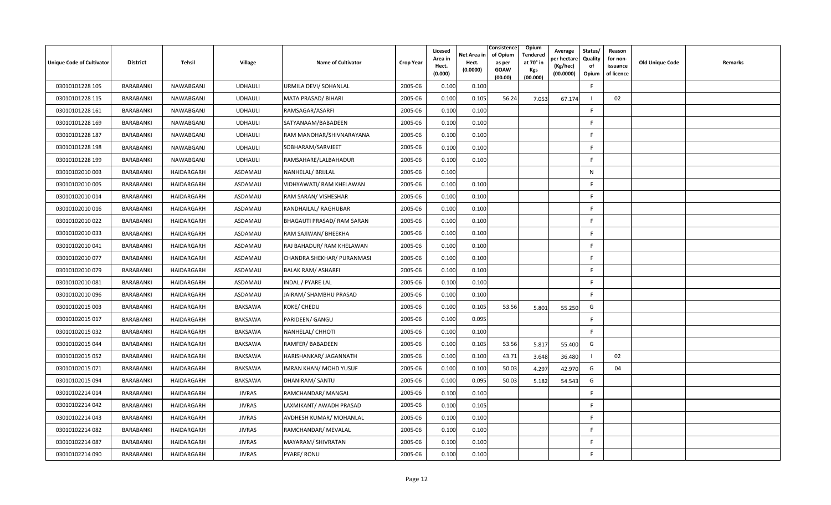| <b>Unique Code of Cultivator</b> | <b>District</b>  | <b>Tehsil</b> | Village        | <b>Name of Cultivator</b>     | <b>Crop Year</b> | Licesed<br>Area in<br>Hect.<br>(0.000) | Net Area in<br>Hect.<br>(0.0000) | Consistence<br>of Opium<br>as per<br><b>GOAW</b><br>(00.00) | Opium<br>Tendered<br>at 70° in<br><b>Kgs</b><br>(00.000) | Average<br>er hectare)<br>(Kg/hec)<br>(00.0000) | Status/<br>Quality<br>of<br>Opium | Reason<br>for non-<br>issuance<br>of licence | <b>Old Unique Code</b> | Remarks |
|----------------------------------|------------------|---------------|----------------|-------------------------------|------------------|----------------------------------------|----------------------------------|-------------------------------------------------------------|----------------------------------------------------------|-------------------------------------------------|-----------------------------------|----------------------------------------------|------------------------|---------|
| 03010101228 105                  | <b>BARABANKI</b> | NAWABGANJ     | <b>UDHAULI</b> | URMILA DEVI/ SOHANLAL         | 2005-06          | 0.100                                  | 0.100                            |                                                             |                                                          |                                                 | E                                 |                                              |                        |         |
| 03010101228 115                  | BARABANKI        | NAWABGANJ     | <b>UDHAULI</b> | MATA PRASAD/ BIHARI           | 2005-06          | 0.100                                  | 0.105                            | 56.24                                                       | 7.053                                                    | 67.174                                          |                                   | 02                                           |                        |         |
| 03010101228 161                  | BARABANKI        | NAWABGANJ     | <b>UDHAULI</b> | RAMSAGAR/ASARFI               | 2005-06          | 0.100                                  | 0.100                            |                                                             |                                                          |                                                 | <b>F</b>                          |                                              |                        |         |
| 03010101228 169                  | BARABANKI        | NAWABGANJ     | <b>UDHAULI</b> | SATYANAAM/BABADEEN            | 2005-06          | 0.100                                  | 0.100                            |                                                             |                                                          |                                                 | E                                 |                                              |                        |         |
| 03010101228 187                  | BARABANKI        | NAWABGANJ     | <b>UDHAULI</b> | RAM MANOHAR/SHIVNARAYANA      | 2005-06          | 0.100                                  | 0.100                            |                                                             |                                                          |                                                 | F.                                |                                              |                        |         |
| 03010101228 198                  | BARABANKI        | NAWABGANJ     | <b>UDHAULI</b> | SOBHARAM/SARVJEET             | 2005-06          | 0.100                                  | 0.100                            |                                                             |                                                          |                                                 | F.                                |                                              |                        |         |
| 03010101228 199                  | BARABANKI        | NAWABGANJ     | <b>UDHAULI</b> | RAMSAHARE/LALBAHADUR          | 2005-06          | 0.100                                  | 0.100                            |                                                             |                                                          |                                                 | E                                 |                                              |                        |         |
| 03010102010 003                  | BARABANKI        | HAIDARGARH    | ASDAMAU        | NANHELAL/ BRIJLAL             | 2005-06          | 0.100                                  |                                  |                                                             |                                                          |                                                 | N                                 |                                              |                        |         |
| 03010102010 005                  | BARABANKI        | HAIDARGARH    | ASDAMAU        | VIDHYAWATI/ RAM KHELAWAN      | 2005-06          | 0.100                                  | 0.100                            |                                                             |                                                          |                                                 | E                                 |                                              |                        |         |
| 03010102010014                   | BARABANKI        | HAIDARGARH    | ASDAMAU        | RAM SARAN/ VISHESHAR          | 2005-06          | 0.100                                  | 0.100                            |                                                             |                                                          |                                                 | -F                                |                                              |                        |         |
| 03010102010016                   | BARABANKI        | HAIDARGARH    | ASDAMAU        | KANDHAILAL/ RAGHUBAR          | 2005-06          | 0.100                                  | 0.100                            |                                                             |                                                          |                                                 | E                                 |                                              |                        |         |
| 03010102010022                   | BARABANKI        | HAIDARGARH    | ASDAMAU        | BHAGAUTI PRASAD/ RAM SARAN    | 2005-06          | 0.100                                  | 0.100                            |                                                             |                                                          |                                                 | F                                 |                                              |                        |         |
| 03010102010033                   | BARABANKI        | HAIDARGARH    | ASDAMAU        | RAM SAJIWAN/ BHEEKHA          | 2005-06          | 0.100                                  | 0.100                            |                                                             |                                                          |                                                 | <b>F</b>                          |                                              |                        |         |
| 03010102010 041                  | BARABANKI        | HAIDARGARH    | ASDAMAU        | RAJ BAHADUR/ RAM KHELAWAN     | 2005-06          | 0.100                                  | 0.100                            |                                                             |                                                          |                                                 | F                                 |                                              |                        |         |
| 03010102010 077                  | BARABANKI        | HAIDARGARH    | ASDAMAU        | CHANDRA SHEKHAR/ PURANMASI    | 2005-06          | 0.100                                  | 0.100                            |                                                             |                                                          |                                                 | -F                                |                                              |                        |         |
| 03010102010 079                  | BARABANKI        | HAIDARGARH    | ASDAMAU        | <b>BALAK RAM/ ASHARFI</b>     | 2005-06          | 0.100                                  | 0.100                            |                                                             |                                                          |                                                 | F                                 |                                              |                        |         |
| 03010102010081                   | BARABANKI        | HAIDARGARH    | ASDAMAU        | INDAL / PYARE LAL             | 2005-06          | 0.100                                  | 0.100                            |                                                             |                                                          |                                                 | E                                 |                                              |                        |         |
| 03010102010096                   | BARABANKI        | HAIDARGARH    | ASDAMAU        | JAIRAM/ SHAMBHU PRASAD        | 2005-06          | 0.100                                  | 0.100                            |                                                             |                                                          |                                                 | E                                 |                                              |                        |         |
| 03010102015 003                  | BARABANKI        | HAIDARGARH    | BAKSAWA        | KOKE/ CHEDU                   | 2005-06          | 0.100                                  | 0.105                            | 53.56                                                       | 5.801                                                    | 55.250                                          | G                                 |                                              |                        |         |
| 03010102015 017                  | BARABANKI        | HAIDARGARH    | BAKSAWA        | PARIDEEN/ GANGU               | 2005-06          | 0.100                                  | 0.095                            |                                                             |                                                          |                                                 | F.                                |                                              |                        |         |
| 03010102015 032                  | BARABANKI        | HAIDARGARH    | BAKSAWA        | NANHELAL/ CHHOTI              | 2005-06          | 0.100                                  | 0.100                            |                                                             |                                                          |                                                 | F.                                |                                              |                        |         |
| 03010102015 044                  | BARABANKI        | HAIDARGARH    | BAKSAWA        | RAMFER/ BABADEEN              | 2005-06          | 0.100                                  | 0.105                            | 53.56                                                       | 5.817                                                    | 55.400                                          | G                                 |                                              |                        |         |
| 03010102015 052                  | BARABANKI        | HAIDARGARH    | <b>BAKSAWA</b> | HARISHANKAR/ JAGANNATH        | 2005-06          | 0.100                                  | 0.100                            | 43.71                                                       | 3.648                                                    | 36.480                                          |                                   | 02                                           |                        |         |
| 03010102015 071                  | BARABANKI        | HAIDARGARH    | BAKSAWA        | <b>IMRAN KHAN/ MOHD YUSUF</b> | 2005-06          | 0.100                                  | 0.100                            | 50.03                                                       | 4.297                                                    | 42.970                                          | G                                 | 04                                           |                        |         |
| 03010102015 094                  | BARABANKI        | HAIDARGARH    | BAKSAWA        | DHANIRAM/ SANTU               | 2005-06          | 0.100                                  | 0.095                            | 50.03                                                       | 5.182                                                    | 54.543                                          | G                                 |                                              |                        |         |
| 03010102214 014                  | BARABANKI        | HAIDARGARH    | JIVRAS         | RAMCHANDAR/ MANGAL            | 2005-06          | 0.100                                  | 0.100                            |                                                             |                                                          |                                                 | E                                 |                                              |                        |         |
| 03010102214 042                  | BARABANKI        | HAIDARGARH    | <b>JIVRAS</b>  | LAXMIKANT/ AWADH PRASAD       | 2005-06          | 0.100                                  | 0.105                            |                                                             |                                                          |                                                 | F                                 |                                              |                        |         |
| 03010102214 043                  | BARABANKI        | HAIDARGARH    | <b>JIVRAS</b>  | AVDHESH KUMAR/ MOHANLAL       | 2005-06          | 0.100                                  | 0.100                            |                                                             |                                                          |                                                 | <b>F</b>                          |                                              |                        |         |
| 03010102214 082                  | BARABANKI        | HAIDARGARH    | <b>JIVRAS</b>  | RAMCHANDAR/ MEVALAL           | 2005-06          | 0.100                                  | 0.100                            |                                                             |                                                          |                                                 | F                                 |                                              |                        |         |
| 03010102214 087                  | <b>BARABANKI</b> | HAIDARGARH    | <b>JIVRAS</b>  | MAYARAM/ SHIVRATAN            | 2005-06          | 0.100                                  | 0.100                            |                                                             |                                                          |                                                 | -F                                |                                              |                        |         |
| 03010102214 090                  | BARABANKI        | HAIDARGARH    | <b>JIVRAS</b>  | PYARE/ RONU                   | 2005-06          | 0.100                                  | 0.100                            |                                                             |                                                          |                                                 | F                                 |                                              |                        |         |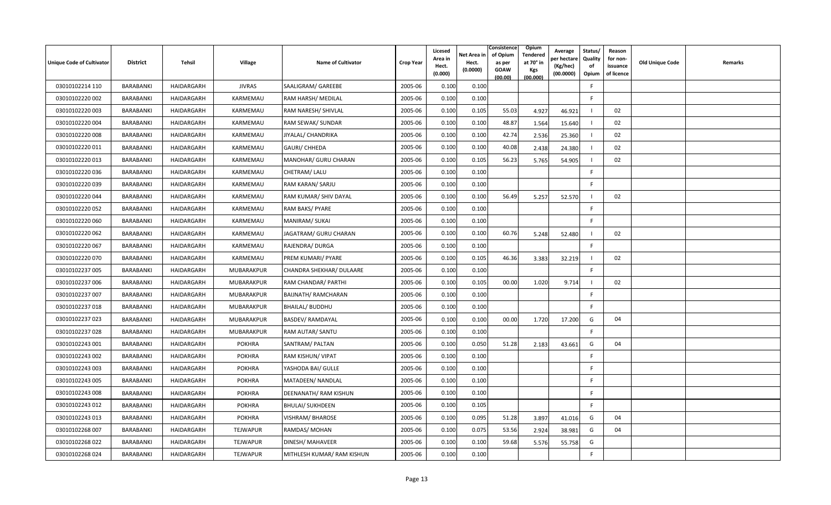| Unique Code of Cultivator | <b>District</b>  | Tehsil     | <b>Village</b>  | <b>Name of Cultivator</b>  | <b>Crop Year</b> | Licesed<br>Area in<br>Hect.<br>(0.000) | Net Area in<br>Hect.<br>(0.0000) | Consistence<br>of Opium<br>as per<br><b>GOAW</b><br>(00.00) | Opium<br>Tendered<br>at 70° in<br>Kgs<br>(00.000) | Average<br>er hectare)<br>(Kg/hec)<br>(00.0000) | Status/<br>Quality<br>of<br>Opium | Reason<br>for non-<br>issuance<br>of licence | <b>Old Unique Code</b> | Remarks |
|---------------------------|------------------|------------|-----------------|----------------------------|------------------|----------------------------------------|----------------------------------|-------------------------------------------------------------|---------------------------------------------------|-------------------------------------------------|-----------------------------------|----------------------------------------------|------------------------|---------|
| 03010102214 110           | <b>BARABANKI</b> | HAIDARGARH | <b>JIVRAS</b>   | SAALIGRAM/ GAREEBE         | 2005-06          | 0.100                                  | 0.100                            |                                                             |                                                   |                                                 | -F                                |                                              |                        |         |
| 03010102220 002           | BARABANKI        | HAIDARGARH | KARMEMAU        | RAM HARSH/ MEDILAL         | 2005-06          | 0.100                                  | 0.100                            |                                                             |                                                   |                                                 | F.                                |                                              |                        |         |
| 03010102220 003           | BARABANKI        | HAIDARGARH | KARMEMAU        | RAM NARESH/ SHIVLAL        | 2005-06          | 0.100                                  | 0.105                            | 55.03                                                       | 4.927                                             | 46.921                                          |                                   | 02                                           |                        |         |
| 03010102220 004           | BARABANKI        | HAIDARGARH | KARMEMAU        | RAM SEWAK/ SUNDAR          | 2005-06          | 0.100                                  | 0.100                            | 48.87                                                       | 1.564                                             | 15.640                                          |                                   | 02                                           |                        |         |
| 03010102220 008           | <b>BARABANKI</b> | HAIDARGARH | KARMEMAU        | JIYALAL/ CHANDRIKA         | 2005-06          | 0.100                                  | 0.100                            | 42.74                                                       | 2.536                                             | 25.360                                          |                                   | 02                                           |                        |         |
| 03010102220 011           | BARABANKI        | HAIDARGARH | KARMEMAU        | <b>GAURI/ CHHEDA</b>       | 2005-06          | 0.100                                  | 0.100                            | 40.08                                                       | 2.438                                             | 24.380                                          |                                   | 02                                           |                        |         |
| 03010102220013            | <b>BARABANKI</b> | HAIDARGARH | KARMEMAU        | MANOHAR/ GURU CHARAN       | 2005-06          | 0.100                                  | 0.105                            | 56.23                                                       | 5.765                                             | 54.905                                          |                                   | 02                                           |                        |         |
| 03010102220036            | BARABANKI        | HAIDARGARH | KARMEMAU        | CHETRAM/ LALU              | 2005-06          | 0.100                                  | 0.100                            |                                                             |                                                   |                                                 | F                                 |                                              |                        |         |
| 03010102220039            | BARABANKI        | HAIDARGARH | KARMEMAU        | RAM KARAN/ SARJU           | 2005-06          | 0.100                                  | 0.100                            |                                                             |                                                   |                                                 | E                                 |                                              |                        |         |
| 03010102220 044           | <b>BARABANKI</b> | HAIDARGARH | KARMEMAU        | RAM KUMAR/ SHIV DAYAL      | 2005-06          | 0.100                                  | 0.100                            | 56.49                                                       | 5.257                                             | 52.570                                          |                                   | 02                                           |                        |         |
| 03010102220052            | BARABANKI        | HAIDARGARH | KARMEMAU        | RAM BAKS/ PYARE            | 2005-06          | 0.100                                  | 0.100                            |                                                             |                                                   |                                                 | F.                                |                                              |                        |         |
| 03010102220 060           | BARABANKI        | HAIDARGARH | KARMEMAU        | MANIRAM/ SUKAI             | 2005-06          | 0.100                                  | 0.100                            |                                                             |                                                   |                                                 | E                                 |                                              |                        |         |
| 03010102220062            | BARABANKI        | HAIDARGARH | KARMEMAU        | JAGATRAM/ GURU CHARAN      | 2005-06          | 0.100                                  | 0.100                            | 60.76                                                       | 5.248                                             | 52.480                                          |                                   | 02                                           |                        |         |
| 03010102220 067           | BARABANKI        | HAIDARGARH | KARMEMAU        | RAJENDRA/ DURGA            | 2005-06          | 0.100                                  | 0.100                            |                                                             |                                                   |                                                 | F                                 |                                              |                        |         |
| 03010102220 070           | <b>BARABANKI</b> | HAIDARGARH | KARMEMAU        | PREM KUMARI/ PYARE         | 2005-06          | 0.100                                  | 0.105                            | 46.36                                                       | 3.383                                             | 32.219                                          |                                   | 02                                           |                        |         |
| 03010102237 005           | BARABANKI        | HAIDARGARH | MUBARAKPUR      | CHANDRA SHEKHAR/ DULAARE   | 2005-06          | 0.100                                  | 0.100                            |                                                             |                                                   |                                                 | F.                                |                                              |                        |         |
| 03010102237 006           | BARABANKI        | HAIDARGARH | MUBARAKPUR      | RAM CHANDAR/ PARTHI        | 2005-06          | 0.100                                  | 0.105                            | 00.00                                                       | 1.020                                             | 9.714                                           |                                   | 02                                           |                        |         |
| 03010102237 007           | BARABANKI        | HAIDARGARH | MUBARAKPUR      | <b>BAIJNATH/ RAMCHARAN</b> | 2005-06          | 0.100                                  | 0.100                            |                                                             |                                                   |                                                 | -F                                |                                              |                        |         |
| 03010102237018            | <b>BARABANKI</b> | HAIDARGARH | MUBARAKPUR      | <b>BHAILAL/ BUDDHU</b>     | 2005-06          | 0.100                                  | 0.100                            |                                                             |                                                   |                                                 | F                                 |                                              |                        |         |
| 03010102237 023           | BARABANKI        | HAIDARGARH | MUBARAKPUR      | BASDEV/RAMDAYAL            | 2005-06          | 0.100                                  | 0.100                            | 00.00                                                       | 1.720                                             | 17.200                                          | G                                 | 04                                           |                        |         |
| 03010102237 028           | BARABANKI        | HAIDARGARH | MUBARAKPUR      | RAM AUTAR/ SANTU           | 2005-06          | 0.100                                  | 0.100                            |                                                             |                                                   |                                                 | F.                                |                                              |                        |         |
| 03010102243 001           | <b>BARABANKI</b> | HAIDARGARH | <b>POKHRA</b>   | SANTRAM/ PALTAN            | 2005-06          | 0.100                                  | 0.050                            | 51.28                                                       | 2.183                                             | 43.661                                          | G                                 | 04                                           |                        |         |
| 03010102243 002           | BARABANKI        | HAIDARGARH | <b>POKHRA</b>   | RAM KISHUN/ VIPAT          | 2005-06          | 0.100                                  | 0.100                            |                                                             |                                                   |                                                 | F.                                |                                              |                        |         |
| 03010102243 003           | <b>BARABANKI</b> | HAIDARGARH | <b>POKHRA</b>   | YASHODA BAI/ GULLE         | 2005-06          | 0.100                                  | 0.100                            |                                                             |                                                   |                                                 | F                                 |                                              |                        |         |
| 03010102243 005           | BARABANKI        | HAIDARGARH | <b>POKHRA</b>   | MATADEEN/ NANDLAL          | 2005-06          | 0.100                                  | 0.100                            |                                                             |                                                   |                                                 | E                                 |                                              |                        |         |
| 03010102243 008           | BARABANKI        | HAIDARGARH | <b>POKHRA</b>   | DEENANATH/ RAM KISHUN      | 2005-06          | 0.100                                  | 0.100                            |                                                             |                                                   |                                                 | F                                 |                                              |                        |         |
| 03010102243 012           | BARABANKI        | HAIDARGARH | <b>POKHRA</b>   | <b>BHULAI/ SUKHDEEN</b>    | 2005-06          | 0.100                                  | 0.105                            |                                                             |                                                   |                                                 | F.                                |                                              |                        |         |
| 03010102243 013           | BARABANKI        | HAIDARGARH | <b>POKHRA</b>   | <b>VISHRAM/ BHAROSE</b>    | 2005-06          | 0.100                                  | 0.095                            | 51.28                                                       | 3.897                                             | 41.016                                          | G                                 | 04                                           |                        |         |
| 03010102268 007           | BARABANKI        | HAIDARGARH | <b>TEJWAPUR</b> | RAMDAS/ MOHAN              | 2005-06          | 0.100                                  | 0.075                            | 53.56                                                       | 2.924                                             | 38.981                                          | G                                 | 04                                           |                        |         |
| 03010102268 022           | <b>BARABANKI</b> | HAIDARGARH | TEJWAPUR        | DINESH/ MAHAVEER           | 2005-06          | 0.100                                  | 0.100                            | 59.68                                                       | 5.576                                             | 55.758                                          | G                                 |                                              |                        |         |
| 03010102268024            | BARABANKI        | HAIDARGARH | <b>TEJWAPUR</b> | MITHLESH KUMAR/ RAM KISHUN | 2005-06          | 0.100                                  | 0.100                            |                                                             |                                                   |                                                 | F                                 |                                              |                        |         |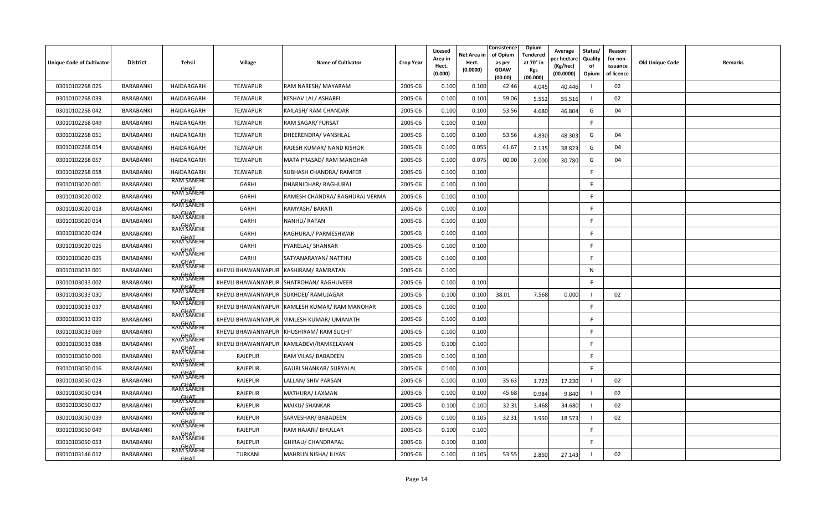| <b>Unique Code of Cultivator</b> | <b>District</b>  | Tehsil                                         | <b>Village</b>                         | <b>Name of Cultivator</b>                     | <b>Crop Year</b> | Licesed<br>Area in<br>Hect.<br>(0.000) | Net Area in<br>Hect.<br>(0.0000) | Consistence<br>of Opium<br>as per<br>GOAW<br>(00.00) | Opium<br>Tendered<br>at 70 $^{\circ}$ in<br>Kgs<br>(00.000) | Average<br>er hectar<br>(Kg/hec)<br>(00.0000) | Status/<br>Quality<br>of<br>Opium | Reason<br>for non-<br>issuance<br>of licence | <b>Old Unique Code</b> | Remarks |
|----------------------------------|------------------|------------------------------------------------|----------------------------------------|-----------------------------------------------|------------------|----------------------------------------|----------------------------------|------------------------------------------------------|-------------------------------------------------------------|-----------------------------------------------|-----------------------------------|----------------------------------------------|------------------------|---------|
| 03010102268 025                  | BARABANKI        | HAIDARGARH                                     | TEJWAPUR                               | RAM NARESH/ MAYARAM                           | 2005-06          | 0.100                                  | 0.100                            | 42.46                                                | 4.045                                                       | 40.446                                        |                                   | 02                                           |                        |         |
| 03010102268 039                  | <b>BARABANKI</b> | HAIDARGARH                                     | TEJWAPUR                               | <b>KESHAV LAL/ ASHARFI</b>                    | 2005-06          | 0.100                                  | 0.100                            | 59.06                                                | 5.552                                                       | 55.516                                        |                                   | 02                                           |                        |         |
| 03010102268 042                  | BARABANKI        | HAIDARGARH                                     | TEJWAPUR                               | KAILASH/ RAM CHANDAR                          | 2005-06          | 0.100                                  | 0.100                            | 53.56                                                | 4.680                                                       | 46.804                                        | G                                 | 04                                           |                        |         |
| 03010102268049                   | <b>BARABANKI</b> | HAIDARGARH                                     | <b>TEJWAPUR</b>                        | RAM SAGAR/ FURSAT                             | 2005-06          | 0.100                                  | 0.100                            |                                                      |                                                             |                                               | F                                 |                                              |                        |         |
| 03010102268 051                  | BARABANKI        | HAIDARGARH                                     | TEJWAPUR                               | DHEERENDRA/ VANSHLAL                          | 2005-06          | 0.100                                  | 0.100                            | 53.56                                                | 4.830                                                       | 48.303                                        | G                                 | 04                                           |                        |         |
| 03010102268054                   | BARABANKI        | HAIDARGARH                                     | <b>TEJWAPUR</b>                        | <b>RAJESH KUMAR/ NAND KISHOR</b>              | 2005-06          | 0.100                                  | 0.055                            | 41.67                                                | 2.135                                                       | 38.823                                        | G                                 | 04                                           |                        |         |
| 03010102268 057                  | <b>BARABANKI</b> | HAIDARGARH                                     | TEJWAPUR                               | MATA PRASAD/ RAM MANOHAR                      | 2005-06          | 0.100                                  | 0.075                            | 00.00                                                | 2.000                                                       | 30.780                                        | G                                 | 04                                           |                        |         |
| 03010102268058                   | BARABANKI        | HAIDARGARH                                     | TEJWAPUR                               | SUBHASH CHANDRA/ RAMFER                       | 2005-06          | 0.100                                  | 0.100                            |                                                      |                                                             |                                               | F.                                |                                              |                        |         |
| 03010103020 001                  | BARABANKI        | <b>RAM SANEHI</b><br><b>GHAT</b><br>RAM SANEHI | GARHI                                  | DHARNIDHAR/ RAGHURAJ                          | 2005-06          | 0.100                                  | 0.100                            |                                                      |                                                             |                                               | E                                 |                                              |                        |         |
| 03010103020 002                  | BARABANKI        |                                                | GARHI                                  | RAMESH CHANDRA/ RAGHURAJ VERMA                | 2005-06          | 0.100                                  | 0.100                            |                                                      |                                                             |                                               | E                                 |                                              |                        |         |
| 03010103020 013                  | <b>BARABANKI</b> | <b>GHAT</b><br>RAM SANEHI                      | GARHI                                  | RAMYASH/ BARATI                               | 2005-06          | 0.100                                  | 0.100                            |                                                      |                                                             |                                               | $\mathsf{F}$                      |                                              |                        |         |
| 03010103020 014                  | BARABANKI        | <b>GHAT</b><br>RAM SANEHI                      | <b>GARHI</b>                           | NANHU/RATAN                                   | 2005-06          | 0.100                                  | 0.100                            |                                                      |                                                             |                                               | E                                 |                                              |                        |         |
| 03010103020024                   | BARABANKI        | <b>RAM SANEHI</b>                              | <b>GARHI</b>                           | RAGHURAJ/ PARMESHWAR                          | 2005-06          | 0.100                                  | 0.100                            |                                                      |                                                             |                                               | F                                 |                                              |                        |         |
| 03010103020 025                  | BARABANKI        | <b>GHAT</b><br>RAM SANEHI                      | GARHI                                  | PYARELAL/ SHANKAR                             | 2005-06          | 0.100                                  | 0.100                            |                                                      |                                                             |                                               | -F                                |                                              |                        |         |
| 03010103020 035                  | <b>BARABANKI</b> | <b>GHAT</b><br>RAM SANEHI                      | GARHI                                  | SATYANARAYAN/ NATTHU                          | 2005-06          | 0.100                                  | 0.100                            |                                                      |                                                             |                                               | -F                                |                                              |                        |         |
| 03010103033 001                  | <b>BARABANKI</b> | RAM SANEHI                                     | KHEVLI BHAWANIYAPUR KASHIRAM/RAMRATAN  |                                               | 2005-06          | 0.100                                  |                                  |                                                      |                                                             |                                               | ${\sf N}$                         |                                              |                        |         |
| 03010103033 002                  | BARABANKI        | RAM SANEHI                                     |                                        | KHEVLI BHAWANIYAPUR SHATROHAN/ RAGHUVEER      | 2005-06          | 0.100                                  | 0.100                            |                                                      |                                                             |                                               | E                                 |                                              |                        |         |
| 03010103033 030                  | <b>BARABANKI</b> | GHAT<br>RAM SANEHI                             | KHEVLI BHAWANIYAPUR SUKHDEI/ RAMUJAGAR |                                               | 2005-06          | 0.100                                  | 0.100                            | 38.01                                                | 7.568                                                       | 0.000                                         |                                   | 02                                           |                        |         |
| 03010103033 037                  | BARABANKI        | RAM SANEHI                                     |                                        | KHEVLI BHAWANIYAPUR KAMLESH KUMAR/RAM MANOHAR | 2005-06          | 0.100                                  | 0.100                            |                                                      |                                                             |                                               | <b>F</b>                          |                                              |                        |         |
| 03010103033 039                  | <b>BARABANKI</b> | <b>GHAT</b><br>RAM SANEHI                      |                                        | KHEVLI BHAWANIYAPUR   VIMLESH KUMAR/ UMANATH  | 2005-06          | 0.100                                  | 0.100                            |                                                      |                                                             |                                               | -F                                |                                              |                        |         |
| 03010103033 069                  | BARABANKI        | RAM SANEHI                                     |                                        | KHEVLI BHAWANIYAPUR KHUSHIRAM/RAM SUCHIT      | 2005-06          | 0.100                                  | 0.100                            |                                                      |                                                             |                                               | E                                 |                                              |                        |         |
| 03010103033088                   | BARABANKI        | RAM SANEH                                      |                                        | KHEVLI BHAWANIYAPUR KAMLADEVI/RAMKELAVAN      | 2005-06          | 0.100                                  | 0.100                            |                                                      |                                                             |                                               | E                                 |                                              |                        |         |
| 03010103050 006                  | <b>BARABANKI</b> | <b>GHAT</b><br>RAM SANEHI                      | <b>RAJEPUR</b>                         | RAM VILAS/ BABADEEN                           | 2005-06          | 0.100                                  | 0.100                            |                                                      |                                                             |                                               | $\mathsf{F}$                      |                                              |                        |         |
| 03010103050016                   | BARABANKI        | <b>GHAT</b><br>RAM SANEHI                      | <b>RAJEPUR</b>                         | <b>GAURI SHANKAR/ SURYALAL</b>                | 2005-06          | 0.100                                  | 0.100                            |                                                      |                                                             |                                               | E                                 |                                              |                        |         |
| 03010103050 023                  | <b>BARABANKI</b> | GHAT<br>RAM SANEHI                             | RAJEPUR                                | LALLAN/ SHIV PARSAN                           | 2005-06          | 0.100                                  | 0.100                            | 35.63                                                | 1.723                                                       | 17.230                                        |                                   | 02                                           |                        |         |
| 03010103050034                   | BARABANKI        | <b>GHAT</b><br>RAM SANEHI                      | RAJEPUR                                | MATHURA/ LAXMAN                               | 2005-06          | 0.100                                  | 0.100                            | 45.68                                                | 0.984                                                       | 9.840                                         |                                   | 02                                           |                        |         |
| 03010103050 037                  | <b>BARABANKI</b> | RAM SANEHI                                     | RAJEPUR                                | MAIKU/ SHANKAR                                | 2005-06          | 0.100                                  | 0.100                            | 32.31                                                | 3.468                                                       | 34.680                                        |                                   | 02                                           |                        |         |
| 03010103050 039                  | <b>BARABANKI</b> | <b>GHAT</b><br>RAM SANEHI                      | <b>RAJEPUR</b>                         | SARVESHAR/ BABADEEN                           | 2005-06          | 0.100                                  | 0.105                            | 32.31                                                | 1.950                                                       | 18.573                                        |                                   | 02                                           |                        |         |
| 03010103050049                   | BARABANKI        | <b>RAM SANEHI</b>                              | <b>RAJEPUR</b>                         | RAM HAJARI/ BHULLAR                           | 2005-06          | 0.100                                  | 0.100                            |                                                      |                                                             |                                               |                                   |                                              |                        |         |
| 03010103050 053                  | BARABANKI        | <b>GHAT</b><br>RAM SANEHI                      | RAJEPUR                                | GHIRAU/ CHANDRAPAL                            | 2005-06          | 0.100                                  | 0.100                            |                                                      |                                                             |                                               | E                                 |                                              |                        |         |
| 03010103146 012                  | BARABANKI        | <b>GHAT</b><br>RAM SANEHI<br><b>GHAT</b>       | <b>TURKANI</b>                         | MAHRUN NISHA/ ILIYAS                          | 2005-06          | 0.100                                  | 0.105                            | 53.55                                                | 2.850                                                       | 27.143                                        |                                   | 02                                           |                        |         |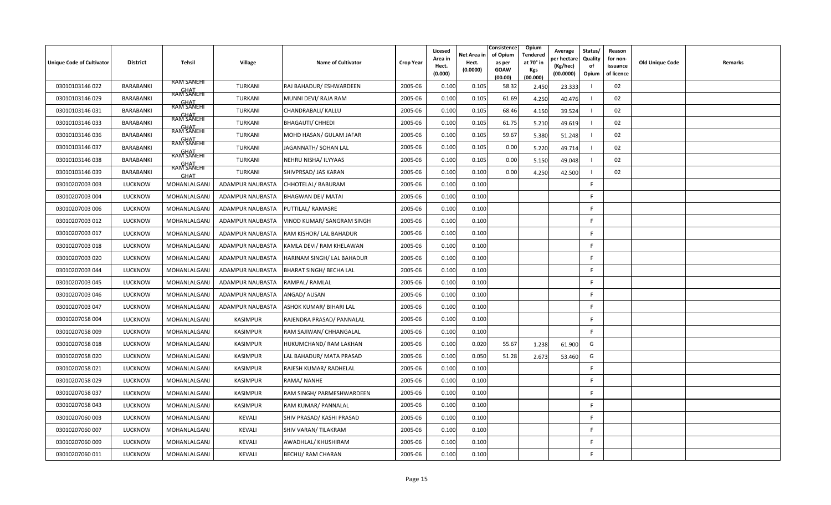| Unique Code of Cultivator | <b>District</b>  | Tehsil                                          | <b>Village</b>   | <b>Name of Cultivator</b>      | <b>Crop Year</b> | Licesed<br>Area in<br>Hect.<br>(0.000) | Net Area in<br>Hect.<br>(0.0000) | Consistence<br>of Opium<br>as per<br><b>GOAW</b><br>(00.00) | Opium<br>Tendered<br>at 70° in<br><b>Kgs</b><br>(00.000) | Average<br>er hectar<br>(Kg/hec)<br>(00.0000) | Status/<br>Quality<br>of<br>Opium | Reason<br>for non-<br>issuance<br>of licence | <b>Old Unique Code</b> | Remarks |
|---------------------------|------------------|-------------------------------------------------|------------------|--------------------------------|------------------|----------------------------------------|----------------------------------|-------------------------------------------------------------|----------------------------------------------------------|-----------------------------------------------|-----------------------------------|----------------------------------------------|------------------------|---------|
| 03010103146 022           | BARABANKI        | <b>RAM SANEHI</b>                               | TURKANI          | RAJ BAHADUR/ ESHWARDEEN        | 2005-06          | 0.100                                  | 0.105                            | 58.32                                                       | 2.450                                                    | 23.333                                        |                                   | 02                                           |                        |         |
| 03010103146029            | BARABANKI        | <b>GHAT</b><br>RAM SANEHI                       | TURKANI          | MUNNI DEVI/ RAJA RAM           | 2005-06          | 0.100                                  | 0.105                            | 61.69                                                       | 4.250                                                    | 40.476                                        |                                   | 02                                           |                        |         |
| 03010103146031            | BARABANKI        | RAM SANEHI                                      | TURKANI          | CHANDRABALI/ KALLU             | 2005-06          | 0.100                                  | 0.105                            | 68.46                                                       | 4.150                                                    | 39.524                                        |                                   | 02                                           |                        |         |
| 03010103146 033           | BARABANKI        | GHAT<br>RAM SANEHI<br><b>GHAT</b><br>RAM SANEHI | TURKANI          | <b>BHAGAUTI/ CHHEDI</b>        | 2005-06          | 0.100                                  | 0.105                            | 61.75                                                       | 5.210                                                    | 49.619                                        |                                   | 02                                           |                        |         |
| 03010103146 036           | BARABANKI        |                                                 | TURKANI          | MOHD HASAN/ GULAM JAFAR        | 2005-06          | 0.100                                  | 0.105                            | 59.67                                                       | 5.380                                                    | 51.248                                        |                                   | 02                                           |                        |         |
| 03010103146037            | BARABANKI        | GHAT<br>RAM SANEHI<br>RAM SANEHI                | TURKANI          | JAGANNATH/ SOHAN LAL           | 2005-06          | 0.100                                  | 0.105                            | 0.00                                                        | 5.220                                                    | 49.714                                        |                                   | 02                                           |                        |         |
| 03010103146038            | <b>BARABANKI</b> | <b>GHAT</b><br>RAM SANEHI                       | TURKANI          | NEHRU NISHA/ ILYYAAS           | 2005-06          | 0.100                                  | 0.105                            | 0.00                                                        | 5.150                                                    | 49.048                                        |                                   | 02                                           |                        |         |
| 03010103146039            | BARABANKI        | GHAT                                            | TURKANI          | SHIVPRSAD/ JAS KARAN           | 2005-06          | 0.100                                  | 0.100                            | 0.00                                                        | 4.250                                                    | 42.500                                        |                                   | 02                                           |                        |         |
| 03010207003 003           | <b>LUCKNOW</b>   | MOHANLALGANJ                                    | ADAMPUR NAUBASTA | CHHOTELAL/ BABURAM             | 2005-06          | 0.100                                  | 0.100                            |                                                             |                                                          |                                               | F.                                |                                              |                        |         |
| 03010207003 004           | <b>LUCKNOW</b>   | MOHANLALGANJ                                    | ADAMPUR NAUBASTA | <b>BHAGWAN DEI/ MATAI</b>      | 2005-06          | 0.100                                  | 0.100                            |                                                             |                                                          |                                               | F                                 |                                              |                        |         |
| 03010207003 006           | <b>LUCKNOW</b>   | MOHANLALGANJ                                    | ADAMPUR NAUBASTA | PUTTILAL/ RAMASRE              | 2005-06          | 0.100                                  | 0.100                            |                                                             |                                                          |                                               | F                                 |                                              |                        |         |
| 03010207003 012           | <b>LUCKNOW</b>   | MOHANLALGANJ                                    | ADAMPUR NAUBASTA | VINOD KUMAR/ SANGRAM SINGH     | 2005-06          | 0.100                                  | 0.100                            |                                                             |                                                          |                                               | F.                                |                                              |                        |         |
| 03010207003 017           | <b>LUCKNOW</b>   | MOHANLALGANJ                                    | ADAMPUR NAUBASTA | RAM KISHOR/ LAL BAHADUR        | 2005-06          | 0.100                                  | 0.100                            |                                                             |                                                          |                                               | -F                                |                                              |                        |         |
| 03010207003 018           | <b>LUCKNOW</b>   | MOHANLALGANJ                                    | ADAMPUR NAUBASTA | KAMLA DEVI/ RAM KHELAWAN       | 2005-06          | 0.100                                  | 0.100                            |                                                             |                                                          |                                               | E                                 |                                              |                        |         |
| 03010207003 020           | <b>LUCKNOW</b>   | MOHANLALGANJ                                    | ADAMPUR NAUBASTA | HARINAM SINGH/ LAL BAHADUR     | 2005-06          | 0.100                                  | 0.100                            |                                                             |                                                          |                                               | F.                                |                                              |                        |         |
| 03010207003 044           | <b>LUCKNOW</b>   | MOHANLALGANJ                                    | ADAMPUR NAUBASTA | <b>BHARAT SINGH/ BECHA LAL</b> | 2005-06          | 0.100                                  | 0.100                            |                                                             |                                                          |                                               | F                                 |                                              |                        |         |
| 03010207003 045           | <b>LUCKNOW</b>   | MOHANLALGANJ                                    | ADAMPUR NAUBASTA | RAMPAL/RAMLAL                  | 2005-06          | 0.100                                  | 0.100                            |                                                             |                                                          |                                               | F                                 |                                              |                        |         |
| 03010207003 046           | <b>LUCKNOW</b>   | MOHANLALGANJ                                    | ADAMPUR NAUBASTA | ANGAD/ AUSAN                   | 2005-06          | 0.100                                  | 0.100                            |                                                             |                                                          |                                               | E                                 |                                              |                        |         |
| 03010207003 047           | <b>LUCKNOW</b>   | MOHANLALGANJ                                    | ADAMPUR NAUBASTA | ASHOK KUMAR/ BIHARI LAL        | 2005-06          | 0.100                                  | 0.100                            |                                                             |                                                          |                                               | F                                 |                                              |                        |         |
| 03010207058 004           | <b>LUCKNOW</b>   | MOHANLALGANJ                                    | KASIMPUR         | RAJENDRA PRASAD/ PANNALAL      | 2005-06          | 0.100                                  | 0.100                            |                                                             |                                                          |                                               | F.                                |                                              |                        |         |
| 03010207058 009           | <b>LUCKNOW</b>   | MOHANLALGANJ                                    | KASIMPUR         | RAM SAJIWAN/ CHHANGALAL        | 2005-06          | 0.100                                  | 0.100                            |                                                             |                                                          |                                               | F.                                |                                              |                        |         |
| 03010207058 018           | <b>LUCKNOW</b>   | MOHANLALGANJ                                    | KASIMPUR         | HUKUMCHAND/ RAM LAKHAN         | 2005-06          | 0.100                                  | 0.020                            | 55.67                                                       | 1.238                                                    | 61.900                                        | G                                 |                                              |                        |         |
| 03010207058 020           | <b>LUCKNOW</b>   | MOHANLALGANJ                                    | KASIMPUR         | LAL BAHADUR/ MATA PRASAD       | 2005-06          | 0.100                                  | 0.050                            | 51.28                                                       | 2.673                                                    | 53.460                                        | G                                 |                                              |                        |         |
| 03010207058 021           | <b>LUCKNOW</b>   | MOHANLALGANJ                                    | <b>KASIMPUR</b>  | RAJESH KUMAR/ RADHELAL         | 2005-06          | 0.100                                  | 0.100                            |                                                             |                                                          |                                               | -F                                |                                              |                        |         |
| 03010207058 029           | <b>LUCKNOW</b>   | MOHANLALGANJ                                    | <b>KASIMPUR</b>  | RAMA/NANHE                     | 2005-06          | 0.100                                  | 0.100                            |                                                             |                                                          |                                               | F                                 |                                              |                        |         |
| 03010207058 037           | LUCKNOW          | MOHANLALGANJ                                    | <b>KASIMPUR</b>  | RAM SINGH/ PARMESHWARDEEN      | 2005-06          | 0.100                                  | 0.100                            |                                                             |                                                          |                                               | F.                                |                                              |                        |         |
| 03010207058 043           | <b>LUCKNOW</b>   | MOHANLALGANJ                                    | KASIMPUR         | RAM KUMAR/ PANNALAL            | 2005-06          | 0.100                                  | 0.100                            |                                                             |                                                          |                                               | F                                 |                                              |                        |         |
| 03010207060 003           | <b>LUCKNOW</b>   | MOHANLALGANJ                                    | KEVALI           | SHIV PRASAD/ KASHI PRASAD      | 2005-06          | 0.100                                  | 0.100                            |                                                             |                                                          |                                               | F                                 |                                              |                        |         |
| 03010207060 007           | <b>LUCKNOW</b>   | MOHANLALGANJ                                    | <b>KEVALI</b>    | SHIV VARAN/ TILAKRAM           | 2005-06          | 0.100                                  | 0.100                            |                                                             |                                                          |                                               | F                                 |                                              |                        |         |
| 03010207060 009           | <b>LUCKNOW</b>   | MOHANLALGANJ                                    | <b>KEVALI</b>    | AWADHLAL/ KHUSHIRAM            | 2005-06          | 0.100                                  | 0.100                            |                                                             |                                                          |                                               | F                                 |                                              |                        |         |
| 03010207060 011           | LUCKNOW          | MOHANLALGANJ                                    | KEVALI           | <b>BECHU/ RAM CHARAN</b>       | 2005-06          | 0.100                                  | 0.100                            |                                                             |                                                          |                                               | F.                                |                                              |                        |         |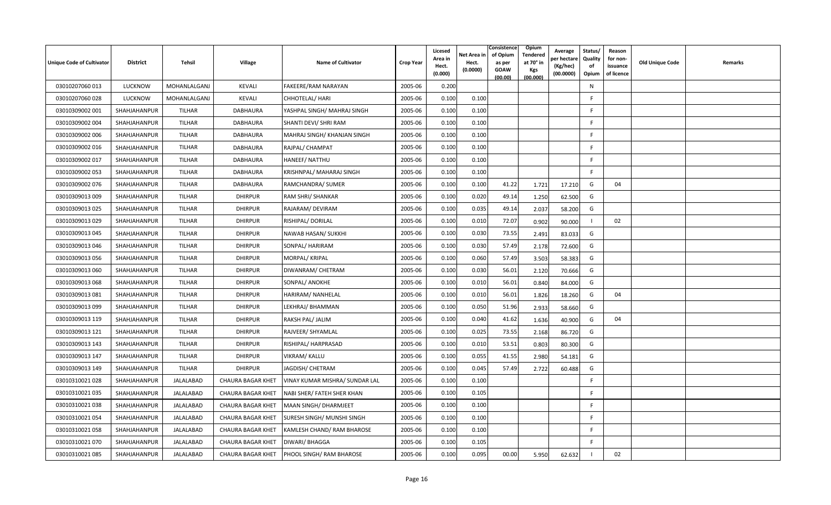| <b>Unique Code of Cultivator</b> | <b>District</b> | Tehsil        | Village                  | <b>Name of Cultivator</b>       | <b>Crop Year</b> | Licesed<br>Area in<br>Hect.<br>(0.000) | Net Area in<br>Hect.<br>(0.0000) | Consistence<br>Opium<br>of Opium<br>Tendered<br>at 70 $^{\circ}$ in<br>as per<br><b>GOAW</b><br><b>Kgs</b><br>(00.000)<br>(00.00) | Average<br>er hectar<br>(Kg/hec)<br>(00.0000) | Status/<br>Quality<br>of<br>Opium | Reason<br>for non-<br>issuance<br>of licence | <b>Old Unique Code</b> | Remarks |
|----------------------------------|-----------------|---------------|--------------------------|---------------------------------|------------------|----------------------------------------|----------------------------------|-----------------------------------------------------------------------------------------------------------------------------------|-----------------------------------------------|-----------------------------------|----------------------------------------------|------------------------|---------|
| 03010207060 013                  | <b>LUCKNOW</b>  | MOHANLALGANJ  | KEVALI                   | FAKEERE/RAM NARAYAN             | 2005-06          | 0.200                                  |                                  |                                                                                                                                   |                                               | N                                 |                                              |                        |         |
| 03010207060 028                  | <b>LUCKNOW</b>  | MOHANLALGANJ  | KEVALI                   | <b>CHHOTELAL/ HARI</b>          | 2005-06          | 0.100                                  | 0.100                            |                                                                                                                                   |                                               | E                                 |                                              |                        |         |
| 03010309002 001                  | SHAHJAHANPUR    | TILHAR        | DABHAURA                 | YASHPAL SINGH/MAHRAJ SINGH      | 2005-06          | 0.100                                  | 0.100                            |                                                                                                                                   |                                               |                                   |                                              |                        |         |
| 03010309002 004                  | SHAHJAHANPUR    | TILHAR        | DABHAURA                 | SHANTI DEVI/ SHRI RAM           | 2005-06          | 0.100                                  | 0.100                            |                                                                                                                                   |                                               | -F                                |                                              |                        |         |
| 03010309002 006                  | SHAHJAHANPUR    | TILHAR        | DABHAURA                 | MAHRAJ SINGH/KHANJAN SINGH      | 2005-06          | 0.100                                  | 0.100                            |                                                                                                                                   |                                               | F                                 |                                              |                        |         |
| 03010309002 016                  | SHAHJAHANPUR    | TILHAR        | DABHAURA                 | RAJPAL/ CHAMPAT                 | 2005-06          | 0.100                                  | 0.100                            |                                                                                                                                   |                                               | F                                 |                                              |                        |         |
| 03010309002 017                  | SHAHJAHANPUR    | TILHAR        | DABHAURA                 | <b>HANEEF/ NATTHU</b>           | 2005-06          | 0.100                                  | 0.100                            |                                                                                                                                   |                                               | E                                 |                                              |                        |         |
| 03010309002 053                  | SHAHJAHANPUR    | TILHAR        | DABHAURA                 | KRISHNPAL/ MAHARAJ SINGH        | 2005-06          | 0.100                                  | 0.100                            |                                                                                                                                   |                                               | <b>F</b>                          |                                              |                        |         |
| 03010309002 076                  | SHAHJAHANPUR    | TILHAR        | DABHAURA                 | RAMCHANDRA/ SUMER               | 2005-06          | 0.100                                  | 0.100                            | 41.22<br>1.721                                                                                                                    | 17.210                                        | G                                 | 04                                           |                        |         |
| 03010309013 009                  | SHAHJAHANPUR    | <b>TILHAR</b> | <b>DHIRPUR</b>           | RAM SHRI/ SHANKAR               | 2005-06          | 0.100                                  | 0.020                            | 49.14<br>1.250                                                                                                                    | 62.500                                        | G                                 |                                              |                        |         |
| 03010309013 025                  | SHAHJAHANPUR    | TILHAR        | <b>DHIRPUR</b>           | RAJARAM/ DEVIRAM                | 2005-06          | 0.100                                  | 0.035                            | 49.14<br>2.037                                                                                                                    | 58.200                                        | G                                 |                                              |                        |         |
| 03010309013 029                  | SHAHJAHANPUR    | TILHAR        | <b>DHIRPUR</b>           | RISHIPAL/DORILAL                | 2005-06          | 0.100                                  | 0.010                            | 72.07<br>0.902                                                                                                                    | 90.000                                        |                                   | 02                                           |                        |         |
| 03010309013 045                  | SHAHJAHANPUR    | TILHAR        | <b>DHIRPUR</b>           | NAWAB HASAN/ SUKKHI             | 2005-06          | 0.100                                  | 0.030                            | 73.55<br>2.491                                                                                                                    | 83.033                                        | G                                 |                                              |                        |         |
| 03010309013 046                  | SHAHJAHANPUR    | TILHAR        | <b>DHIRPUR</b>           | SONPAL/ HARIRAM                 | 2005-06          | 0.100                                  | 0.030                            | 57.49<br>2.178                                                                                                                    | 72.600                                        | G                                 |                                              |                        |         |
| 03010309013 056                  | SHAHJAHANPUR    | <b>TILHAR</b> | <b>DHIRPUR</b>           | MORPAL/ KRIPAL                  | 2005-06          | 0.100                                  | 0.060                            | 57.49<br>3.503                                                                                                                    | 58.383                                        | G                                 |                                              |                        |         |
| 03010309013 060                  | SHAHJAHANPUR    | TILHAR        | <b>DHIRPUR</b>           | DIWANRAM/ CHETRAM               | 2005-06          | 0.100                                  | 0.030                            | 56.01<br>2.120                                                                                                                    | 70.666                                        | G                                 |                                              |                        |         |
| 03010309013 068                  | SHAHJAHANPUR    | <b>TILHAR</b> | <b>DHIRPUR</b>           | SONPAL/ ANOKHE                  | 2005-06          | 0.100                                  | 0.010                            | 56.01<br>0.840                                                                                                                    | 84.000                                        | G                                 |                                              |                        |         |
| 03010309013081                   | SHAHJAHANPUR    | TILHAR        | <b>DHIRPUR</b>           | HARIRAM/ NANHELAL               | 2005-06          | 0.100                                  | 0.010                            | 56.01<br>1.826                                                                                                                    | 18.260                                        | G                                 | 04                                           |                        |         |
| 03010309013 099                  | SHAHJAHANPUR    | TILHAR        | <b>DHIRPUR</b>           | LEKHRAJ/ BHAMMAN                | 2005-06          | 0.100                                  | 0.050                            | 51.96<br>2.933                                                                                                                    | 58.660                                        | G                                 |                                              |                        |         |
| 03010309013 119                  | SHAHJAHANPUR    | <b>TILHAR</b> | <b>DHIRPUR</b>           | RAKSH PAL/ JALIM                | 2005-06          | 0.100                                  | 0.040                            | 41.62<br>1.636                                                                                                                    | 40.900                                        | G                                 | 04                                           |                        |         |
| 03010309013 121                  | SHAHJAHANPUR    | TILHAR        | <b>DHIRPUR</b>           | RAJVEER/ SHYAMLAL               | 2005-06          | 0.100                                  | 0.025                            | 73.55<br>2.168                                                                                                                    | 86.720                                        | G                                 |                                              |                        |         |
| 03010309013 143                  | SHAHJAHANPUR    | TILHAR        | <b>DHIRPUR</b>           | RISHIPAL/ HARPRASAD             | 2005-06          | 0.100                                  | 0.010                            | 53.51<br>0.803                                                                                                                    | 80.300                                        | G                                 |                                              |                        |         |
| 03010309013 147                  | SHAHJAHANPUR    | TILHAR        | <b>DHIRPUR</b>           | <b>VIKRAM/ KALLU</b>            | 2005-06          | 0.100                                  | 0.055                            | 41.55<br>2.980                                                                                                                    | 54.181                                        | G                                 |                                              |                        |         |
| 03010309013 149                  | SHAHJAHANPUR    | <b>TILHAR</b> | <b>DHIRPUR</b>           | JAGDISH/ CHETRAM                | 2005-06          | 0.100                                  | 0.045                            | 57.49<br>2.722                                                                                                                    | 60.488                                        | G                                 |                                              |                        |         |
| 03010310021 028                  | SHAHJAHANPUR    | JALALABAD     | <b>CHAURA BAGAR KHET</b> | VINAY KUMAR MISHRA/ SUNDAR LAL  | 2005-06          | 0.100                                  | 0.100                            |                                                                                                                                   |                                               | E                                 |                                              |                        |         |
| 03010310021 035                  | SHAHJAHANPUR    | JALALABAD     | <b>CHAURA BAGAR KHET</b> | NABI SHER/ FATEH SHER KHAN      | 2005-06          | 0.100                                  | 0.105                            |                                                                                                                                   |                                               | -F                                |                                              |                        |         |
| 03010310021 038                  | SHAHJAHANPUR    | JALALABAD     | <b>CHAURA BAGAR KHET</b> | MAAN SINGH/ DHARMJEET           | 2005-06          | 0.100                                  | 0.100                            |                                                                                                                                   |                                               | F                                 |                                              |                        |         |
| 03010310021 054                  | SHAHJAHANPUR    | JALALABAD     | CHAURA BAGAR KHET        | SURESH SINGH/ MUNSHI SINGH      | 2005-06          | 0.100                                  | 0.100                            |                                                                                                                                   |                                               | E                                 |                                              |                        |         |
| 03010310021 058                  | SHAHJAHANPUR    | JALALABAD     | <b>CHAURA BAGAR KHET</b> | KAMLESH CHAND/ RAM BHAROSE      | 2005-06          | 0.100                                  | 0.100                            |                                                                                                                                   |                                               | -F                                |                                              |                        |         |
| 03010310021 070                  | SHAHJAHANPUR    | JALALABAD     | <b>CHAURA BAGAR KHET</b> | <b>DIWARI/ BHAGGA</b>           | 2005-06          | 0.100                                  | 0.105                            |                                                                                                                                   |                                               | E                                 |                                              |                        |         |
| 03010310021 085                  | SHAHJAHANPUR    | JALALABAD     | <b>CHAURA BAGAR KHET</b> | <b>PHOOL SINGH/ RAM BHAROSE</b> | 2005-06          | 0.100                                  | 0.095                            | 00.00<br>5.950                                                                                                                    | 62.632                                        |                                   | 02                                           |                        |         |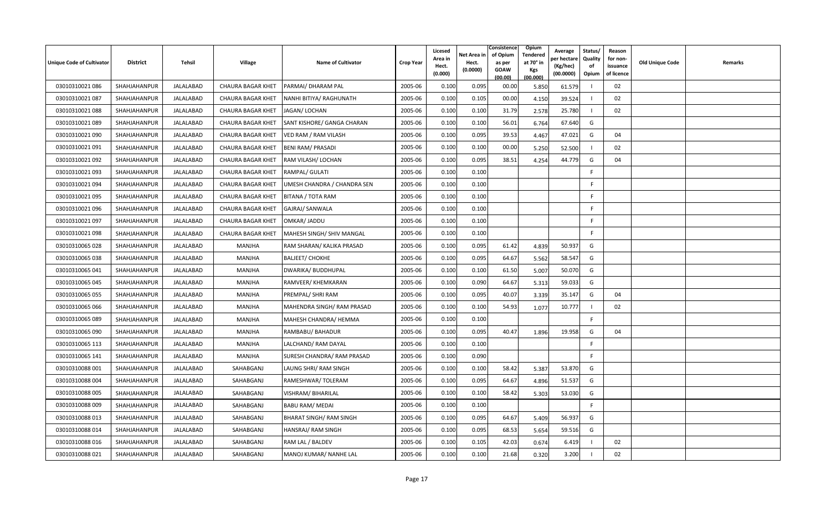| Unique Code of Cultivator | <b>District</b> | Tehsil           | <b>Village</b>           | <b>Name of Cultivator</b>      | <b>Crop Year</b> | Licesed<br>Area in<br>Hect.<br>(0.000) | Net Area in<br>Hect.<br>(0.0000) | Consistence<br>of Opium<br>as per<br><b>GOAW</b><br>(00.00) | Opium<br>Tendered<br>at 70 $^{\circ}$ in<br><b>Kgs</b><br>(00.000) | Average<br>วer hectarง<br>(Kg/hec)<br>(00.0000) | Status/<br>Quality<br>of<br>Opium | Reason<br>for non-<br>issuance<br>of licence | <b>Old Unique Code</b> | Remarks |
|---------------------------|-----------------|------------------|--------------------------|--------------------------------|------------------|----------------------------------------|----------------------------------|-------------------------------------------------------------|--------------------------------------------------------------------|-------------------------------------------------|-----------------------------------|----------------------------------------------|------------------------|---------|
| 03010310021 086           | SHAHJAHANPUR    | <b>JALALABAD</b> | <b>CHAURA BAGAR KHET</b> | PARMAI/ DHARAM PAL             | 2005-06          | 0.100                                  | 0.095                            | 00.00                                                       | 5.850                                                              | 61.579                                          |                                   | 02                                           |                        |         |
| 03010310021 087           | SHAHJAHANPUR    | JALALABAD        | <b>CHAURA BAGAR KHET</b> | NANHI BITIYA/ RAGHUNATH        | 2005-06          | 0.100                                  | 0.105                            | 00.00                                                       | 4.150                                                              | 39.524                                          |                                   | 02                                           |                        |         |
| 03010310021088            | SHAHJAHANPUR    | JALALABAD        | CHAURA BAGAR KHET        | JAGAN/ LOCHAN                  | 2005-06          | 0.100                                  | 0.100                            | 31.79                                                       | 2.578                                                              | 25.780                                          |                                   | 02                                           |                        |         |
| 03010310021 089           | SHAHJAHANPUR    | JALALABAD        | <b>CHAURA BAGAR KHET</b> | SANT KISHORE/ GANGA CHARAN     | 2005-06          | 0.100                                  | 0.100                            | 56.01                                                       | 6.764                                                              | 67.640                                          | G                                 |                                              |                        |         |
| 03010310021 090           | SHAHJAHANPUR    | JALALABAD        | <b>CHAURA BAGAR KHET</b> | VED RAM / RAM VILASH           | 2005-06          | 0.100                                  | 0.095                            | 39.53                                                       | 4.467                                                              | 47.021                                          | G                                 | 04                                           |                        |         |
| 03010310021 091           | SHAHJAHANPUR    | JALALABAD        | <b>CHAURA BAGAR KHET</b> | <b>BENI RAM/ PRASADI</b>       | 2005-06          | 0.100                                  | 0.100                            | 00.00                                                       | 5.250                                                              | 52.500                                          |                                   | 02                                           |                        |         |
| 03010310021 092           | SHAHJAHANPUR    | JALALABAD        | <b>CHAURA BAGAR KHET</b> | RAM VILASH/ LOCHAN             | 2005-06          | 0.100                                  | 0.095                            | 38.51                                                       | 4.254                                                              | 44.779                                          | G                                 | 04                                           |                        |         |
| 03010310021 093           | SHAHJAHANPUR    | JALALABAD        | <b>CHAURA BAGAR KHET</b> | RAMPAL/ GULATI                 | 2005-06          | 0.100                                  | 0.100                            |                                                             |                                                                    |                                                 | F.                                |                                              |                        |         |
| 03010310021 094           | SHAHJAHANPUR    | JALALABAD        | <b>CHAURA BAGAR KHET</b> | UMESH CHANDRA / CHANDRA SEN    | 2005-06          | 0.100                                  | 0.100                            |                                                             |                                                                    |                                                 | F                                 |                                              |                        |         |
| 03010310021 095           | SHAHJAHANPUR    | <b>JALALABAD</b> | <b>CHAURA BAGAR KHET</b> | BITANA / TOTA RAM              | 2005-06          | 0.100                                  | 0.100                            |                                                             |                                                                    |                                                 | F                                 |                                              |                        |         |
| 03010310021 096           | SHAHJAHANPUR    | JALALABAD        | <b>CHAURA BAGAR KHET</b> | GAJRAJ/ SANWALA                | 2005-06          | 0.100                                  | 0.100                            |                                                             |                                                                    |                                                 | F                                 |                                              |                        |         |
| 03010310021 097           | SHAHJAHANPUR    | JALALABAD        | <b>CHAURA BAGAR KHET</b> | OMKAR/ JADDU                   | 2005-06          | 0.100                                  | 0.100                            |                                                             |                                                                    |                                                 | F                                 |                                              |                        |         |
| 03010310021 098           | SHAHJAHANPUR    | JALALABAD        | <b>CHAURA BAGAR KHET</b> | MAHESH SINGH/ SHIV MANGAL      | 2005-06          | 0.100                                  | 0.100                            |                                                             |                                                                    |                                                 | F                                 |                                              |                        |         |
| 03010310065 028           | SHAHJAHANPUR    | JALALABAD        | MANJHA                   | RAM SHARAN/ KALIKA PRASAD      | 2005-06          | 0.100                                  | 0.095                            | 61.42                                                       | 4.839                                                              | 50.937                                          | G                                 |                                              |                        |         |
| 03010310065 038           | SHAHJAHANPUR    | JALALABAD        | MANJHA                   | <b>BALJEET/ CHOKHE</b>         | 2005-06          | 0.100                                  | 0.095                            | 64.67                                                       | 5.562                                                              | 58.547                                          | G                                 |                                              |                        |         |
| 03010310065 041           | SHAHJAHANPUR    | JALALABAD        | MANJHA                   | DWARIKA/ BUDDHUPAL             | 2005-06          | 0.100                                  | 0.100                            | 61.50                                                       | 5.007                                                              | 50.070                                          | G                                 |                                              |                        |         |
| 03010310065 045           | SHAHJAHANPUR    | JALALABAD        | MANJHA                   | RAMVEER/ KHEMKARAN             | 2005-06          | 0.100                                  | 0.090                            | 64.67                                                       | 5.313                                                              | 59.033                                          | G                                 |                                              |                        |         |
| 03010310065 055           | SHAHJAHANPUR    | JALALABAD        | MANJHA                   | PREMPAL/ SHRI RAM              | 2005-06          | 0.100                                  | 0.095                            | 40.07                                                       | 3.339                                                              | 35.147                                          | G                                 | 04                                           |                        |         |
| 03010310065 066           | SHAHJAHANPUR    | JALALABAD        | MANJHA                   | MAHENDRA SINGH/ RAM PRASAD     | 2005-06          | 0.100                                  | 0.100                            | 54.93                                                       | 1.077                                                              | 10.777                                          |                                   | 02                                           |                        |         |
| 03010310065 089           | SHAHJAHANPUR    | JALALABAD        | MANJHA                   | MAHESH CHANDRA/ HEMMA          | 2005-06          | 0.100                                  | 0.100                            |                                                             |                                                                    |                                                 | F.                                |                                              |                        |         |
| 03010310065 090           | SHAHJAHANPUR    | JALALABAD        | MANJHA                   | RAMBABU/ BAHADUR               | 2005-06          | 0.100                                  | 0.095                            | 40.47                                                       | 1.896                                                              | 19.958                                          | G                                 | 04                                           |                        |         |
| 03010310065 113           | SHAHJAHANPUR    | JALALABAD        | MANJHA                   | LALCHAND/ RAM DAYAL            | 2005-06          | 0.100                                  | 0.100                            |                                                             |                                                                    |                                                 | F.                                |                                              |                        |         |
| 03010310065 141           | SHAHJAHANPUR    | JALALABAD        | MANJHA                   | SURESH CHANDRA/ RAM PRASAD     | 2005-06          | 0.100                                  | 0.090                            |                                                             |                                                                    |                                                 | F                                 |                                              |                        |         |
| 03010310088 001           | SHAHJAHANPUR    | JALALABAD        | SAHABGANJ                | LAUNG SHRI/ RAM SINGH          | 2005-06          | 0.100                                  | 0.100                            | 58.42                                                       | 5.387                                                              | 53.870                                          | G                                 |                                              |                        |         |
| 03010310088 004           | SHAHJAHANPUR    | JALALABAD        | SAHABGANJ                | RAMESHWAR/TOLERAM              | 2005-06          | 0.100                                  | 0.095                            | 64.67                                                       | 4.896                                                              | 51.537                                          | G                                 |                                              |                        |         |
| 03010310088 005           | SHAHJAHANPUR    | JALALABAD        | SAHABGANJ                | VISHRAM/ BIHARILAL             | 2005-06          | 0.100                                  | 0.100                            | 58.42                                                       | 5.303                                                              | 53.030                                          | G                                 |                                              |                        |         |
| 03010310088 009           | SHAHJAHANPUR    | JALALABAD        | SAHABGANJ                | <b>BABU RAM/ MEDAI</b>         | 2005-06          | 0.100                                  | 0.100                            |                                                             |                                                                    |                                                 | F.                                |                                              |                        |         |
| 03010310088 013           | SHAHJAHANPUR    | JALALABAD        | SAHABGANJ                | <b>BHARAT SINGH/ RAM SINGH</b> | 2005-06          | 0.100                                  | 0.095                            | 64.67                                                       | 5.409                                                              | 56.937                                          | G                                 |                                              |                        |         |
| 03010310088 014           | SHAHJAHANPUR    | JALALABAD        | SAHABGANJ                | HANSRAJ/ RAM SINGH             | 2005-06          | 0.100                                  | 0.095                            | 68.53                                                       | 5.654                                                              | 59.516                                          | G                                 |                                              |                        |         |
| 03010310088 016           | SHAHJAHANPUR    | JALALABAD        | SAHABGANJ                | RAM LAL / BALDEV               | 2005-06          | 0.100                                  | 0.105                            | 42.03                                                       | 0.674                                                              | 6.419                                           |                                   | 02                                           |                        |         |
| 03010310088 021           | SHAHJAHANPUR    | JALALABAD        | SAHABGANJ                | MANOJ KUMAR/ NANHE LAL         | 2005-06          | 0.100                                  | 0.100                            | 21.68                                                       | 0.320                                                              | 3.200                                           |                                   | 02                                           |                        |         |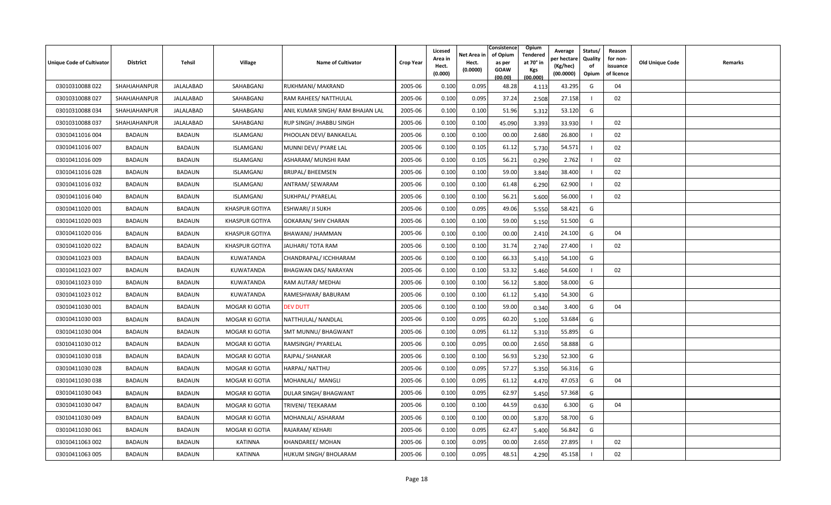| Unique Code of Cultivator | <b>District</b> | Tehsil        | <b>Village</b>        | <b>Name of Cultivator</b>        | <b>Crop Year</b> | Licesed<br>Area in<br>Hect.<br>(0.000) | Net Area in<br>Hect.<br>(0.0000) | Consistence<br>of Opium<br>as per<br><b>GOAW</b><br>(00.00) | Opium<br>Tendered<br>at 70 $^{\circ}$ in<br><b>Kgs</b><br>(00.000) | Average<br>er hectar<br>(Kg/hec)<br>(00.0000) | Status/<br>Quality<br>of<br>Opium | Reason<br>for non-<br>issuance<br>of licence | <b>Old Unique Code</b> | Remarks |
|---------------------------|-----------------|---------------|-----------------------|----------------------------------|------------------|----------------------------------------|----------------------------------|-------------------------------------------------------------|--------------------------------------------------------------------|-----------------------------------------------|-----------------------------------|----------------------------------------------|------------------------|---------|
| 03010310088 022           | SHAHJAHANPUR    | JALALABAD     | SAHABGANJ             | RUKHMANI/ MAKRAND                | 2005-06          | 0.100                                  | 0.095                            | 48.28                                                       | 4.113                                                              | 43.295                                        | G                                 | 04                                           |                        |         |
| 03010310088 027           | SHAHJAHANPUR    | JALALABAD     | SAHABGANJ             | RAM RAHEES/ NATTHULAL            | 2005-06          | 0.100                                  | 0.095                            | 37.24                                                       | 2.508                                                              | 27.158                                        |                                   | 02                                           |                        |         |
| 03010310088 034           | SHAHJAHANPUR    | JALALABAD     | SAHABGANJ             | ANIL KUMAR SINGH/ RAM BHAJAN LAL | 2005-06          | 0.100                                  | 0.100                            | 51.96                                                       | 5.312                                                              | 53.120                                        | G                                 |                                              |                        |         |
| 03010310088 037           | SHAHJAHANPUR    | JALALABAD     | SAHABGANJ             | RUP SINGH/ JHABBU SINGH          | 2005-06          | 0.100                                  | 0.100                            | 45.090                                                      | 3.393                                                              | 33.930                                        |                                   | 02                                           |                        |         |
| 03010411016 004           | <b>BADAUN</b>   | <b>BADAUN</b> | <b>ISLAMGANJ</b>      | PHOOLAN DEVI/ BANKAELAL          | 2005-06          | 0.100                                  | 0.100                            | 00.00                                                       | 2.680                                                              | 26.800                                        |                                   | 02                                           |                        |         |
| 03010411016 007           | <b>BADAUN</b>   | <b>BADAUN</b> | <b>ISLAMGANJ</b>      | MUNNI DEVI/ PYARE LAL            | 2005-06          | 0.100                                  | 0.105                            | 61.12                                                       | 5.730                                                              | 54.571                                        |                                   | 02                                           |                        |         |
| 03010411016 009           | <b>BADAUN</b>   | <b>BADAUN</b> | <b>ISLAMGANJ</b>      | ASHARAM/ MUNSHI RAM              | 2005-06          | 0.100                                  | 0.105                            | 56.21                                                       | 0.290                                                              | 2.762                                         |                                   | 02                                           |                        |         |
| 03010411016028            | <b>BADAUN</b>   | <b>BADAUN</b> | <b>ISLAMGANJ</b>      | <b>BRIJPAL/ BHEEMSEN</b>         | 2005-06          | 0.100                                  | 0.100                            | 59.00                                                       | 3.840                                                              | 38.400                                        |                                   | 02                                           |                        |         |
| 03010411016 032           | BADAUN          | <b>BADAUN</b> | ISLAMGANJ             | ANTRAM/ SEWARAM                  | 2005-06          | 0.100                                  | 0.100                            | 61.48                                                       | 6.290                                                              | 62.900                                        |                                   | 02                                           |                        |         |
| 03010411016 040           | <b>BADAUN</b>   | <b>BADAUN</b> | <b>ISLAMGANJ</b>      | SUKHPAL/ PYARELAL                | 2005-06          | 0.100                                  | 0.100                            | 56.21                                                       | 5.600                                                              | 56.000                                        |                                   | 02                                           |                        |         |
| 03010411020 001           | BADAUN          | <b>BADAUN</b> | <b>KHASPUR GOTIYA</b> | ESHWARI/ JI SUKH                 | 2005-06          | 0.100                                  | 0.095                            | 49.06                                                       | 5.550                                                              | 58.421                                        | G                                 |                                              |                        |         |
| 03010411020 003           | <b>BADAUN</b>   | <b>BADAUN</b> | <b>KHASPUR GOTIYA</b> | <b>GOKARAN/ SHIV CHARAN</b>      | 2005-06          | 0.100                                  | 0.100                            | 59.00                                                       | 5.150                                                              | 51.500                                        | G                                 |                                              |                        |         |
| 03010411020 016           | <b>BADAUN</b>   | <b>BADAUN</b> | <b>KHASPUR GOTIYA</b> | BHAWANI/ JHAMMAN                 | 2005-06          | 0.100                                  | 0.100                            | 00.00                                                       | 2.410                                                              | 24.100                                        | G                                 | 04                                           |                        |         |
| 03010411020 022           | <b>BADAUN</b>   | <b>BADAUN</b> | <b>KHASPUR GOTIYA</b> | JAUHARI/ TOTA RAM                | 2005-06          | 0.100                                  | 0.100                            | 31.74                                                       | 2.740                                                              | 27.400                                        |                                   | 02                                           |                        |         |
| 03010411023 003           | <b>BADAUN</b>   | <b>BADAUN</b> | KUWATANDA             | CHANDRAPAL/ ICCHHARAM            | 2005-06          | 0.100                                  | 0.100                            | 66.33                                                       | 5.410                                                              | 54.100                                        | G                                 |                                              |                        |         |
| 03010411023 007           | BADAUN          | <b>BADAUN</b> | KUWATANDA             | BHAGWAN DAS/ NARAYAN             | 2005-06          | 0.100                                  | 0.100                            | 53.32                                                       | 5.460                                                              | 54.600                                        |                                   | 02                                           |                        |         |
| 03010411023 010           | <b>BADAUN</b>   | <b>BADAUN</b> | KUWATANDA             | RAM AUTAR/ MEDHAI                | 2005-06          | 0.100                                  | 0.100                            | 56.12                                                       | 5.800                                                              | 58.000                                        | G                                 |                                              |                        |         |
| 03010411023 012           | BADAUN          | <b>BADAUN</b> | KUWATANDA             | RAMESHWAR/ BABURAM               | 2005-06          | 0.100                                  | 0.100                            | 61.12                                                       | 5.430                                                              | 54.300                                        | G                                 |                                              |                        |         |
| 03010411030 001           | <b>BADAUN</b>   | <b>BADAUN</b> | MOGAR KI GOTIA        | <b>DEV DUTT</b>                  | 2005-06          | 0.100                                  | 0.100                            | 59.00                                                       | 0.340                                                              | 3.400                                         | G                                 | 04                                           |                        |         |
| 03010411030 003           | <b>BADAUN</b>   | <b>BADAUN</b> | MOGAR KI GOTIA        | NATTHULAL/ NANDLAL               | 2005-06          | 0.100                                  | 0.095                            | 60.20                                                       | 5.100                                                              | 53.684                                        | G                                 |                                              |                        |         |
| 03010411030 004           | BADAUN          | <b>BADAUN</b> | MOGAR KI GOTIA        | SMT MUNNU/ BHAGWANT              | 2005-06          | 0.100                                  | 0.095                            | 61.12                                                       | 5.310                                                              | 55.895                                        | G                                 |                                              |                        |         |
| 03010411030 012           | <b>BADAUN</b>   | <b>BADAUN</b> | MOGAR KI GOTIA        | RAMSINGH/ PYARELAL               | 2005-06          | 0.100                                  | 0.095                            | 00.00                                                       | 2.650                                                              | 58.888                                        | G                                 |                                              |                        |         |
| 03010411030 018           | <b>BADAUN</b>   | <b>BADAUN</b> | MOGAR KI GOTIA        | RAJPAL/ SHANKAR                  | 2005-06          | 0.100                                  | 0.100                            | 56.93                                                       | 5.230                                                              | 52.300                                        | G                                 |                                              |                        |         |
| 03010411030 028           | <b>BADAUN</b>   | <b>BADAUN</b> | MOGAR KI GOTIA        | HARPAL/NATTHU                    | 2005-06          | 0.100                                  | 0.095                            | 57.27                                                       | 5.350                                                              | 56.316                                        | G                                 |                                              |                        |         |
| 03010411030 038           | <b>BADAUN</b>   | <b>BADAUN</b> | MOGAR KI GOTIA        | MOHANLAL/ MANGLI                 | 2005-06          | 0.100                                  | 0.095                            | 61.12                                                       | 4.470                                                              | 47.053                                        | G                                 | 04                                           |                        |         |
| 03010411030043            | <b>BADAUN</b>   | <b>BADAUN</b> | MOGAR KI GOTIA        | DULAR SINGH/ BHAGWANT            | 2005-06          | 0.100                                  | 0.095                            | 62.97                                                       | 5.450                                                              | 57.368                                        | G                                 |                                              |                        |         |
| 03010411030 047           | BADAUN          | <b>BADAUN</b> | MOGAR KI GOTIA        | TRIVENI/ TEEKARAM                | 2005-06          | 0.100                                  | 0.100                            | 44.59                                                       | 0.630                                                              | 6.300                                         | G                                 | 04                                           |                        |         |
| 03010411030 049           | BADAUN          | <b>BADAUN</b> | MOGAR KI GOTIA        | MOHANLAL/ ASHARAM                | 2005-06          | 0.100                                  | 0.100                            | 00.00                                                       | 5.870                                                              | 58.700                                        | G                                 |                                              |                        |         |
| 03010411030 061           | BADAUN          | <b>BADAUN</b> | MOGAR KI GOTIA        | RAJARAM/KEHARI                   | 2005-06          | 0.100                                  | 0.095                            | 62.47                                                       | 5.400                                                              | 56.842                                        | G                                 |                                              |                        |         |
| 03010411063 002           | <b>BADAUN</b>   | <b>BADAUN</b> | <b>KATINNA</b>        | KHANDAREE/ MOHAN                 | 2005-06          | 0.100                                  | 0.095                            | 00.00                                                       | 2.650                                                              | 27.895                                        |                                   | 02                                           |                        |         |
| 03010411063 005           | <b>BADAUN</b>   | <b>BADAUN</b> | <b>KATINNA</b>        | HUKUM SINGH/ BHOLARAM            | 2005-06          | 0.100                                  | 0.095                            | 48.51                                                       | 4.290                                                              | 45.158                                        |                                   | 02                                           |                        |         |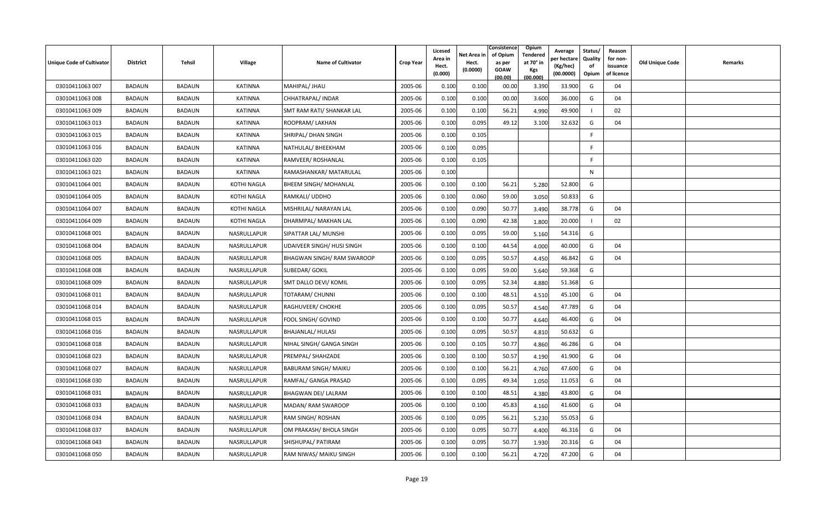| <b>Unique Code of Cultivator</b> | <b>District</b> | Tehsil        | <b>Village</b>     | <b>Name of Cultivator</b>    | <b>Crop Year</b> | Licesed<br>Area in<br>Hect.<br>(0.000) | Net Area in<br>Hect.<br>(0.0000) | Consistence<br>of Opium<br>as per<br><b>GOAW</b><br>(00.00) | <b>Opium</b><br>Tendered<br>at 70° in<br><b>Kgs</b><br>(00.000) | Average<br>er hectar<br>(Kg/hec)<br>(00.0000) | Status/<br>Quality<br>of<br>Opium | Reason<br>for non-<br>issuance<br>of licence | Old Unique Code | Remarks |
|----------------------------------|-----------------|---------------|--------------------|------------------------------|------------------|----------------------------------------|----------------------------------|-------------------------------------------------------------|-----------------------------------------------------------------|-----------------------------------------------|-----------------------------------|----------------------------------------------|-----------------|---------|
| 03010411063 007                  | <b>BADAUN</b>   | <b>BADAUN</b> | KATINNA            | MAHIPAL/ JHAU                | 2005-06          | 0.100                                  | 0.100                            | 00.00                                                       | 3.390                                                           | 33.900                                        | G                                 | 04                                           |                 |         |
| 03010411063 008                  | BADAUN          | <b>BADAUN</b> | <b>KATINNA</b>     | CHHATRAPAL/ INDAR            | 2005-06          | 0.100                                  | 0.100                            | 00.00                                                       | 3.600                                                           | 36.000                                        | G                                 | 04                                           |                 |         |
| 03010411063 009                  | <b>BADAUN</b>   | <b>BADAUN</b> | <b>KATINNA</b>     | SMT RAM RATI/ SHANKAR LAL    | 2005-06          | 0.100                                  | 0.100                            | 56.21                                                       | 4.990                                                           | 49.900                                        |                                   | 02                                           |                 |         |
| 03010411063 013                  | BADAUN          | <b>BADAUN</b> | <b>KATINNA</b>     | ROOPRAM/LAKHAN               | 2005-06          | 0.100                                  | 0.095                            | 49.12                                                       | 3.100                                                           | 32.632                                        | G                                 | 04                                           |                 |         |
| 03010411063 015                  | <b>BADAUN</b>   | <b>BADAUN</b> | <b>KATINNA</b>     | SHRIPAL/ DHAN SINGH          | 2005-06          | 0.100                                  | 0.105                            |                                                             |                                                                 |                                               | F                                 |                                              |                 |         |
| 03010411063 016                  | <b>BADAUN</b>   | <b>BADAUN</b> | KATINNA            | NATHULAL/BHEEKHAM            | 2005-06          | 0.100                                  | 0.095                            |                                                             |                                                                 |                                               | F                                 |                                              |                 |         |
| 03010411063 020                  | <b>BADAUN</b>   | <b>BADAUN</b> | KATINNA            | RAMVEER/ ROSHANLAL           | 2005-06          | 0.100                                  | 0.105                            |                                                             |                                                                 |                                               | E                                 |                                              |                 |         |
| 03010411063 021                  | <b>BADAUN</b>   | <b>BADAUN</b> | <b>KATINNA</b>     | RAMASHANKAR/ MATARULAL       | 2005-06          | 0.100                                  |                                  |                                                             |                                                                 |                                               | N                                 |                                              |                 |         |
| 03010411064 001                  | BADAUN          | <b>BADAUN</b> | <b>KOTHI NAGLA</b> | <b>BHEEM SINGH/ MOHANLAL</b> | 2005-06          | 0.100                                  | 0.100                            | 56.21                                                       | 5.280                                                           | 52.800                                        | G                                 |                                              |                 |         |
| 03010411064 005                  | <b>BADAUN</b>   | <b>BADAUN</b> | KOTHI NAGLA        | RAMKALI/ UDDHO               | 2005-06          | 0.100                                  | 0.060                            | 59.00                                                       | 3.050                                                           | 50.833                                        | G                                 |                                              |                 |         |
| 03010411064 007                  | <b>BADAUN</b>   | <b>BADAUN</b> | KOTHI NAGLA        | MISHRILAL/ NARAYAN LAL       | 2005-06          | 0.100                                  | 0.090                            | 50.77                                                       | 3.490                                                           | 38.778                                        | G                                 | 04                                           |                 |         |
| 03010411064 009                  | <b>BADAUN</b>   | <b>BADAUN</b> | KOTHI NAGLA        | DHARMPAL/ MAKHAN LAL         | 2005-06          | 0.100                                  | 0.090                            | 42.38                                                       | 1.800                                                           | 20.000                                        |                                   | 02                                           |                 |         |
| 03010411068 001                  | BADAUN          | <b>BADAUN</b> | NASRULLAPUR        | SIPATTAR LAL/ MUNSHI         | 2005-06          | 0.100                                  | 0.095                            | 59.00                                                       | 5.160                                                           | 54.316                                        | G                                 |                                              |                 |         |
| 03010411068 004                  | BADAUN          | <b>BADAUN</b> | NASRULLAPUR        | UDAIVEER SINGH/ HUSI SINGH   | 2005-06          | 0.100                                  | 0.100                            | 44.54                                                       | 4.000                                                           | 40.000                                        | G                                 | 04                                           |                 |         |
| 03010411068 005                  | <b>BADAUN</b>   | <b>BADAUN</b> | NASRULLAPUR        | BHAGWAN SINGH/ RAM SWAROOP   | 2005-06          | 0.100                                  | 0.095                            | 50.57                                                       | 4.450                                                           | 46.842                                        | G                                 | 04                                           |                 |         |
| 03010411068 008                  | <b>BADAUN</b>   | <b>BADAUN</b> | NASRULLAPUR        | SUBEDAR/ GOKIL               | 2005-06          | 0.100                                  | 0.095                            | 59.00                                                       | 5.640                                                           | 59.368                                        | G                                 |                                              |                 |         |
| 03010411068 009                  | <b>BADAUN</b>   | <b>BADAUN</b> | NASRULLAPUR        | SMT DALLO DEVI/ KOMIL        | 2005-06          | 0.100                                  | 0.095                            | 52.34                                                       | 4.880                                                           | 51.368                                        | G                                 |                                              |                 |         |
| 03010411068 011                  | BADAUN          | <b>BADAUN</b> | NASRULLAPUR        | TOTARAM/ CHUNNI              | 2005-06          | 0.100                                  | 0.100                            | 48.51                                                       | 4.510                                                           | 45.100                                        | G                                 | 04                                           |                 |         |
| 03010411068 014                  | BADAUN          | <b>BADAUN</b> | NASRULLAPUR        | RAGHUVEER/ CHOKHE            | 2005-06          | 0.100                                  | 0.095                            | 50.57                                                       | 4.540                                                           | 47.789                                        | G                                 | 04                                           |                 |         |
| 03010411068 015                  | <b>BADAUN</b>   | <b>BADAUN</b> | NASRULLAPUR        | FOOL SINGH/ GOVIND           | 2005-06          | 0.100                                  | 0.100                            | 50.77                                                       | 4.640                                                           | 46.400                                        | G                                 | 04                                           |                 |         |
| 03010411068 016                  | <b>BADAUN</b>   | <b>BADAUN</b> | NASRULLAPUR        | <b>BHAJANLAL/ HULASI</b>     | 2005-06          | 0.100                                  | 0.095                            | 50.57                                                       | 4.810                                                           | 50.632                                        | G                                 |                                              |                 |         |
| 03010411068 018                  | <b>BADAUN</b>   | <b>BADAUN</b> | NASRULLAPUR        | NIHAL SINGH/ GANGA SINGH     | 2005-06          | 0.100                                  | 0.105                            | 50.77                                                       | 4.860                                                           | 46.286                                        | G                                 | 04                                           |                 |         |
| 03010411068 023                  | <b>BADAUN</b>   | <b>BADAUN</b> | NASRULLAPUR        | PREMPAL/ SHAHZADE            | 2005-06          | 0.100                                  | 0.100                            | 50.57                                                       | 4.190                                                           | 41.900                                        | G                                 | 04                                           |                 |         |
| 03010411068 027                  | <b>BADAUN</b>   | <b>BADAUN</b> | NASRULLAPUR        | <b>BABURAM SINGH/ MAIKU</b>  | 2005-06          | 0.100                                  | 0.100                            | 56.21                                                       | 4.760                                                           | 47.600                                        | G                                 | 04                                           |                 |         |
| 03010411068 030                  | <b>BADAUN</b>   | <b>BADAUN</b> | NASRULLAPUR        | RAMFAL/ GANGA PRASAD         | 2005-06          | 0.100                                  | 0.095                            | 49.34                                                       | 1.050                                                           | 11.053                                        | G                                 | 04                                           |                 |         |
| 03010411068 031                  | BADAUN          | <b>BADAUN</b> | NASRULLAPUR        | BHAGWAN DEI/ LALRAM          | 2005-06          | 0.100                                  | 0.100                            | 48.51                                                       | 4.380                                                           | 43.800                                        | G                                 | 04                                           |                 |         |
| 03010411068 033                  | <b>BADAUN</b>   | <b>BADAUN</b> | NASRULLAPUR        | MADAN/ RAM SWAROOP           | 2005-06          | 0.100                                  | 0.100                            | 45.83                                                       | 4.160                                                           | 41.600                                        | G                                 | 04                                           |                 |         |
| 03010411068 034                  | <b>BADAUN</b>   | <b>BADAUN</b> | NASRULLAPUR        | RAM SINGH/ ROSHAN            | 2005-06          | 0.100                                  | 0.095                            | 56.21                                                       | 5.230                                                           | 55.053                                        | G                                 |                                              |                 |         |
| 03010411068 037                  | BADAUN          | <b>BADAUN</b> | <b>NASRULLAPUR</b> | OM PRAKASH/ BHOLA SINGH      | 2005-06          | 0.100                                  | 0.095                            | 50.77                                                       | 4.400                                                           | 46.316                                        | G                                 | 04                                           |                 |         |
| 03010411068 043                  | <b>BADAUN</b>   | <b>BADAUN</b> | NASRULLAPUR        | SHISHUPAL/ PATIRAM           | 2005-06          | 0.100                                  | 0.095                            | 50.77                                                       | 1.930                                                           | 20.316                                        | G                                 | 04                                           |                 |         |
| 03010411068 050                  | BADAUN          | <b>BADAUN</b> | NASRULLAPUR        | RAM NIWAS/ MAIKU SINGH       | 2005-06          | 0.100                                  | 0.100                            | 56.21                                                       | 4.720                                                           | 47.200                                        | G                                 | 04                                           |                 |         |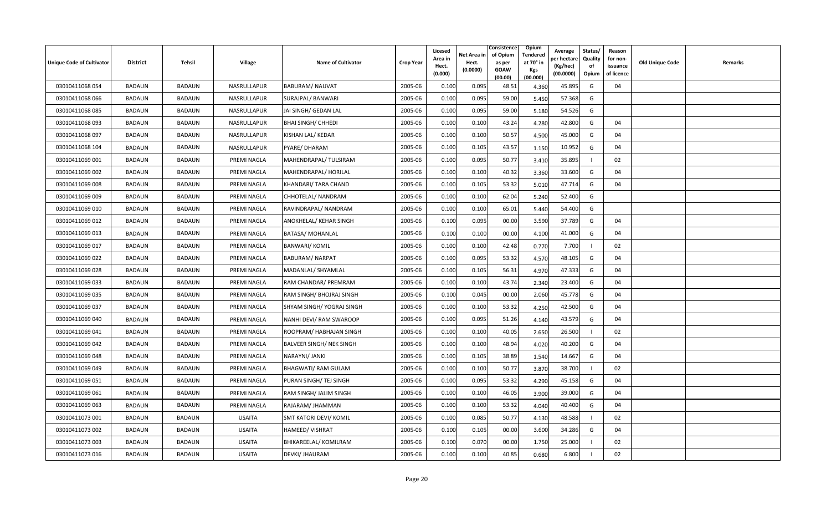| <b>Unique Code of Cultivator</b> | <b>District</b> | Tehsil        | <b>Village</b> | <b>Name of Cultivator</b>       | <b>Crop Year</b> | Licesed<br>Area in<br>Hect.<br>(0.000) | Net Area in<br>Hect.<br>(0.0000) | Consistence<br>of Opium<br>as per<br><b>GOAW</b><br>(00.00) | <b>Opium</b><br>Tendered<br>at 70° in<br><b>Kgs</b><br>(00.000) | Average<br>er hectar<br>(Kg/hec)<br>(00.0000) | Status/<br>Quality<br>of<br>Opium | Reason<br>for non-<br>issuance<br>of licence | Old Unique Code | Remarks |
|----------------------------------|-----------------|---------------|----------------|---------------------------------|------------------|----------------------------------------|----------------------------------|-------------------------------------------------------------|-----------------------------------------------------------------|-----------------------------------------------|-----------------------------------|----------------------------------------------|-----------------|---------|
| 03010411068 054                  | <b>BADAUN</b>   | <b>BADAUN</b> | NASRULLAPUR    | <b>BABURAM/ NAUVAT</b>          | 2005-06          | 0.100                                  | 0.095                            | 48.51                                                       | 4.360                                                           | 45.895                                        | G                                 | 04                                           |                 |         |
| 03010411068 066                  | BADAUN          | <b>BADAUN</b> | NASRULLAPUR    | SURAJPAL/ BANWARI               | 2005-06          | 0.100                                  | 0.095                            | 59.00                                                       | 5.450                                                           | 57.368                                        | G                                 |                                              |                 |         |
| 03010411068 085                  | <b>BADAUN</b>   | <b>BADAUN</b> | NASRULLAPUR    | JAI SINGH/ GEDAN LAL            | 2005-06          | 0.100                                  | 0.095                            | 59.00                                                       | 5.180                                                           | 54.526                                        | G                                 |                                              |                 |         |
| 03010411068 093                  | BADAUN          | <b>BADAUN</b> | NASRULLAPUR    | <b>BHAI SINGH/ CHHEDI</b>       | 2005-06          | 0.100                                  | 0.100                            | 43.24                                                       | 4.280                                                           | 42.800                                        | G                                 | 04                                           |                 |         |
| 03010411068 097                  | <b>BADAUN</b>   | <b>BADAUN</b> | NASRULLAPUR    | KISHAN LAL/ KEDAR               | 2005-06          | 0.100                                  | 0.100                            | 50.57                                                       | 4.500                                                           | 45.000                                        | G                                 | 04                                           |                 |         |
| 03010411068 104                  | <b>BADAUN</b>   | <b>BADAUN</b> | NASRULLAPUR    | PYARE/ DHARAM                   | 2005-06          | 0.100                                  | 0.105                            | 43.57                                                       | 1.150                                                           | 10.952                                        | G                                 | 04                                           |                 |         |
| 03010411069 001                  | <b>BADAUN</b>   | <b>BADAUN</b> | PREMI NAGLA    | MAHENDRAPAL/ TULSIRAM           | 2005-06          | 0.100                                  | 0.095                            | 50.77                                                       | 3.410                                                           | 35.895                                        |                                   | 02                                           |                 |         |
| 03010411069 002                  | <b>BADAUN</b>   | <b>BADAUN</b> | PREMI NAGLA    | MAHENDRAPAL/HORILAL             | 2005-06          | 0.100                                  | 0.100                            | 40.32                                                       | 3.360                                                           | 33.600                                        | G                                 | 04                                           |                 |         |
| 03010411069 008                  | BADAUN          | <b>BADAUN</b> | PREMI NAGLA    | KHANDARI/ TARA CHAND            | 2005-06          | 0.100                                  | 0.105                            | 53.32                                                       | 5.010                                                           | 47.714                                        | G                                 | 04                                           |                 |         |
| 03010411069 009                  | <b>BADAUN</b>   | <b>BADAUN</b> | PREMI NAGLA    | CHHOTELAL/ NANDRAM              | 2005-06          | 0.100                                  | 0.100                            | 62.04                                                       | 5.240                                                           | 52.400                                        | G                                 |                                              |                 |         |
| 03010411069 010                  | BADAUN          | <b>BADAUN</b> | PREMI NAGLA    | RAVINDRAPAL/ NANDRAM            | 2005-06          | 0.100                                  | 0.100                            | 65.01                                                       | 5.440                                                           | 54.400                                        | G                                 |                                              |                 |         |
| 03010411069 012                  | <b>BADAUN</b>   | <b>BADAUN</b> | PREMI NAGLA    | ANOKHELAL/ KEHAR SINGH          | 2005-06          | 0.100                                  | 0.095                            | 00.00                                                       | 3.590                                                           | 37.789                                        | G                                 | 04                                           |                 |         |
| 03010411069 013                  | <b>BADAUN</b>   | <b>BADAUN</b> | PREMI NAGLA    | BATASA/ MOHANLAL                | 2005-06          | 0.100                                  | 0.100                            | 00.00                                                       | 4.100                                                           | 41.000                                        | G                                 | 04                                           |                 |         |
| 03010411069 017                  | <b>BADAUN</b>   | <b>BADAUN</b> | PREMI NAGLA    | <b>BANWARI/ KOMIL</b>           | 2005-06          | 0.100                                  | 0.100                            | 42.48                                                       | 0.770                                                           | 7.700                                         |                                   | 02                                           |                 |         |
| 03010411069 022                  | <b>BADAUN</b>   | <b>BADAUN</b> | PREMI NAGLA    | <b>BABURAM/ NARPAT</b>          | 2005-06          | 0.100                                  | 0.095                            | 53.32                                                       | 4.570                                                           | 48.105                                        | G                                 | 04                                           |                 |         |
| 03010411069 028                  | BADAUN          | <b>BADAUN</b> | PREMI NAGLA    | MADANLAL/ SHYAMLAL              | 2005-06          | 0.100                                  | 0.105                            | 56.31                                                       | 4.970                                                           | 47.333                                        | G                                 | 04                                           |                 |         |
| 03010411069 033                  | <b>BADAUN</b>   | <b>BADAUN</b> | PREMI NAGLA    | RAM CHANDAR/ PREMRAM            | 2005-06          | 0.100                                  | 0.100                            | 43.74                                                       | 2.340                                                           | 23.400                                        | G                                 | 04                                           |                 |         |
| 03010411069 035                  | BADAUN          | <b>BADAUN</b> | PREMI NAGLA    | RAM SINGH/ BHOJRAJ SINGH        | 2005-06          | 0.100                                  | 0.045                            | 00.00                                                       | 2.060                                                           | 45.778                                        | G                                 | 04                                           |                 |         |
| 03010411069 037                  | <b>BADAUN</b>   | <b>BADAUN</b> | PREMI NAGLA    | SHYAM SINGH/ YOGRAJ SINGH       | 2005-06          | 0.100                                  | 0.100                            | 53.32                                                       | 4.250                                                           | 42.500                                        | G                                 | 04                                           |                 |         |
| 03010411069 040                  | <b>BADAUN</b>   | <b>BADAUN</b> | PREMI NAGLA    | NANHI DEVI/ RAM SWAROOP         | 2005-06          | 0.100                                  | 0.095                            | 51.26                                                       | 4.140                                                           | 43.579                                        | G                                 | 04                                           |                 |         |
| 03010411069 041                  | <b>BADAUN</b>   | <b>BADAUN</b> | PREMI NAGLA    | ROOPRAM/ HABHAJAN SINGH         | 2005-06          | 0.100                                  | 0.100                            | 40.05                                                       | 2.650                                                           | 26.500                                        |                                   | 02                                           |                 |         |
| 03010411069 042                  | <b>BADAUN</b>   | <b>BADAUN</b> | PREMI NAGLA    | <b>BALVEER SINGH/ NEK SINGH</b> | 2005-06          | 0.100                                  | 0.100                            | 48.94                                                       | 4.020                                                           | 40.200                                        | G                                 | 04                                           |                 |         |
| 03010411069 048                  | BADAUN          | <b>BADAUN</b> | PREMI NAGLA    | NARAYNI/ JANKI                  | 2005-06          | 0.100                                  | 0.105                            | 38.89                                                       | 1.540                                                           | 14.667                                        | G                                 | 04                                           |                 |         |
| 03010411069 049                  | <b>BADAUN</b>   | <b>BADAUN</b> | PREMI NAGLA    | BHAGWATI/ RAM GULAM             | 2005-06          | 0.100                                  | 0.100                            | 50.77                                                       | 3.870                                                           | 38.700                                        |                                   | 02                                           |                 |         |
| 03010411069 051                  | BADAUN          | <b>BADAUN</b> | PREMI NAGLA    | PURAN SINGH/ TEJ SINGH          | 2005-06          | 0.100                                  | 0.095                            | 53.32                                                       | 4.290                                                           | 45.158                                        | G                                 | 04                                           |                 |         |
| 03010411069 061                  | BADAUN          | <b>BADAUN</b> | PREMI NAGLA    | RAM SINGH/ JALIM SINGH          | 2005-06          | 0.100                                  | 0.100                            | 46.05                                                       | 3.900                                                           | 39.000                                        | G                                 | 04                                           |                 |         |
| 03010411069 063                  | BADAUN          | <b>BADAUN</b> | PREMI NAGLA    | RAJARAM/ JHAMMAN                | 2005-06          | 0.100                                  | 0.100                            | 53.32                                                       | 4.040                                                           | 40.400                                        | G                                 | 04                                           |                 |         |
| 03010411073 001                  | BADAUN          | <b>BADAUN</b> | <b>USAITA</b>  | SMT KATORI DEVI/ KOMIL          | 2005-06          | 0.100                                  | 0.085                            | 50.77                                                       | 4.130                                                           | 48.588                                        |                                   | 02                                           |                 |         |
| 03010411073 002                  | BADAUN          | <b>BADAUN</b> | <b>USAITA</b>  | <b>HAMEED/ VISHRAT</b>          | 2005-06          | 0.100                                  | 0.105                            | 00.00                                                       | 3.600                                                           | 34.286                                        | G                                 | 04                                           |                 |         |
| 03010411073 003                  | <b>BADAUN</b>   | <b>BADAUN</b> | <b>USAITA</b>  | BHIKAREELAL/ KOMILRAM           | 2005-06          | 0.100                                  | 0.070                            | 00.00                                                       | 1.750                                                           | 25.000                                        |                                   | 02                                           |                 |         |
| 03010411073 016                  | <b>BADAUN</b>   | <b>BADAUN</b> | <b>USAITA</b>  | DEVKI/ JHAURAM                  | 2005-06          | 0.100                                  | 0.100                            | 40.85                                                       | 0.680                                                           | 6.800                                         |                                   | 02                                           |                 |         |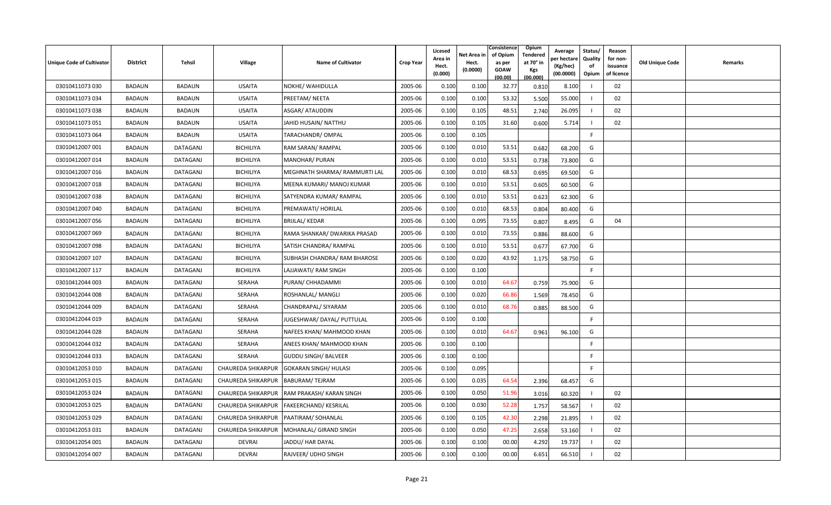| <b>Unique Code of Cultivator</b> | <b>District</b> | Tehsil        | Village                   | <b>Name of Cultivator</b>                      | <b>Crop Year</b> | Licesed<br>Area in<br>Hect. | Net Area in<br>Hect. | Consistence<br>of Opium<br>as per | <b>Opium</b><br>Tendered<br>at 70 $^{\circ}$ in | Average<br>oer hectare<br>(Kg/hec) | Status/<br><b>Quality</b><br>of | Reason<br>for non-<br>issuance | <b>Old Unique Code</b> | Remarks |
|----------------------------------|-----------------|---------------|---------------------------|------------------------------------------------|------------------|-----------------------------|----------------------|-----------------------------------|-------------------------------------------------|------------------------------------|---------------------------------|--------------------------------|------------------------|---------|
|                                  |                 |               |                           |                                                |                  | (0.000)                     | (0.0000)             | <b>GOAW</b><br>(00.00)            | Kgs<br>(00.000)                                 | (00.0000)                          | Opium                           | of licence                     |                        |         |
| 03010411073 030                  | <b>BADAUN</b>   | <b>BADAUN</b> | <b>USAITA</b>             | NOKHE/ WAHIDULLA                               | 2005-06          | 0.100                       | 0.100                | 32.77                             | 0.810                                           | 8.100                              |                                 | 02                             |                        |         |
| 03010411073 034                  | BADAUN          | <b>BADAUN</b> | <b>USAITA</b>             | PREETAM/ NEETA                                 | 2005-06          | 0.100                       | 0.100                | 53.32                             | 5.500                                           | 55.000                             |                                 | 02                             |                        |         |
| 03010411073 038                  | <b>BADAUN</b>   | <b>BADAUN</b> | <b>USAITA</b>             | ASGAR/ ATAUDDIN                                | 2005-06          | 0.100                       | 0.105                | 48.51                             | 2.740                                           | 26.095                             |                                 | 02                             |                        |         |
| 03010411073 051                  | BADAUN          | <b>BADAUN</b> | <b>USAITA</b>             | JAHID HUSAIN/ NATTHU                           | 2005-06          | 0.100                       | 0.105                | 31.60                             | 0.600                                           | 5.714                              |                                 | 02                             |                        |         |
| 03010411073 064                  | <b>BADAUN</b>   | <b>BADAUN</b> | <b>USAITA</b>             | TARACHANDR/ OMPAL                              | 2005-06          | 0.100                       | 0.105                |                                   |                                                 |                                    | F                               |                                |                        |         |
| 03010412007 001                  | <b>BADAUN</b>   | DATAGANJ      | <b>BICHILIYA</b>          | RAM SARAN/ RAMPAL                              | 2005-06          | 0.100                       | 0.010                | 53.51                             | 0.682                                           | 68.200                             | G                               |                                |                        |         |
| 03010412007 014                  | <b>BADAUN</b>   | DATAGANJ      | <b>BICHILIYA</b>          | MANOHAR/ PURAN                                 | 2005-06          | 0.100                       | 0.010                | 53.51                             | 0.738                                           | 73.800                             | G                               |                                |                        |         |
| 03010412007 016                  | <b>BADAUN</b>   | DATAGANJ      | <b>BICHILIYA</b>          | MEGHNATH SHARMA/ RAMMURTI LAL                  | 2005-06          | 0.100                       | 0.010                | 68.53                             | 0.695                                           | 69.500                             | G                               |                                |                        |         |
| 03010412007 018                  | BADAUN          | DATAGANJ      | <b>BICHILIYA</b>          | MEENA KUMARI/ MANOJ KUMAR                      | 2005-06          | 0.100                       | 0.010                | 53.51                             | 0.605                                           | 60.500                             | G                               |                                |                        |         |
| 03010412007 038                  | <b>BADAUN</b>   | DATAGANJ      | <b>BICHILIYA</b>          | SATYENDRA KUMAR/RAMPAL                         | 2005-06          | 0.100                       | 0.010                | 53.51                             | 0.623                                           | 62.300                             | G                               |                                |                        |         |
| 03010412007 040                  | BADAUN          | DATAGANJ      | <b>BICHILIYA</b>          | PREMAWATI/ HORILAL                             | 2005-06          | 0.100                       | 0.010                | 68.53                             | 0.804                                           | 80.400                             | G                               |                                |                        |         |
| 03010412007 056                  | <b>BADAUN</b>   | DATAGANJ      | <b>BICHILIYA</b>          | <b>BRIJLAL/ KEDAR</b>                          | 2005-06          | 0.100                       | 0.095                | 73.55                             | 0.807                                           | 8.495                              | G                               | 04                             |                        |         |
| 03010412007 069                  | <b>BADAUN</b>   | DATAGANJ      | <b>BICHILIYA</b>          | RAMA SHANKAR/ DWARIKA PRASAD                   | 2005-06          | 0.100                       | 0.010                | 73.55                             | 0.886                                           | 88.600                             | G                               |                                |                        |         |
| 03010412007 098                  | <b>BADAUN</b>   | DATAGANJ      | <b>BICHILIYA</b>          | SATISH CHANDRA/ RAMPAL                         | 2005-06          | 0.100                       | 0.010                | 53.51                             | 0.677                                           | 67.700                             | G                               |                                |                        |         |
| 03010412007 107                  | <b>BADAUN</b>   | DATAGANJ      | <b>BICHILIYA</b>          | SUBHASH CHANDRA/ RAM BHAROSE                   | 2005-06          | 0.100                       | 0.020                | 43.92                             | 1.175                                           | 58.750                             | G                               |                                |                        |         |
| 03010412007 117                  | <b>BADAUN</b>   | DATAGANJ      | <b>BICHILIYA</b>          | LAJJAWATI/ RAM SINGH                           | 2005-06          | 0.100                       | 0.100                |                                   |                                                 |                                    | F.                              |                                |                        |         |
| 03010412044 003                  | <b>BADAUN</b>   | DATAGANJ      | SERAHA                    | PURAN/ CHHADAMMI                               | 2005-06          | 0.100                       | 0.010                | 64.67                             | 0.759                                           | 75.900                             | G                               |                                |                        |         |
| 03010412044 008                  | BADAUN          | DATAGANJ      | <b>SERAHA</b>             | ROSHANLAL/ MANGLI                              | 2005-06          | 0.100                       | 0.020                | 66.86                             | 1.569                                           | 78.450                             | G                               |                                |                        |         |
| 03010412044 009                  | <b>BADAUN</b>   | DATAGANJ      | SERAHA                    | CHANDRAPAL/ SIYARAM                            | 2005-06          | 0.100                       | 0.010                | 68.76                             | 0.885                                           | 88.500                             | G                               |                                |                        |         |
| 03010412044 019                  | <b>BADAUN</b>   | DATAGANJ      | <b>SERAHA</b>             | JUGESHWAR/DAYAL/PUTTULAL                       | 2005-06          | 0.100                       | 0.100                |                                   |                                                 |                                    | F.                              |                                |                        |         |
| 03010412044 028                  | <b>BADAUN</b>   | DATAGANJ      | SERAHA                    | NAFEES KHAN/ MAHMOOD KHAN                      | 2005-06          | 0.100                       | 0.010                | 64.67                             | 0.961                                           | 96.100                             | G                               |                                |                        |         |
| 03010412044 032                  | <b>BADAUN</b>   | DATAGANJ      | <b>SERAHA</b>             | ANEES KHAN/ MAHMOOD KHAN                       | 2005-06          | 0.100                       | 0.100                |                                   |                                                 |                                    | F.                              |                                |                        |         |
| 03010412044 033                  | BADAUN          | DATAGANJ      | <b>SERAHA</b>             | <b>GUDDU SINGH/ BALVEER</b>                    | 2005-06          | 0.100                       | 0.100                |                                   |                                                 |                                    | F                               |                                |                        |         |
| 03010412053 010                  | <b>BADAUN</b>   | DATAGANJ      | CHAUREDA SHIKARPUR        | <b>GOKARAN SINGH/ HULASI</b>                   | 2005-06          | 0.100                       | 0.095                |                                   |                                                 |                                    | F                               |                                |                        |         |
| 03010412053 015                  | <b>BADAUN</b>   | DATAGANJ      | CHAUREDA SHIKARPUR        | <b>BABURAM/TEJRAM</b>                          | 2005-06          | 0.100                       | 0.035                | 64.54                             | 2.396                                           | 68.457                             | G                               |                                |                        |         |
| 03010412053 024                  | BADAUN          | DATAGANJ      |                           | CHAUREDA SHIKARPUR   RAM PRAKASH / KARAN SINGH | 2005-06          | 0.100                       | 0.050                | 51.96                             | 3.016                                           | 60.320                             |                                 | 02                             |                        |         |
| 03010412053 025                  | BADAUN          | DATAGANJ      |                           | CHAUREDA SHIKARPUR   FAKEERCHAND / KESRILAL    | 2005-06          | 0.100                       | 0.030                | 52.28                             | 1.757                                           | 58.567                             |                                 | 02                             |                        |         |
| 03010412053 029                  | BADAUN          | DATAGANJ      |                           | CHAUREDA SHIKARPUR   PAATIRAM / SOHANLAL       | 2005-06          | 0.100                       | 0.105                | 42.3                              | 2.298                                           | 21.895                             |                                 | 02                             |                        |         |
| 03010412053 031                  | BADAUN          | DATAGANJ      | <b>CHAUREDA SHIKARPUR</b> | MOHANLAL/ GIRAND SINGH                         | 2005-06          | 0.100                       | 0.050                | 47.2                              | 2.658                                           | 53.160                             |                                 | 02                             |                        |         |
| 03010412054 001                  | <b>BADAUN</b>   | DATAGANJ      | <b>DEVRAI</b>             | JADDU/ HAR DAYAL                               | 2005-06          | 0.100                       | 0.100                | 00.00                             | 4.292                                           | 19.737                             |                                 | 02                             |                        |         |
| 03010412054 007                  | <b>BADAUN</b>   | DATAGANJ      | <b>DEVRAI</b>             | RAJVEER/ UDHO SINGH                            | 2005-06          | 0.100                       | 0.100                | 00.00                             | 6.651                                           | 66.510                             |                                 | 02                             |                        |         |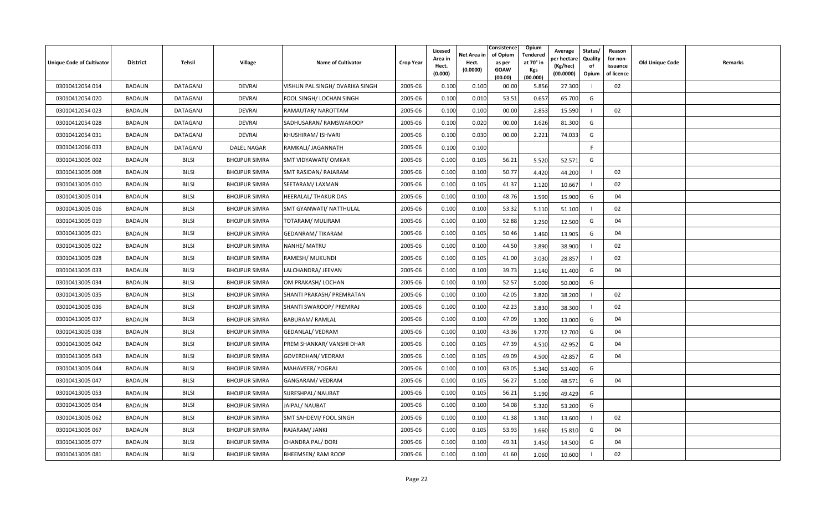| <b>Unique Code of Cultivator</b> | <b>District</b> | Tehsil       | <b>Village</b>       | <b>Name of Cultivator</b>       | <b>Crop Year</b> | Licesed<br>Area in<br>Hect.<br>(0.000) | Net Area in<br>Hect.<br>(0.0000) | Consistence<br>of Opium<br>as per<br><b>GOAW</b><br>(00.00) | Opium<br>Tendered<br>at 70° in<br>Kgs<br>(00.000) | Average<br>oer hectar<br>(Kg/hec)<br>(00.0000) | Status/<br>Quality<br>of<br>Opium | Reason<br>for non-<br>issuance<br>of licence | <b>Old Unique Code</b> | Remarks |
|----------------------------------|-----------------|--------------|----------------------|---------------------------------|------------------|----------------------------------------|----------------------------------|-------------------------------------------------------------|---------------------------------------------------|------------------------------------------------|-----------------------------------|----------------------------------------------|------------------------|---------|
| 03010412054 014                  | <b>BADAUN</b>   | DATAGANJ     | <b>DEVRAI</b>        | VISHUN PAL SINGH/ DVARIKA SINGH | 2005-06          | 0.100                                  | 0.100                            | 00.00                                                       | 5.856                                             | 27.300                                         |                                   | 02                                           |                        |         |
| 03010412054 020                  | BADAUN          | DATAGANJ     | <b>DEVRAI</b>        | <b>FOOL SINGH/ LOCHAN SINGH</b> | 2005-06          | 0.100                                  | 0.010                            | 53.51                                                       | 0.657                                             | 65.700                                         | G                                 |                                              |                        |         |
| 03010412054 023                  | <b>BADAUN</b>   | DATAGANJ     | <b>DEVRAI</b>        | RAMAUTAR/ NAROTTAM              | 2005-06          | 0.100                                  | 0.100                            | 00.00                                                       | 2.853                                             | 15.590                                         |                                   | 02                                           |                        |         |
| 03010412054 028                  | <b>BADAUN</b>   | DATAGANJ     | <b>DEVRAI</b>        | SADHUSARAN/RAMSWAROOP           | 2005-06          | 0.100                                  | 0.020                            | 00.00                                                       | 1.626                                             | 81.300                                         | G                                 |                                              |                        |         |
| 03010412054 031                  | <b>BADAUN</b>   | DATAGANJ     | <b>DEVRAI</b>        | KHUSHIRAM/ ISHVARI              | 2005-06          | 0.100                                  | 0.03C                            | 00.00                                                       | 2.221                                             | 74.033                                         | G                                 |                                              |                        |         |
| 03010412066 033                  | BADAUN          | DATAGANJ     | <b>DALEL NAGAR</b>   | RAMKALI/ JAGANNATH              | 2005-06          | 0.100                                  | 0.100                            |                                                             |                                                   |                                                | F.                                |                                              |                        |         |
| 03010413005 002                  | BADAUN          | <b>BILSI</b> | <b>BHOJPUR SIMRA</b> | SMT VIDYAWATI/ OMKAR            | 2005-06          | 0.100                                  | 0.105                            | 56.21                                                       | 5.520                                             | 52.571                                         | G                                 |                                              |                        |         |
| 03010413005 008                  | <b>BADAUN</b>   | <b>BILSI</b> | <b>BHOJPUR SIMRA</b> | SMT RASIDAN/ RAJARAM            | 2005-06          | 0.100                                  | 0.100                            | 50.77                                                       | 4.420                                             | 44.200                                         |                                   | 02                                           |                        |         |
| 03010413005 010                  | <b>BADAUN</b>   | <b>BILSI</b> | <b>BHOJPUR SIMRA</b> | SEETARAM/LAXMAN                 | 2005-06          | 0.100                                  | 0.105                            | 41.37                                                       | 1.120                                             | 10.667                                         |                                   | 02                                           |                        |         |
| 03010413005 014                  | <b>BADAUN</b>   | <b>BILSI</b> | <b>BHOJPUR SIMRA</b> | <b>HEERALAL/ THAKUR DAS</b>     | 2005-06          | 0.100                                  | 0.100                            | 48.76                                                       | 1.590                                             | 15.900                                         | G                                 | 04                                           |                        |         |
| 03010413005 016                  | <b>BADAUN</b>   | <b>BILSI</b> | <b>BHOJPUR SIMRA</b> | <b>SMT GYANWATI/ NATTHULAL</b>  | 2005-06          | 0.100                                  | 0.100                            | 53.32                                                       | 5.110                                             | 51.100                                         |                                   | 02                                           |                        |         |
| 03010413005 019                  | BADAUN          | <b>BILSI</b> | <b>BHOJPUR SIMRA</b> | TOTARAM/ MULIRAM                | 2005-06          | 0.100                                  | 0.100                            | 52.88                                                       | 1.250                                             | 12.500                                         | G                                 | 04                                           |                        |         |
| 03010413005 021                  | <b>BADAUN</b>   | <b>BILSI</b> | <b>BHOJPUR SIMRA</b> | <b>GEDANRAM/TIKARAM</b>         | 2005-06          | 0.100                                  | 0.105                            | 50.46                                                       | 1.460                                             | 13.905                                         | G                                 | 04                                           |                        |         |
| 03010413005 022                  | <b>BADAUN</b>   | <b>BILSI</b> | <b>BHOJPUR SIMRA</b> | NANHE/ MATRU                    | 2005-06          | 0.100                                  | 0.100                            | 44.50                                                       | 3.890                                             | 38.900                                         |                                   | 02                                           |                        |         |
| 03010413005 028                  | <b>BADAUN</b>   | <b>BILSI</b> | <b>BHOJPUR SIMRA</b> | RAMESH/ MUKUNDI                 | 2005-06          | 0.100                                  | 0.105                            | 41.00                                                       | 3.030                                             | 28.857                                         |                                   | 02                                           |                        |         |
| 03010413005 033                  | BADAUN          | <b>BILSI</b> | <b>BHOJPUR SIMRA</b> | LALCHANDRA/ JEEVAN              | 2005-06          | 0.100                                  | 0.100                            | 39.73                                                       | 1.140                                             | 11.400                                         | G                                 | 04                                           |                        |         |
| 03010413005 034                  | <b>BADAUN</b>   | <b>BILSI</b> | <b>BHOJPUR SIMRA</b> | OM PRAKASH/ LOCHAN              | 2005-06          | 0.100                                  | 0.100                            | 52.57                                                       | 5.000                                             | 50.000                                         | G                                 |                                              |                        |         |
| 03010413005 035                  | <b>BADAUN</b>   | BILSI        | <b>BHOJPUR SIMRA</b> | SHANTI PRAKASH/ PREMRATAN       | 2005-06          | 0.100                                  | 0.100                            | 42.05                                                       | 3.820                                             | 38.200                                         |                                   | 02                                           |                        |         |
| 03010413005 036                  | <b>BADAUN</b>   | <b>BILSI</b> | <b>BHOJPUR SIMRA</b> | SHANTI SWAROOP/ PREMRAJ         | 2005-06          | 0.100                                  | 0.100                            | 42.23                                                       | 3.830                                             | 38.300                                         |                                   | 02                                           |                        |         |
| 03010413005 037                  | <b>BADAUN</b>   | <b>BILSI</b> | <b>BHOJPUR SIMRA</b> | <b>BABURAM/ RAMLAL</b>          | 2005-06          | 0.100                                  | 0.100                            | 47.09                                                       | 1.300                                             | 13.000                                         | G                                 | 04                                           |                        |         |
| 03010413005 038                  | <b>BADAUN</b>   | <b>BILSI</b> | <b>BHOJPUR SIMRA</b> | <b>GEDANLAL/ VEDRAM</b>         | 2005-06          | 0.100                                  | 0.100                            | 43.36                                                       | 1.270                                             | 12.700                                         | G                                 | 04                                           |                        |         |
| 03010413005 042                  | <b>BADAUN</b>   | <b>BILSI</b> | <b>BHOJPUR SIMRA</b> | PREM SHANKAR/ VANSHI DHAR       | 2005-06          | 0.100                                  | 0.105                            | 47.39                                                       | 4.510                                             | 42.952                                         | G                                 | 04                                           |                        |         |
| 03010413005 043                  | <b>BADAUN</b>   | <b>BILSI</b> | <b>BHOJPUR SIMRA</b> | GOVERDHAN/ VEDRAM               | 2005-06          | 0.100                                  | 0.105                            | 49.09                                                       | 4.500                                             | 42.857                                         | G                                 | 04                                           |                        |         |
| 03010413005 044                  | BADAUN          | <b>BILSI</b> | <b>BHOJPUR SIMRA</b> | MAHAVEER/ YOGRAJ                | 2005-06          | 0.100                                  | 0.100                            | 63.05                                                       | 5.340                                             | 53.400                                         | G                                 |                                              |                        |         |
| 03010413005 047                  | <b>BADAUN</b>   | <b>BILSI</b> | <b>BHOJPUR SIMRA</b> | GANGARAM/ VEDRAM                | 2005-06          | 0.100                                  | 0.105                            | 56.27                                                       | 5.100                                             | 48.571                                         | G                                 | 04                                           |                        |         |
| 03010413005 053                  | BADAUN          | <b>BILSI</b> | <b>BHOJPUR SIMRA</b> | SURESHPAL/ NAUBAT               | 2005-06          | 0.100                                  | 0.105                            | 56.21                                                       | 5.190                                             | 49.429                                         | G                                 |                                              |                        |         |
| 03010413005 054                  | <b>BADAUN</b>   | <b>BILSI</b> | <b>BHOJPUR SIMRA</b> | JAIPAL/ NAUBAT                  | 2005-06          | 0.100                                  | 0.100                            | 54.08                                                       | 5.320                                             | 53.200                                         | G                                 |                                              |                        |         |
| 03010413005 062                  | BADAUN          | <b>BILSI</b> | <b>BHOJPUR SIMRA</b> | SMT SAHDEVI/ FOOL SINGH         | 2005-06          | 0.100                                  | 0.100                            | 41.38                                                       | 1.360                                             | 13.600                                         |                                   | 02                                           |                        |         |
| 03010413005 067                  | BADAUN          | <b>BILSI</b> | <b>BHOJPUR SIMRA</b> | RAJARAM/ JANKI                  | 2005-06          | 0.100                                  | 0.105                            | 53.93                                                       | 1.660                                             | 15.810                                         | G                                 | 04                                           |                        |         |
| 03010413005 077                  | <b>BADAUN</b>   | <b>BILSI</b> | <b>BHOJPUR SIMRA</b> | <b>CHANDRA PAL/ DORI</b>        | 2005-06          | 0.100                                  | 0.100                            | 49.31                                                       | 1.450                                             | 14.500                                         | G                                 | 04                                           |                        |         |
| 03010413005 081                  | <b>BADAUN</b>   | <b>BILSI</b> | <b>BHOJPUR SIMRA</b> | <b>BHEEMSEN/ RAM ROOP</b>       | 2005-06          | 0.100                                  | 0.100                            | 41.60                                                       | 1.060                                             | 10.600                                         |                                   | 02                                           |                        |         |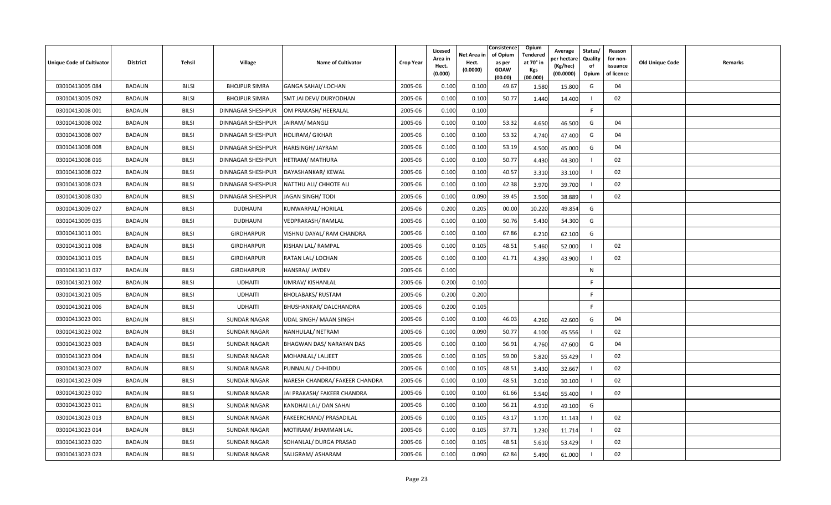| Unique Code of Cultivator | <b>District</b> | Tehsil       | Village                  | <b>Name of Cultivator</b>      | <b>Crop Year</b> | Licesed<br>Area in<br>Hect.<br>(0.000) | Net Area in<br>Hect.<br>(0.0000) | Consistence<br>of Opium<br>as per<br><b>GOAW</b><br>(00.00) | Opium<br>Tendered<br>at 70° in<br>Kgs<br>(00.000) | Average<br>oer hectare<br>(Kg/hec)<br>(00.0000) | Status/<br>Quality<br>of<br>Opium | Reason<br>for non-<br>issuance<br>of licence | <b>Old Unique Code</b> | Remarks |
|---------------------------|-----------------|--------------|--------------------------|--------------------------------|------------------|----------------------------------------|----------------------------------|-------------------------------------------------------------|---------------------------------------------------|-------------------------------------------------|-----------------------------------|----------------------------------------------|------------------------|---------|
| 03010413005 084           | BADAUN          | <b>BILSI</b> | <b>BHOJPUR SIMRA</b>     | <b>GANGA SAHAI/ LOCHAN</b>     | 2005-06          | 0.100                                  | 0.100                            | 49.67                                                       | 1.580                                             | 15.800                                          | G                                 | 04                                           |                        |         |
| 03010413005 092           | BADAUN          | <b>BILSI</b> | <b>BHOJPUR SIMRA</b>     | SMT JAI DEVI/ DURYODHAN        | 2005-06          | 0.100                                  | 0.100                            | 50.77                                                       | 1.440                                             | 14.400                                          |                                   | 02                                           |                        |         |
| 03010413008 001           | BADAUN          | <b>BILSI</b> | DINNAGAR SHESHPUR        | OM PRAKASH/ HEERALAL           | 2005-06          | 0.100                                  | 0.100                            |                                                             |                                                   |                                                 | F.                                |                                              |                        |         |
| 03010413008 002           | BADAUN          | <b>BILSI</b> | <b>DINNAGAR SHESHPUR</b> | JAIRAM/ MANGLI                 | 2005-06          | 0.100                                  | 0.100                            | 53.32                                                       | 4.650                                             | 46.500                                          | G                                 | 04                                           |                        |         |
| 03010413008 007           | BADAUN          | <b>BILSI</b> | <b>DINNAGAR SHESHPUR</b> | <b>HOLIRAM/ GIKHAR</b>         | 2005-06          | 0.100                                  | 0.100                            | 53.32                                                       | 4.740                                             | 47.400                                          | G                                 | 04                                           |                        |         |
| 03010413008 008           | BADAUN          | <b>BILSI</b> | DINNAGAR SHESHPUR        | <b>HARISINGH/ JAYRAM</b>       | 2005-06          | 0.100                                  | 0.100                            | 53.19                                                       | 4.500                                             | 45.000                                          | G                                 | 04                                           |                        |         |
| 03010413008 016           | BADAUN          | <b>BILSI</b> | DINNAGAR SHESHPUR        | HETRAM/ MATHURA                | 2005-06          | 0.100                                  | 0.100                            | 50.77                                                       | 4.430                                             | 44.300                                          |                                   | 02                                           |                        |         |
| 03010413008 022           | BADAUN          | <b>BILSI</b> | <b>DINNAGAR SHESHPUR</b> | DAYASHANKAR/ KEWAL             | 2005-06          | 0.100                                  | 0.100                            | 40.57                                                       | 3.310                                             | 33.100                                          |                                   | 02                                           |                        |         |
| 03010413008 023           | BADAUN          | <b>BILSI</b> | <b>DINNAGAR SHESHPUR</b> | NATTHU ALI/ CHHOTE ALI         | 2005-06          | 0.100                                  | 0.100                            | 42.38                                                       | 3.970                                             | 39.700                                          |                                   | 02                                           |                        |         |
| 03010413008 030           | BADAUN          | <b>BILSI</b> | <b>DINNAGAR SHESHPUR</b> | JAGAN SINGH/TODI               | 2005-06          | 0.100                                  | 0.090                            | 39.45                                                       | 3.500                                             | 38.889                                          |                                   | 02                                           |                        |         |
| 03010413009 027           | BADAUN          | <b>BILSI</b> | <b>DUDHAUNI</b>          | KUNWARPAL/HORILAL              | 2005-06          | 0.200                                  | 0.205                            | 00.00                                                       | 10.220                                            | 49.854                                          | G                                 |                                              |                        |         |
| 03010413009 035           | BADAUN          | <b>BILSI</b> | <b>DUDHAUNI</b>          | <b>VEDPRAKASH/ RAMLAL</b>      | 2005-06          | 0.100                                  | 0.100                            | 50.76                                                       | 5.430                                             | 54.300                                          | G                                 |                                              |                        |         |
| 03010413011 001           | <b>BADAUN</b>   | <b>BILSI</b> | <b>GIRDHARPUR</b>        | VISHNU DAYAL/ RAM CHANDRA      | 2005-06          | 0.100                                  | 0.100                            | 67.86                                                       | 6.210                                             | 62.100                                          | G                                 |                                              |                        |         |
| 03010413011 008           | BADAUN          | <b>BILSI</b> | <b>GIRDHARPUR</b>        | KISHAN LAL/ RAMPAL             | 2005-06          | 0.100                                  | 0.105                            | 48.51                                                       | 5.460                                             | 52.000                                          | - 1                               | 02                                           |                        |         |
| 03010413011 015           | BADAUN          | <b>BILSI</b> | <b>GIRDHARPUR</b>        | RATAN LAL/ LOCHAN              | 2005-06          | 0.100                                  | 0.100                            | 41.71                                                       | 4.390                                             | 43.900                                          |                                   | 02                                           |                        |         |
| 03010413011 037           | BADAUN          | <b>BILSI</b> | <b>GIRDHARPUR</b>        | HANSRAJ/ JAYDEV                | 2005-06          | 0.100                                  |                                  |                                                             |                                                   |                                                 | N                                 |                                              |                        |         |
| 03010413021 002           | BADAUN          | <b>BILSI</b> | <b>UDHAITI</b>           | UMRAV/KISHANLAL                | 2005-06          | 0.200                                  | 0.100                            |                                                             |                                                   |                                                 | F.                                |                                              |                        |         |
| 03010413021 005           | BADAUN          | <b>BILSI</b> | <b>UDHAITI</b>           | <b>BHOLABAKS/ RUSTAM</b>       | 2005-06          | 0.200                                  | 0.200                            |                                                             |                                                   |                                                 | E                                 |                                              |                        |         |
| 03010413021 006           | BADAUN          | <b>BILSI</b> | <b>UDHAITI</b>           | BHUSHANKAR/DALCHANDRA          | 2005-06          | 0.200                                  | 0.105                            |                                                             |                                                   |                                                 | E                                 |                                              |                        |         |
| 03010413023 001           | <b>BADAUN</b>   | <b>BILSI</b> | <b>SUNDAR NAGAR</b>      | <b>UDAL SINGH/ MAAN SINGH</b>  | 2005-06          | 0.100                                  | 0.100                            | 46.03                                                       | 4.260                                             | 42.600                                          | G                                 | 04                                           |                        |         |
| 03010413023 002           | BADAUN          | <b>BILSI</b> | <b>SUNDAR NAGAR</b>      | NANHULAL/ NETRAM               | 2005-06          | 0.100                                  | 0.090                            | 50.77                                                       | 4.100                                             | 45.556                                          |                                   | 02                                           |                        |         |
| 03010413023 003           | BADAUN          | <b>BILSI</b> | <b>SUNDAR NAGAR</b>      | BHAGWAN DAS/ NARAYAN DAS       | 2005-06          | 0.100                                  | 0.100                            | 56.91                                                       | 4.760                                             | 47.600                                          | G                                 | 04                                           |                        |         |
| 03010413023 004           | BADAUN          | <b>BILSI</b> | <b>SUNDAR NAGAR</b>      | MOHANLAL/ LALJEET              | 2005-06          | 0.100                                  | 0.105                            | 59.00                                                       | 5.820                                             | 55.429                                          |                                   | 02                                           |                        |         |
| 03010413023 007           | BADAUN          | <b>BILSI</b> | <b>SUNDAR NAGAR</b>      | PUNNALAL/ CHHIDDU              | 2005-06          | 0.100                                  | 0.105                            | 48.51                                                       | 3.430                                             | 32.667                                          |                                   | 02                                           |                        |         |
| 03010413023 009           | BADAUN          | <b>BILSI</b> | <b>SUNDAR NAGAR</b>      | NARESH CHANDRA/ FAKEER CHANDRA | 2005-06          | 0.100                                  | 0.100                            | 48.51                                                       | 3.010                                             | 30.100                                          |                                   | 02                                           |                        |         |
| 03010413023 010           | BADAUN          | <b>BILSI</b> | <b>SUNDAR NAGAR</b>      | JAI PRAKASH/ FAKEER CHANDRA    | 2005-06          | 0.100                                  | 0.100                            | 61.66                                                       | 5.540                                             | 55.400                                          |                                   | 02                                           |                        |         |
| 03010413023 011           | <b>BADAUN</b>   | <b>BILSI</b> | <b>SUNDAR NAGAR</b>      | KANDHAI LAL/ DAN SAHAI         | 2005-06          | 0.100                                  | 0.100                            | 56.21                                                       | 4.910                                             | 49.100                                          | G                                 |                                              |                        |         |
| 03010413023 013           | <b>BADAUN</b>   | <b>BILSI</b> | <b>SUNDAR NAGAR</b>      | <b>FAKEERCHAND/ PRASADILAL</b> | 2005-06          | 0.100                                  | 0.105                            | 43.17                                                       | 1.170                                             | 11.143                                          |                                   | 02                                           |                        |         |
| 03010413023 014           | BADAUN          | <b>BILSI</b> | <b>SUNDAR NAGAR</b>      | MOTIRAM/ JHAMMAN LAL           | 2005-06          | 0.100                                  | 0.105                            | 37.71                                                       | 1.230                                             | 11.714                                          |                                   | 02                                           |                        |         |
| 03010413023 020           | <b>BADAUN</b>   | <b>BILSI</b> | <b>SUNDAR NAGAR</b>      | SOHANLAL/ DURGA PRASAD         | 2005-06          | 0.100                                  | 0.105                            | 48.51                                                       | 5.610                                             | 53.429                                          |                                   | 02                                           |                        |         |
| 03010413023 023           | BADAUN          | <b>BILSI</b> | <b>SUNDAR NAGAR</b>      | SALIGRAM/ASHARAM               | 2005-06          | 0.100                                  | 0.090                            | 62.84                                                       | 5.490                                             | 61.000                                          |                                   | 02                                           |                        |         |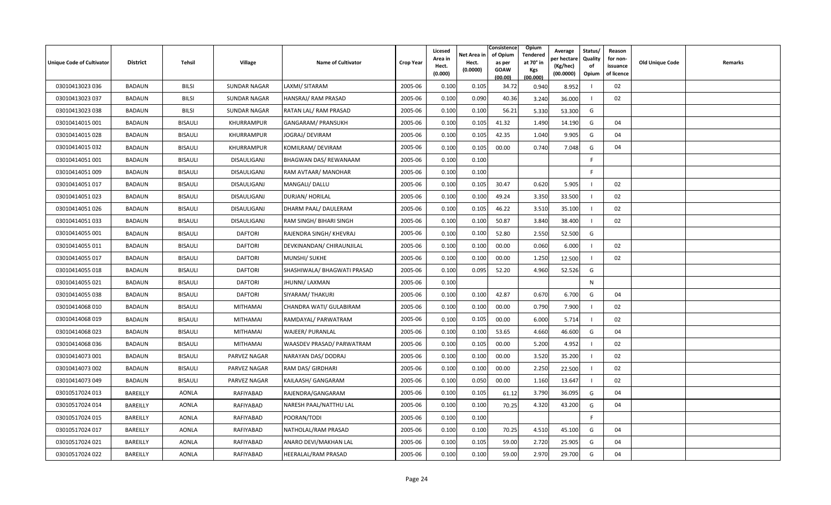| <b>Unique Code of Cultivator</b> | <b>District</b> | Tehsil         | <b>Village</b>      | <b>Name of Cultivator</b>   | <b>Crop Year</b> | Licesed<br>Area in<br>Hect.<br>(0.000) | Net Area in<br>Hect.<br>(0.0000) | Consistence<br>of Opium<br>as per<br><b>GOAW</b><br>(00.00) | Opium<br>Tendered<br>at 70 $^{\circ}$ in<br><b>Kgs</b><br>(00.000) | Average<br>er hectar<br>(Kg/hec)<br>(00.0000) | Status/<br>Quality<br>of<br>Opium | Reason<br>for non-<br>issuance<br>of licence | <b>Old Unique Code</b> | Remarks |
|----------------------------------|-----------------|----------------|---------------------|-----------------------------|------------------|----------------------------------------|----------------------------------|-------------------------------------------------------------|--------------------------------------------------------------------|-----------------------------------------------|-----------------------------------|----------------------------------------------|------------------------|---------|
| 03010413023 036                  | <b>BADAUN</b>   | <b>BILSI</b>   | <b>SUNDAR NAGAR</b> | LAXMI/ SITARAM              | 2005-06          | 0.100                                  | 0.105                            | 34.72                                                       | 0.940                                                              | 8.952                                         |                                   | 02                                           |                        |         |
| 03010413023 037                  | BADAUN          | <b>BILSI</b>   | <b>SUNDAR NAGAR</b> | HANSRAJ/ RAM PRASAD         | 2005-06          | 0.100                                  | 0.090                            | 40.36                                                       | 3.240                                                              | 36.000                                        |                                   | 02                                           |                        |         |
| 03010413023 038                  | <b>BADAUN</b>   | <b>BILSI</b>   | <b>SUNDAR NAGAR</b> | RATAN LAL/ RAM PRASAD       | 2005-06          | 0.100                                  | 0.100                            | 56.21                                                       | 5.330                                                              | 53.300                                        | G                                 |                                              |                        |         |
| 03010414015 001                  | BADAUN          | <b>BISAULI</b> | KHURRAMPUR          | GANGARAM/ PRANSUKH          | 2005-06          | 0.100                                  | 0.105                            | 41.32                                                       | 1.490                                                              | 14.190                                        | G                                 | 04                                           |                        |         |
| 03010414015 028                  | <b>BADAUN</b>   | BISAULI        | KHURRAMPUR          | JOGRAJ/ DEVIRAM             | 2005-06          | 0.100                                  | 0.105                            | 42.35                                                       | 1.040                                                              | 9.905                                         | G                                 | 04                                           |                        |         |
| 03010414015 032                  | <b>BADAUN</b>   | BISAULI        | KHURRAMPUR          | KOMILRAM/ DEVIRAM           | 2005-06          | 0.100                                  | 0.105                            | 00.00                                                       | 0.740                                                              | 7.048                                         | G                                 | 04                                           |                        |         |
| 03010414051 001                  | <b>BADAUN</b>   | <b>BISAULI</b> | DISAULIGANJ         | BHAGWAN DAS/ REWANAAM       | 2005-06          | 0.100                                  | 0.100                            |                                                             |                                                                    |                                               | F.                                |                                              |                        |         |
| 03010414051 009                  | <b>BADAUN</b>   | BISAULI        | DISAULIGANJ         | RAM AVTAAR/ MANOHAR         | 2005-06          | 0.100                                  | 0.100                            |                                                             |                                                                    |                                               | F.                                |                                              |                        |         |
| 03010414051 017                  | BADAUN          | BISAULI        | DISAULIGANJ         | MANGALI/ DALLU              | 2005-06          | 0.100                                  | 0.105                            | 30.47                                                       | 0.620                                                              | 5.905                                         |                                   | 02                                           |                        |         |
| 03010414051 023                  | <b>BADAUN</b>   | <b>BISAULI</b> | DISAULIGANJ         | DURJAN/ HORILAL             | 2005-06          | 0.100                                  | 0.100                            | 49.24                                                       | 3.350                                                              | 33.500                                        |                                   | 02                                           |                        |         |
| 03010414051 026                  | BADAUN          | BISAULI        | DISAULIGANJ         | DHARM PAAL/DAULERAM         | 2005-06          | 0.100                                  | 0.105                            | 46.22                                                       | 3.510                                                              | 35.100                                        |                                   | 02                                           |                        |         |
| 03010414051 033                  | <b>BADAUN</b>   | BISAULI        | DISAULIGANJ         | RAM SINGH/ BIHARI SINGH     | 2005-06          | 0.100                                  | 0.100                            | 50.87                                                       | 3.840                                                              | 38.400                                        |                                   | 02                                           |                        |         |
| 03010414055 001                  | <b>BADAUN</b>   | <b>BISAULI</b> | <b>DAFTORI</b>      | RAJENDRA SINGH/ KHEVRAJ     | 2005-06          | 0.100                                  | 0.100                            | 52.80                                                       | 2.550                                                              | 52.500                                        | G                                 |                                              |                        |         |
| 03010414055 011                  | <b>BADAUN</b>   | BISAULI        | <b>DAFTORI</b>      | DEVKINANDAN/ CHIRAUNJILAL   | 2005-06          | 0.100                                  | 0.100                            | 00.00                                                       | 0.060                                                              | 6.000                                         |                                   | 02                                           |                        |         |
| 03010414055 017                  | <b>BADAUN</b>   | BISAULI        | <b>DAFTORI</b>      | MUNSHI/ SUKHE               | 2005-06          | 0.100                                  | 0.100                            | 00.00                                                       | 1.250                                                              | 12.500                                        |                                   | 02                                           |                        |         |
| 03010414055 018                  | BADAUN          | BISAULI        | <b>DAFTORI</b>      | SHASHIWALA/ BHAGWATI PRASAD | 2005-06          | 0.100                                  | 0.095                            | 52.20                                                       | 4.960                                                              | 52.526                                        | G                                 |                                              |                        |         |
| 03010414055 021                  | <b>BADAUN</b>   | <b>BISAULI</b> | <b>DAFTORI</b>      | <b>JHUNNI/ LAXMAN</b>       | 2005-06          | 0.100                                  |                                  |                                                             |                                                                    |                                               | ${\sf N}$                         |                                              |                        |         |
| 03010414055 038                  | BADAUN          | BISAULI        | <b>DAFTORI</b>      | SIYARAM/ THAKURI            | 2005-06          | 0.100                                  | 0.100                            | 42.87                                                       | 0.670                                                              | 6.700                                         | G                                 | 04                                           |                        |         |
| 03010414068 010                  | <b>BADAUN</b>   | BISAULI        | MITHAMAI            | CHANDRA WATI/ GULABIRAM     | 2005-06          | 0.100                                  | 0.100                            | 00.00                                                       | 0.790                                                              | 7.900                                         |                                   | 02                                           |                        |         |
| 03010414068 019                  | BADAUN          | BISAULI        | <b>MITHAMAI</b>     | RAMDAYAL/ PARWATRAM         | 2005-06          | 0.100                                  | 0.105                            | 00.00                                                       | 6.000                                                              | 5.714                                         |                                   | 02                                           |                        |         |
| 03010414068 023                  | BADAUN          | BISAULI        | MITHAMAI            | WAJEER/ PURANLAL            | 2005-06          | 0.100                                  | 0.100                            | 53.65                                                       | 4.660                                                              | 46.600                                        | G                                 | 04                                           |                        |         |
| 03010414068 036                  | <b>BADAUN</b>   | <b>BISAULI</b> | <b>MITHAMAI</b>     | WAASDEV PRASAD/ PARWATRAM   | 2005-06          | 0.100                                  | 0.105                            | 00.00                                                       | 5.200                                                              | 4.952                                         |                                   | 02                                           |                        |         |
| 03010414073 001                  | <b>BADAUN</b>   | BISAULI        | PARVEZ NAGAR        | NARAYAN DAS/ DODRAJ         | 2005-06          | 0.100                                  | 0.100                            | 00.00                                                       | 3.520                                                              | 35.200                                        |                                   | 02                                           |                        |         |
| 03010414073 002                  | <b>BADAUN</b>   | BISAULI        | PARVEZ NAGAR        | RAM DAS/ GIRDHARI           | 2005-06          | 0.100                                  | 0.100                            | 00.00                                                       | 2.250                                                              | 22.500                                        |                                   | 02                                           |                        |         |
| 03010414073 049                  | <b>BADAUN</b>   | BISAULI        | PARVEZ NAGAR        | KAILAASH/ GANGARAM          | 2005-06          | 0.100                                  | 0.050                            | 00.00                                                       | 1.160                                                              | 13.647                                        |                                   | 02                                           |                        |         |
| 03010517024 013                  | BAREILLY        | <b>AONLA</b>   | RAFIYABAD           | RAJENDRA/GANGARAM           | 2005-06          | 0.100                                  | 0.105                            | 61.12                                                       | 3.790                                                              | 36.095                                        | G                                 | 04                                           |                        |         |
| 03010517024 014                  | BAREILLY        | <b>AONLA</b>   | RAFIYABAD           | NARESH PAAL/NATTHU LAL      | 2005-06          | 0.100                                  | 0.100                            | 70.25                                                       | 4.320                                                              | 43.200                                        | G                                 | 04                                           |                        |         |
| 03010517024 015                  | BAREILLY        | <b>AONLA</b>   | RAFIYABAD           | POORAN/TODI                 | 2005-06          | 0.100                                  | 0.100                            |                                                             |                                                                    |                                               | F.                                |                                              |                        |         |
| 03010517024 017                  | BAREILLY        | <b>AONLA</b>   | RAFIYABAD           | NATHOLAL/RAM PRASAD         | 2005-06          | 0.100                                  | 0.100                            | 70.25                                                       | 4.510                                                              | 45.100                                        | G                                 | 04                                           |                        |         |
| 03010517024 021                  | BAREILLY        | <b>AONLA</b>   | RAFIYABAD           | ANARO DEVI/MAKHAN LAL       | 2005-06          | 0.100                                  | 0.105                            | 59.00                                                       | 2.720                                                              | 25.905                                        | G                                 | 04                                           |                        |         |
| 03010517024 022                  | BAREILLY        | <b>AONLA</b>   | RAFIYABAD           | HEERALAL/RAM PRASAD         | 2005-06          | 0.100                                  | 0.100                            | 59.00                                                       | 2.970                                                              | 29.700                                        | G                                 | 04                                           |                        |         |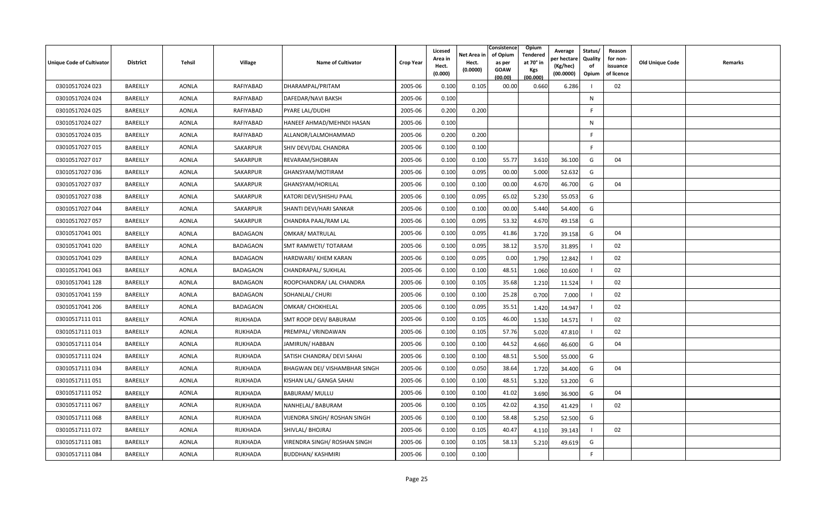| Unique Code of Cultivator | <b>District</b> | Tehsil       | <b>Village</b>  | <b>Name of Cultivator</b>     | <b>Crop Year</b> | Licesed<br>Area in<br>Hect.<br>(0.000) | Net Area in<br>Hect.<br>(0.0000) | Consistence<br>of Opium<br>as per<br><b>GOAW</b><br>(00.00) | Opium<br>Tendered<br>at 70 $^{\circ}$ in<br><b>Kgs</b><br>(00.000) | Average<br>วer hectarง<br>(Kg/hec)<br>(00.0000) | Status/<br>Quality<br>of<br>Opium | Reason<br>for non-<br>issuance<br>of licence | <b>Old Unique Code</b> | Remarks |
|---------------------------|-----------------|--------------|-----------------|-------------------------------|------------------|----------------------------------------|----------------------------------|-------------------------------------------------------------|--------------------------------------------------------------------|-------------------------------------------------|-----------------------------------|----------------------------------------------|------------------------|---------|
| 03010517024 023           | BAREILLY        | <b>AONLA</b> | RAFIYABAD       | DHARAMPAL/PRITAM              | 2005-06          | 0.100                                  | 0.105                            | 00.00                                                       | 0.660                                                              | 6.286                                           |                                   | 02                                           |                        |         |
| 03010517024 024           | BAREILLY        | <b>AONLA</b> | RAFIYABAD       | DAFEDAR/NAVI BAKSH            | 2005-06          | 0.100                                  |                                  |                                                             |                                                                    |                                                 | N                                 |                                              |                        |         |
| 03010517024 025           | BAREILLY        | <b>AONLA</b> | RAFIYABAD       | PYARE LAL/DUDHI               | 2005-06          | 0.200                                  | 0.200                            |                                                             |                                                                    |                                                 | E                                 |                                              |                        |         |
| 03010517024 027           | BAREILLY        | <b>AONLA</b> | RAFIYABAD       | HANEEF AHMAD/MEHNDI HASAN     | 2005-06          | 0.100                                  |                                  |                                                             |                                                                    |                                                 | N                                 |                                              |                        |         |
| 03010517024 035           | BAREILLY        | <b>AONLA</b> | RAFIYABAD       | ALLANOR/LALMOHAMMAD           | 2005-06          | 0.200                                  | 0.200                            |                                                             |                                                                    |                                                 | F.                                |                                              |                        |         |
| 03010517027 015           | BAREILLY        | <b>AONLA</b> | SAKARPUR        | SHIV DEVI/DAL CHANDRA         | 2005-06          | 0.100                                  | 0.100                            |                                                             |                                                                    |                                                 | F.                                |                                              |                        |         |
| 03010517027 017           | BAREILLY        | <b>AONLA</b> | SAKARPUR        | REVARAM/SHOBRAN               | 2005-06          | 0.100                                  | 0.100                            | 55.77                                                       | 3.610                                                              | 36.100                                          | G                                 | 04                                           |                        |         |
| 03010517027 036           | BAREILLY        | <b>AONLA</b> | SAKARPUR        | GHANSYAM/MOTIRAM              | 2005-06          | 0.100                                  | 0.095                            | 00.00                                                       | 5.000                                                              | 52.632                                          | G                                 |                                              |                        |         |
| 03010517027 037           | BAREILLY        | <b>AONLA</b> | SAKARPUR        | GHANSYAM/HORILAL              | 2005-06          | 0.100                                  | 0.100                            | 00.00                                                       | 4.670                                                              | 46.700                                          | G                                 | 04                                           |                        |         |
| 03010517027 038           | BAREILLY        | <b>AONLA</b> | SAKARPUR        | KATORI DEVI/SHISHU PAAL       | 2005-06          | 0.100                                  | 0.095                            | 65.02                                                       | 5.230                                                              | 55.053                                          | G                                 |                                              |                        |         |
| 03010517027 044           | BAREILLY        | <b>AONLA</b> | SAKARPUR        | SHANTI DEVI/HARI SANKAR       | 2005-06          | 0.100                                  | 0.100                            | 00.00                                                       | 5.440                                                              | 54.400                                          | G                                 |                                              |                        |         |
| 03010517027 057           | BAREILLY        | <b>AONLA</b> | SAKARPUR        | CHANDRA PAAL/RAM LAL          | 2005-06          | 0.100                                  | 0.095                            | 53.32                                                       | 4.670                                                              | 49.158                                          | G                                 |                                              |                        |         |
| 03010517041 001           | BAREILLY        | <b>AONLA</b> | <b>BADAGAON</b> | <b>OMKAR/ MATRULAL</b>        | 2005-06          | 0.100                                  | 0.095                            | 41.86                                                       | 3.720                                                              | 39.158                                          | G                                 | 04                                           |                        |         |
| 03010517041 020           | BAREILLY        | <b>AONLA</b> | <b>BADAGAON</b> | SMT RAMWETI/ TOTARAM          | 2005-06          | 0.100                                  | 0.095                            | 38.12                                                       | 3.570                                                              | 31.895                                          |                                   | 02                                           |                        |         |
| 03010517041 029           | BAREILLY        | <b>AONLA</b> | <b>BADAGAON</b> | HARDWARI/ KHEM KARAN          | 2005-06          | 0.100                                  | 0.095                            | 0.00                                                        | 1.790                                                              | 12.842                                          |                                   | 02                                           |                        |         |
| 03010517041 063           | BAREILLY        | <b>AONLA</b> | <b>BADAGAON</b> | CHANDRAPAL/ SUKHLAL           | 2005-06          | 0.100                                  | 0.100                            | 48.51                                                       | 1.060                                                              | 10.600                                          |                                   | 02                                           |                        |         |
| 03010517041 128           | BAREILLY        | <b>AONLA</b> | <b>BADAGAON</b> | ROOPCHANDRA/ LAL CHANDRA      | 2005-06          | 0.100                                  | 0.105                            | 35.68                                                       | 1.210                                                              | 11.524                                          |                                   | 02                                           |                        |         |
| 03010517041 159           | BAREILLY        | <b>AONLA</b> | <b>BADAGAON</b> | SOHANLAL/ CHURI               | 2005-06          | 0.100                                  | 0.100                            | 25.28                                                       | 0.700                                                              | 7.000                                           |                                   | 02                                           |                        |         |
| 03010517041 206           | BAREILLY        | <b>AONLA</b> | <b>BADAGAON</b> | OMKAR/ CHOKHELAL              | 2005-06          | 0.100                                  | 0.095                            | 35.51                                                       | 1.420                                                              | 14.947                                          |                                   | 02                                           |                        |         |
| 03010517111011            | BAREILLY        | <b>AONLA</b> | <b>RUKHADA</b>  | SMT ROOP DEVI/ BABURAM        | 2005-06          | 0.100                                  | 0.105                            | 46.00                                                       | 1.530                                                              | 14.571                                          |                                   | 02                                           |                        |         |
| 03010517111 013           | BAREILLY        | AONLA        | <b>RUKHADA</b>  | PREMPAL/VRINDAWAN             | 2005-06          | 0.100                                  | 0.105                            | 57.76                                                       | 5.020                                                              | 47.810                                          |                                   | 02                                           |                        |         |
| 03010517111014            | BAREILLY        | <b>AONLA</b> | <b>RUKHADA</b>  | JAMIRUN/ HABBAN               | 2005-06          | 0.100                                  | 0.100                            | 44.52                                                       | 4.660                                                              | 46.600                                          | G                                 | 04                                           |                        |         |
| 03010517111024            | BAREILLY        | <b>AONLA</b> | <b>RUKHADA</b>  | SATISH CHANDRA/ DEVI SAHAI    | 2005-06          | 0.100                                  | 0.100                            | 48.51                                                       | 5.500                                                              | 55.000                                          | G                                 |                                              |                        |         |
| 03010517111034            | BAREILLY        | <b>AONLA</b> | <b>RUKHADA</b>  | BHAGWAN DEI/ VISHAMBHAR SINGH | 2005-06          | 0.100                                  | 0.050                            | 38.64                                                       | 1.720                                                              | 34.400                                          | G                                 | 04                                           |                        |         |
| 03010517111051            | BAREILLY        | <b>AONLA</b> | <b>RUKHADA</b>  | KISHAN LAL/ GANGA SAHAI       | 2005-06          | 0.100                                  | 0.100                            | 48.51                                                       | 5.320                                                              | 53.200                                          | G                                 |                                              |                        |         |
| 03010517111052            | BAREILLY        | <b>AONLA</b> | <b>RUKHADA</b>  | <b>BABURAM/ MULLU</b>         | 2005-06          | 0.100                                  | 0.100                            | 41.02                                                       | 3.690                                                              | 36.900                                          | G                                 | 04                                           |                        |         |
| 03010517111 067           | BAREILLY        | <b>AONLA</b> | <b>RUKHADA</b>  | NANHELAL/ BABURAM             | 2005-06          | 0.100                                  | 0.105                            | 42.02                                                       | 4.350                                                              | 41.429                                          |                                   | 02                                           |                        |         |
| 03010517111068            | BAREILLY        | <b>AONLA</b> | <b>RUKHADA</b>  | VIJENDRA SINGH/ ROSHAN SINGH  | 2005-06          | 0.100                                  | 0.100                            | 58.48                                                       | 5.250                                                              | 52.500                                          | G                                 |                                              |                        |         |
| 03010517111 072           | BAREILLY        | <b>AONLA</b> | <b>RUKHADA</b>  | SHIVLAL/ BHOJRAJ              | 2005-06          | 0.100                                  | 0.105                            | 40.47                                                       | 4.110                                                              | 39.143                                          |                                   | 02                                           |                        |         |
| 03010517111081            | BAREILLY        | <b>AONLA</b> | <b>RUKHADA</b>  | VIRENDRA SINGH/ ROSHAN SINGH  | 2005-06          | 0.100                                  | 0.105                            | 58.13                                                       | 5.210                                                              | 49.619                                          | G                                 |                                              |                        |         |
| 03010517111084            | BAREILLY        | <b>AONLA</b> | <b>RUKHADA</b>  | <b>BUDDHAN/ KASHMIRI</b>      | 2005-06          | 0.100                                  | 0.100                            |                                                             |                                                                    |                                                 | F                                 |                                              |                        |         |